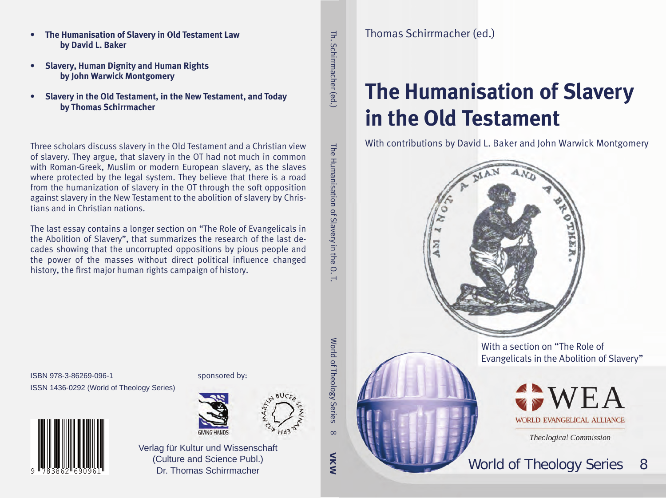- **• The Humanisation of Slavery in Old Testament Law by David L. Baker**
- **• Slavery, Human Dignity and Human Rights by John Warwick Montgomery**
- **• Slavery in the Old Testament, in the New Testament, and Today by Thomas Schirrmacher**

Three scholars discuss slavery in the Old Testament and a Christian view of slavery. They argue, that slavery in the OT had not much in common with Roman-Greek, Muslim or modern European slavery, as the slaves where protected by the legal system. They believe that there is a road from the humanization of slavery in the OT through the soft opposition against slavery in the New Testament to the abolition of slavery by Christians and in Christian nations.

The last essay contains a longer section on "The Role of Evangelicals in the Abolition of Slavery", that summarizes the research of the last decades showing that the uncorrupted oppositions by pious people and the power of the masses without direct political influence changed history, the first major human rights campaign of history.

Th. Schirrmacher (edTh. Schirrmacher (ed.) ) The Humanisation of Slavery in the O. T.

The Humanisation of Slavery in the

 $O. T$ 

# **The Humanisation of Slavery in the Old Testament**

With contributions by David L. Baker and John Warwick Montgomery



With a section on "The Role of Evangelicals in the Abolition of Slavery"



**Theological Commission** 



ISBN 978-3-86269-096-1 ISSN 1436-0292 (World of Theology Series)



sponsored by:



**NXW** 

 $\infty$ 

World of Theology Series 8

World of Theology Series

Verlag für Kultur und Wissenschaft (Culture and Science Publ.) Dr. Thomas Schirrmacher

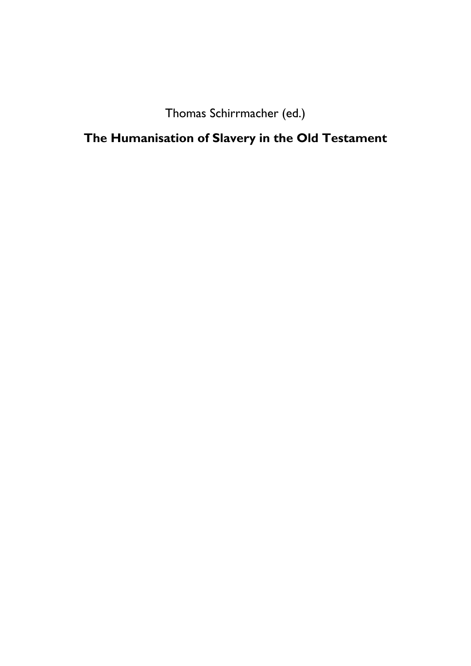Thomas Schirrmacher (ed.)

**The Humanisation of Slavery in the Old Testament**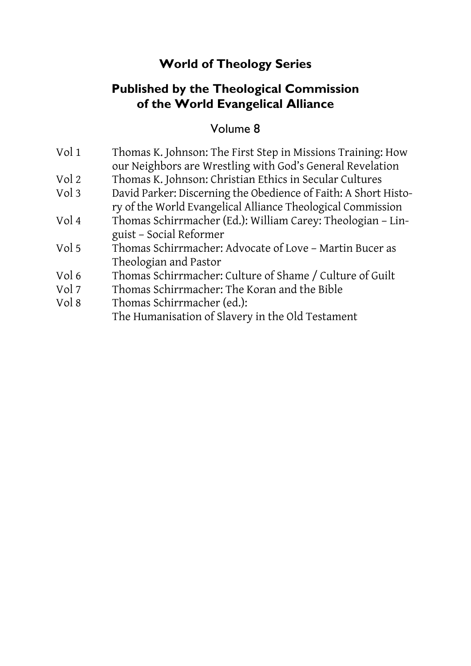## **World of Theology Series**

### **Published by the Theological Commission of the World Evangelical Alliance**

#### Volume 8

| Vol 1 | Thomas K. Johnson: The First Step in Missions Training: How<br>our Neighbors are Wrestling with God's General Revelation       |
|-------|--------------------------------------------------------------------------------------------------------------------------------|
| Vol 2 | Thomas K. Johnson: Christian Ethics in Secular Cultures                                                                        |
| Vol 3 | David Parker: Discerning the Obedience of Faith: A Short Histo-<br>ry of the World Evangelical Alliance Theological Commission |
| Vol 4 | Thomas Schirrmacher (Ed.): William Carey: Theologian - Lin-<br>guist - Social Reformer                                         |
| Vol 5 | Thomas Schirrmacher: Advocate of Love - Martin Bucer as<br>Theologian and Pastor                                               |
| Vol 6 | Thomas Schirrmacher: Culture of Shame / Culture of Guilt                                                                       |
| Vol 7 | Thomas Schirrmacher: The Koran and the Bible                                                                                   |
| Vol 8 | Thomas Schirrmacher (ed.):<br>The Humanisation of Slavery in the Old Testament                                                 |
|       |                                                                                                                                |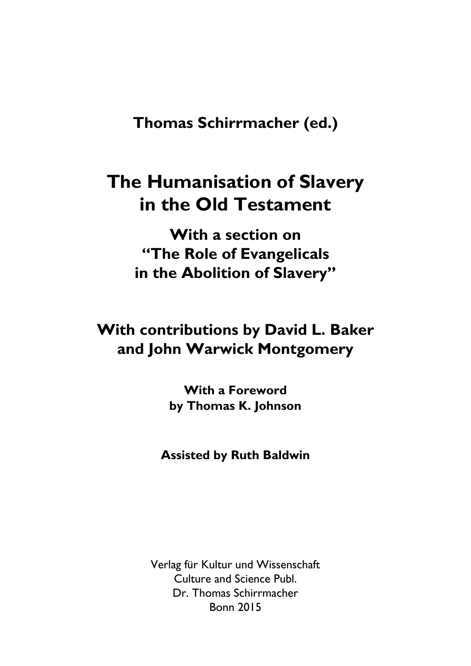**Thomas Schirrmacher (ed.)** 

## **The Humanisation of Slavery in the Old Testament**

**With a section on "The Role of Evangelicals in the Abolition of Slavery"** 

## **With contributions by David L. Baker and John Warwick Montgomery**

**With a Foreword by Thomas K. Johnson** 

**Assisted by Ruth Baldwin** 

Verlag für Kultur und Wissenschaft Culture and Science Publ. Dr. Thomas Schirrmacher Bonn 2015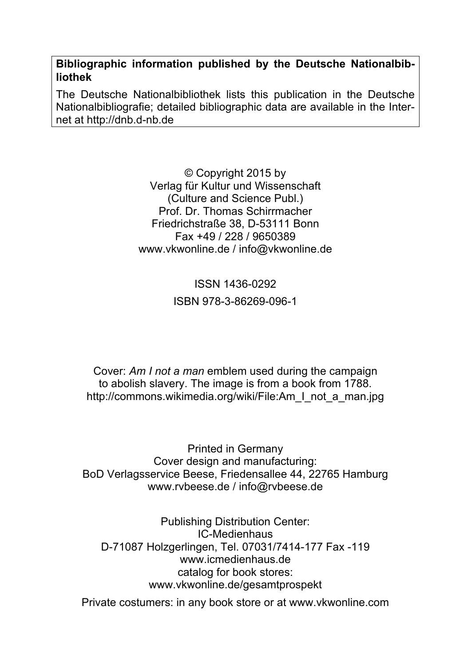**Bibliographic information published by the Deutsche Nationalbibliothek** 

The Deutsche Nationalbibliothek lists this publication in the Deutsche Nationalbibliografie; detailed bibliographic data are available in the Internet at http://dnb.d-nb.de

> © Copyright 2015 by Verlag für Kultur und Wissenschaft (Culture and Science Publ.) Prof. Dr. Thomas Schirrmacher Friedrichstraße 38, D-53111 Bonn Fax +49 / 228 / 9650389 www.vkwonline.de / info@vkwonline.de

> > ISSN 1436-0292 ISBN 978-3-86269-096-1

Cover: *Am I not a man* emblem used during the campaign to abolish slavery. The image is from a book from 1788. http://commons.wikimedia.org/wiki/File:Am\_I\_not\_a\_man.jpg

Printed in Germany Cover design and manufacturing: BoD Verlagsservice Beese, Friedensallee 44, 22765 Hamburg www.rvbeese.de / info@rvbeese.de

Publishing Distribution Center: IC-Medienhaus D-71087 Holzgerlingen, Tel. 07031/7414-177 Fax -119 www.icmedienhaus.de catalog for book stores: www.vkwonline.de/gesamtprospekt

Private costumers: in any book store or at www.vkwonline.com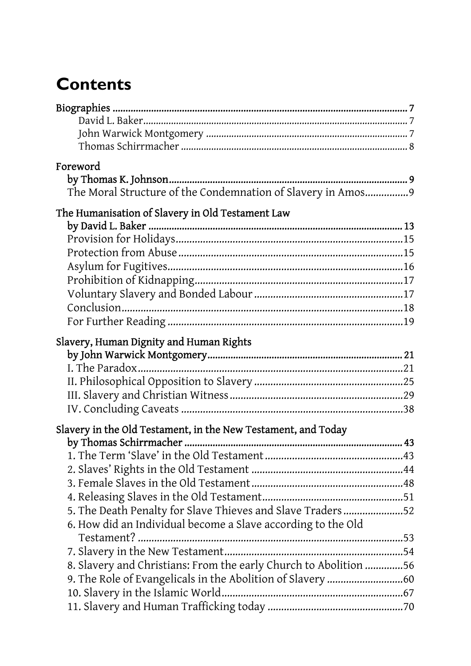# **Contents**

| Foreword<br>The Moral Structure of the Condemnation of Slavery in Amos9                                                                                                                                                                                         |  |
|-----------------------------------------------------------------------------------------------------------------------------------------------------------------------------------------------------------------------------------------------------------------|--|
| The Humanisation of Slavery in Old Testament Law<br>Slavery, Human Dignity and Human Rights                                                                                                                                                                     |  |
|                                                                                                                                                                                                                                                                 |  |
| Slavery in the Old Testament, in the New Testament, and Today<br>5. The Death Penalty for Slave Thieves and Slave Traders52<br>6. How did an Individual become a Slave according to the Old<br>8. Slavery and Christians: From the early Church to Abolition 56 |  |
|                                                                                                                                                                                                                                                                 |  |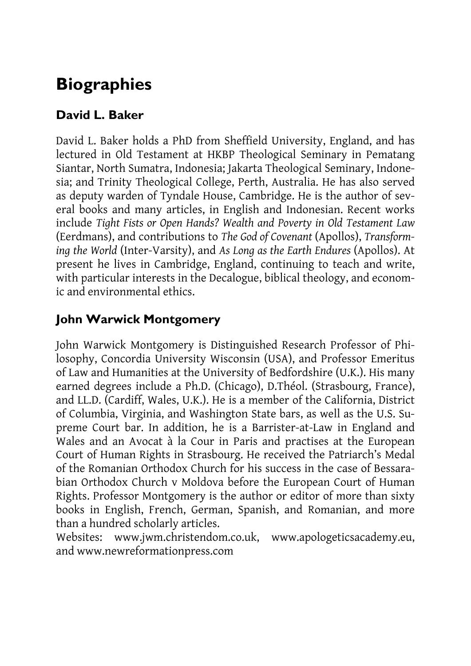## **Biographies**

### **David L. Baker**

David L. Baker holds a PhD from Sheffield University, England, and has lectured in Old Testament at HKBP Theological Seminary in Pematang Siantar, North Sumatra, Indonesia; Jakarta Theological Seminary, Indonesia; and Trinity Theological College, Perth, Australia. He has also served as deputy warden of Tyndale House, Cambridge. He is the author of several books and many articles, in English and Indonesian. Recent works include *Tight Fists or Open Hands? Wealth and Poverty in Old Testament Law*  (Eerdmans), and contributions to *The God of Covenant* (Apollos), *Transforming the World* (Inter-Varsity), and *As Long as the Earth Endures* (Apollos). At present he lives in Cambridge, England, continuing to teach and write, with particular interests in the Decalogue, biblical theology, and economic and environmental ethics.

### **John Warwick Montgomery**

John Warwick Montgomery is Distinguished Research Professor of Philosophy, Concordia University Wisconsin (USA), and Professor Emeritus of Law and Humanities at the University of Bedfordshire (U.K.). His many earned degrees include a Ph.D. (Chicago), D.Théol. (Strasbourg, France), and LL.D. (Cardiff, Wales, U.K.). He is a member of the California, District of Columbia, Virginia, and Washington State bars, as well as the U.S. Supreme Court bar. In addition, he is a Barrister-at-Law in England and Wales and an Avocat à la Cour in Paris and practises at the European Court of Human Rights in Strasbourg. He received the Patriarch's Medal of the Romanian Orthodox Church for his success in the case of Bessarabian Orthodox Church v Moldova before the European Court of Human Rights. Professor Montgomery is the author or editor of more than sixty books in English, French, German, Spanish, and Romanian, and more than a hundred scholarly articles.

Websites: www.jwm.christendom.co.uk, www.apologeticsacademy.eu, and www.newreformationpress.com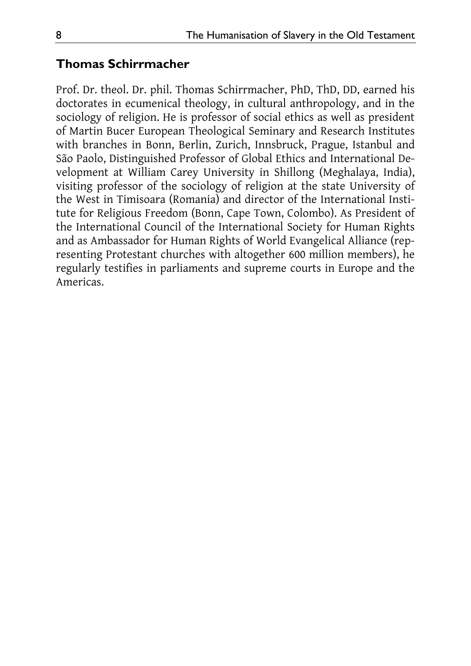#### **Thomas Schirrmacher**

Prof. Dr. theol. Dr. phil. Thomas Schirrmacher, PhD, ThD, DD, earned his doctorates in ecumenical theology, in cultural anthropology, and in the sociology of religion. He is professor of social ethics as well as president of Martin Bucer European Theological Seminary and Research Institutes with branches in Bonn, Berlin, Zurich, Innsbruck, Prague, Istanbul and São Paolo, Distinguished Professor of Global Ethics and International Development at William Carey University in Shillong (Meghalaya, India), visiting professor of the sociology of religion at the state University of the West in Timisoara (Romania) and director of the International Institute for Religious Freedom (Bonn, Cape Town, Colombo). As President of the International Council of the International Society for Human Rights and as Ambassador for Human Rights of World Evangelical Alliance (representing Protestant churches with altogether 600 million members), he regularly testifies in parliaments and supreme courts in Europe and the Americas.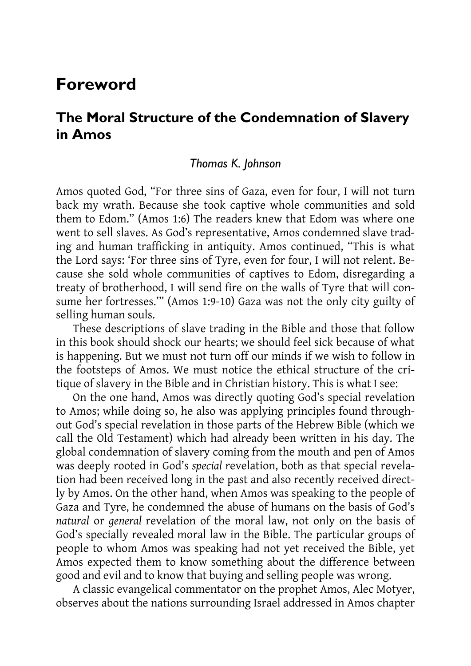## **Foreword**

### **The Moral Structure of the Condemnation of Slavery in Amos**

#### *Thomas K. Johnson*

Amos quoted God, "For three sins of Gaza, even for four, I will not turn back my wrath. Because she took captive whole communities and sold them to Edom." (Amos 1:6) The readers knew that Edom was where one went to sell slaves. As God's representative, Amos condemned slave trading and human trafficking in antiquity. Amos continued, "This is what the Lord says: 'For three sins of Tyre, even for four, I will not relent. Because she sold whole communities of captives to Edom, disregarding a treaty of brotherhood, I will send fire on the walls of Tyre that will consume her fortresses.'" (Amos 1:9-10) Gaza was not the only city guilty of selling human souls.

These descriptions of slave trading in the Bible and those that follow in this book should shock our hearts; we should feel sick because of what is happening. But we must not turn off our minds if we wish to follow in the footsteps of Amos. We must notice the ethical structure of the critique of slavery in the Bible and in Christian history. This is what I see:

On the one hand, Amos was directly quoting God's special revelation to Amos; while doing so, he also was applying principles found throughout God's special revelation in those parts of the Hebrew Bible (which we call the Old Testament) which had already been written in his day. The global condemnation of slavery coming from the mouth and pen of Amos was deeply rooted in God's *special* revelation, both as that special revelation had been received long in the past and also recently received directly by Amos. On the other hand, when Amos was speaking to the people of Gaza and Tyre, he condemned the abuse of humans on the basis of God's *natural* or *general* revelation of the moral law, not only on the basis of God's specially revealed moral law in the Bible. The particular groups of people to whom Amos was speaking had not yet received the Bible, yet Amos expected them to know something about the difference between good and evil and to know that buying and selling people was wrong.

A classic evangelical commentator on the prophet Amos, Alec Motyer, observes about the nations surrounding Israel addressed in Amos chapter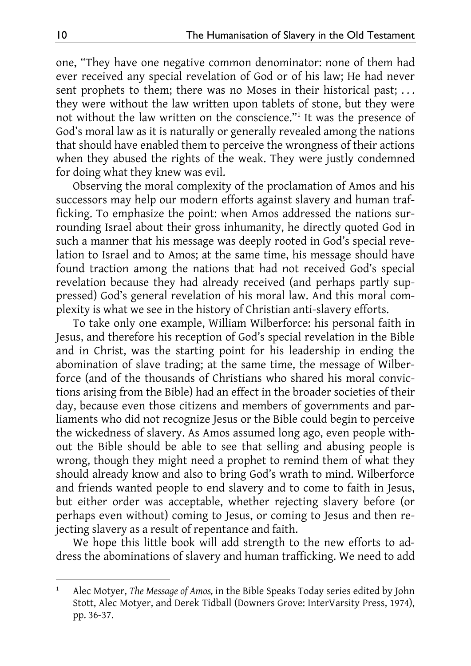one, "They have one negative common denominator: none of them had ever received any special revelation of God or of his law; He had never sent prophets to them; there was no Moses in their historical past; ... they were without the law written upon tablets of stone, but they were not without the law written on the conscience."1 It was the presence of God's moral law as it is naturally or generally revealed among the nations that should have enabled them to perceive the wrongness of their actions when they abused the rights of the weak. They were justly condemned for doing what they knew was evil.

Observing the moral complexity of the proclamation of Amos and his successors may help our modern efforts against slavery and human trafficking. To emphasize the point: when Amos addressed the nations surrounding Israel about their gross inhumanity, he directly quoted God in such a manner that his message was deeply rooted in God's special revelation to Israel and to Amos; at the same time, his message should have found traction among the nations that had not received God's special revelation because they had already received (and perhaps partly suppressed) God's general revelation of his moral law. And this moral complexity is what we see in the history of Christian anti-slavery efforts.

To take only one example, William Wilberforce: his personal faith in Jesus, and therefore his reception of God's special revelation in the Bible and in Christ, was the starting point for his leadership in ending the abomination of slave trading; at the same time, the message of Wilberforce (and of the thousands of Christians who shared his moral convictions arising from the Bible) had an effect in the broader societies of their day, because even those citizens and members of governments and parliaments who did not recognize Jesus or the Bible could begin to perceive the wickedness of slavery. As Amos assumed long ago, even people without the Bible should be able to see that selling and abusing people is wrong, though they might need a prophet to remind them of what they should already know and also to bring God's wrath to mind. Wilberforce and friends wanted people to end slavery and to come to faith in Jesus, but either order was acceptable, whether rejecting slavery before (or perhaps even without) coming to Jesus, or coming to Jesus and then rejecting slavery as a result of repentance and faith.

We hope this little book will add strength to the new efforts to address the abominations of slavery and human trafficking. We need to add

<sup>1</sup> Alec Motyer, *The Message of Amos,* in the Bible Speaks Today series edited by John Stott, Alec Motyer, and Derek Tidball (Downers Grove: InterVarsity Press, 1974), pp. 36-37.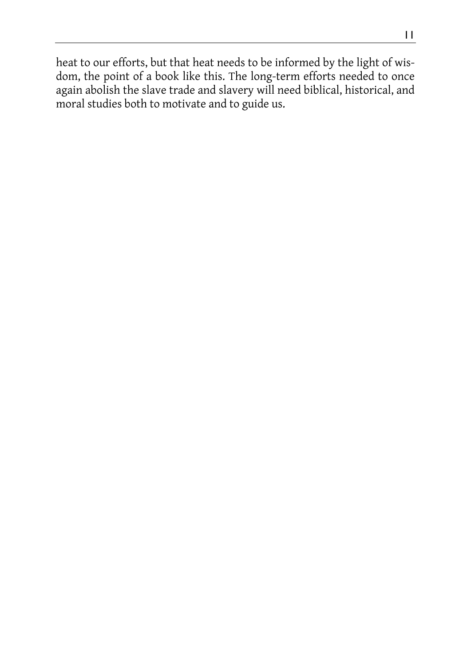heat to our efforts, but that heat needs to be informed by the light of wisdom, the point of a book like this. The long-term efforts needed to once again abolish the slave trade and slavery will need biblical, historical, and moral studies both to motivate and to guide us.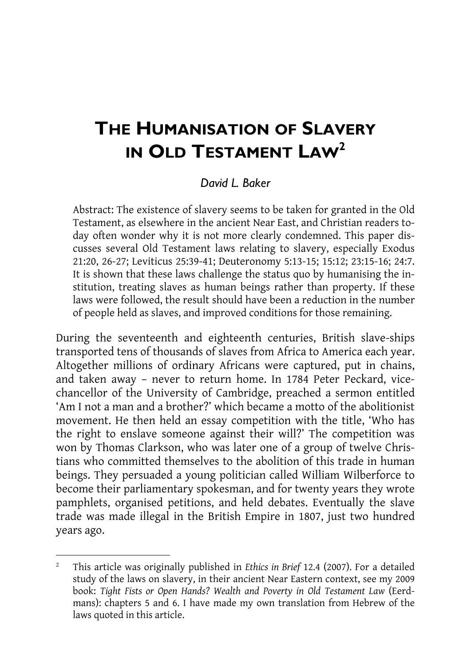## **THE HUMANISATION OF SLAVERY IN OLD TESTAMENT LAW2**

#### *David L. Baker*

Abstract: The existence of slavery seems to be taken for granted in the Old Testament, as elsewhere in the ancient Near East, and Christian readers today often wonder why it is not more clearly condemned. This paper discusses several Old Testament laws relating to slavery, especially Exodus 21:20, 26-27; Leviticus 25:39-41; Deuteronomy 5:13-15; 15:12; 23:15-16; 24:7. It is shown that these laws challenge the status quo by humanising the institution, treating slaves as human beings rather than property. If these laws were followed, the result should have been a reduction in the number of people held as slaves, and improved conditions for those remaining.

During the seventeenth and eighteenth centuries, British slave-ships transported tens of thousands of slaves from Africa to America each year. Altogether millions of ordinary Africans were captured, put in chains, and taken away – never to return home. In 1784 Peter Peckard, vicechancellor of the University of Cambridge, preached a sermon entitled 'Am I not a man and a brother?' which became a motto of the abolitionist movement. He then held an essay competition with the title, 'Who has the right to enslave someone against their will?' The competition was won by Thomas Clarkson, who was later one of a group of twelve Christians who committed themselves to the abolition of this trade in human beings. They persuaded a young politician called William Wilberforce to become their parliamentary spokesman, and for twenty years they wrote pamphlets, organised petitions, and held debates. Eventually the slave trade was made illegal in the British Empire in 1807, just two hundred years ago.

<sup>2</sup> This article was originally published in *Ethics in Brief* 12.4 (2007). For a detailed study of the laws on slavery, in their ancient Near Eastern context, see my 2009 book: *Tight Fists or Open Hands? Wealth and Poverty in Old Testament Law* (Eerdmans): chapters 5 and 6. I have made my own translation from Hebrew of the laws quoted in this article.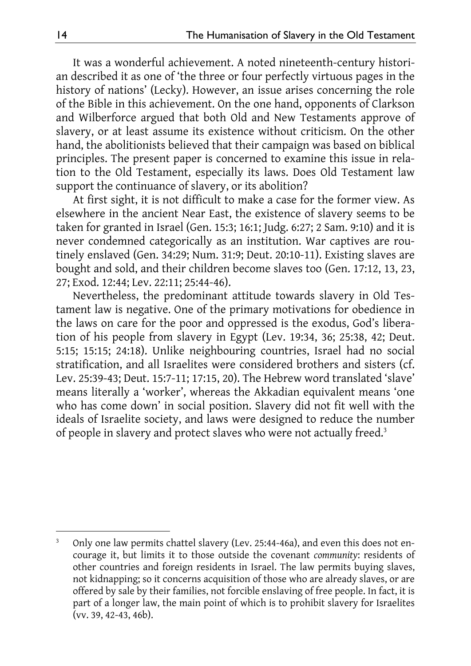It was a wonderful achievement. A noted nineteenth-century historian described it as one of 'the three or four perfectly virtuous pages in the history of nations' (Lecky). However, an issue arises concerning the role of the Bible in this achievement. On the one hand, opponents of Clarkson and Wilberforce argued that both Old and New Testaments approve of slavery, or at least assume its existence without criticism. On the other hand, the abolitionists believed that their campaign was based on biblical principles. The present paper is concerned to examine this issue in relation to the Old Testament, especially its laws. Does Old Testament law support the continuance of slavery, or its abolition?

At first sight, it is not difficult to make a case for the former view. As elsewhere in the ancient Near East, the existence of slavery seems to be taken for granted in Israel (Gen. 15:3; 16:1; Judg. 6:27; 2 Sam. 9:10) and it is never condemned categorically as an institution. War captives are routinely enslaved (Gen. 34:29; Num. 31:9; Deut. 20:10-11). Existing slaves are bought and sold, and their children become slaves too (Gen. 17:12, 13, 23, 27; Exod. 12:44; Lev. 22:11; 25:44-46).

Nevertheless, the predominant attitude towards slavery in Old Testament law is negative. One of the primary motivations for obedience in the laws on care for the poor and oppressed is the exodus, God's liberation of his people from slavery in Egypt (Lev. 19:34, 36; 25:38, 42; Deut. 5:15; 15:15; 24:18). Unlike neighbouring countries, Israel had no social stratification, and all Israelites were considered brothers and sisters (cf. Lev. 25:39-43; Deut. 15:7-11; 17:15, 20). The Hebrew word translated 'slave' means literally a 'worker', whereas the Akkadian equivalent means 'one who has come down' in social position. Slavery did not fit well with the ideals of Israelite society, and laws were designed to reduce the number of people in slavery and protect slaves who were not actually freed.3

<sup>3</sup> Only one law permits chattel slavery (Lev. 25:44-46a), and even this does not encourage it, but limits it to those outside the covenant *community*: residents of other countries and foreign residents in Israel. The law permits buying slaves, not kidnapping; so it concerns acquisition of those who are already slaves, or are offered by sale by their families, not forcible enslaving of free people. In fact, it is part of a longer law, the main point of which is to prohibit slavery for Israelites (vv. 39, 42-43, 46b).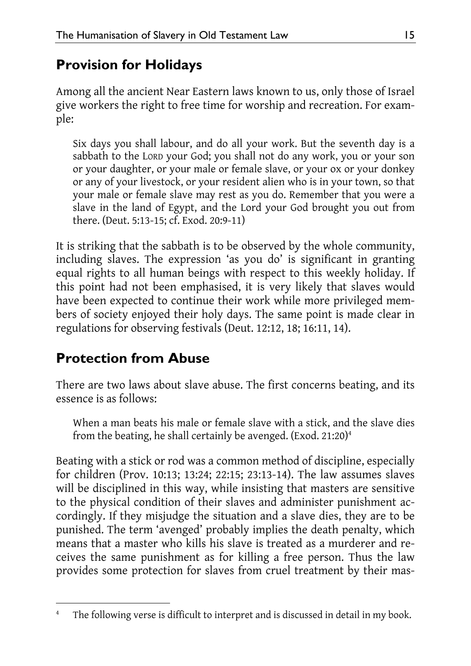## **Provision for Holidays**

Among all the ancient Near Eastern laws known to us, only those of Israel give workers the right to free time for worship and recreation. For example:

Six days you shall labour, and do all your work. But the seventh day is a sabbath to the LORD your God; you shall not do any work, you or your son or your daughter, or your male or female slave, or your ox or your donkey or any of your livestock, or your resident alien who is in your town, so that your male or female slave may rest as you do. Remember that you were a slave in the land of Egypt, and the Lord your God brought you out from there. (Deut. 5:13-15; cf. Exod. 20:9-11)

It is striking that the sabbath is to be observed by the whole community, including slaves. The expression 'as you do' is significant in granting equal rights to all human beings with respect to this weekly holiday. If this point had not been emphasised, it is very likely that slaves would have been expected to continue their work while more privileged members of society enjoyed their holy days. The same point is made clear in regulations for observing festivals (Deut. 12:12, 18; 16:11, 14).

## **Protection from Abuse**

There are two laws about slave abuse. The first concerns beating, and its essence is as follows:

When a man beats his male or female slave with a stick, and the slave dies from the beating, he shall certainly be avenged. (Exod. 21:20) $^4$ 

Beating with a stick or rod was a common method of discipline, especially for children (Prov. 10:13; 13:24; 22:15; 23:13-14). The law assumes slaves will be disciplined in this way, while insisting that masters are sensitive to the physical condition of their slaves and administer punishment accordingly. If they misjudge the situation and a slave dies, they are to be punished. The term 'avenged' probably implies the death penalty, which means that a master who kills his slave is treated as a murderer and receives the same punishment as for killing a free person. Thus the law provides some protection for slaves from cruel treatment by their mas-

<sup>-</sup>4 The following verse is difficult to interpret and is discussed in detail in my book.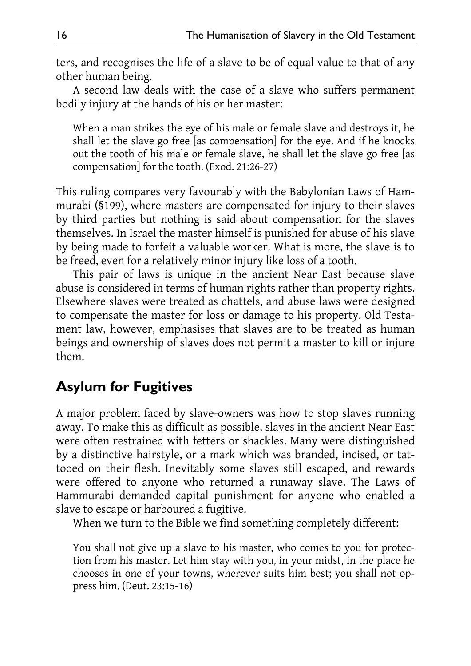ters, and recognises the life of a slave to be of equal value to that of any other human being.

A second law deals with the case of a slave who suffers permanent bodily injury at the hands of his or her master:

When a man strikes the eye of his male or female slave and destroys it, he shall let the slave go free [as compensation] for the eye. And if he knocks out the tooth of his male or female slave, he shall let the slave go free [as compensation] for the tooth. (Exod. 21:26-27)

This ruling compares very favourably with the Babylonian Laws of Hammurabi (§199), where masters are compensated for injury to their slaves by third parties but nothing is said about compensation for the slaves themselves. In Israel the master himself is punished for abuse of his slave by being made to forfeit a valuable worker. What is more, the slave is to be freed, even for a relatively minor injury like loss of a tooth.

This pair of laws is unique in the ancient Near East because slave abuse is considered in terms of human rights rather than property rights. Elsewhere slaves were treated as chattels, and abuse laws were designed to compensate the master for loss or damage to his property. Old Testament law, however, emphasises that slaves are to be treated as human beings and ownership of slaves does not permit a master to kill or injure them.

### **Asylum for Fugitives**

A major problem faced by slave-owners was how to stop slaves running away. To make this as difficult as possible, slaves in the ancient Near East were often restrained with fetters or shackles. Many were distinguished by a distinctive hairstyle, or a mark which was branded, incised, or tattooed on their flesh. Inevitably some slaves still escaped, and rewards were offered to anyone who returned a runaway slave. The Laws of Hammurabi demanded capital punishment for anyone who enabled a slave to escape or harboured a fugitive.

When we turn to the Bible we find something completely different:

You shall not give up a slave to his master, who comes to you for protection from his master. Let him stay with you, in your midst, in the place he chooses in one of your towns, wherever suits him best; you shall not oppress him. (Deut. 23:15-16)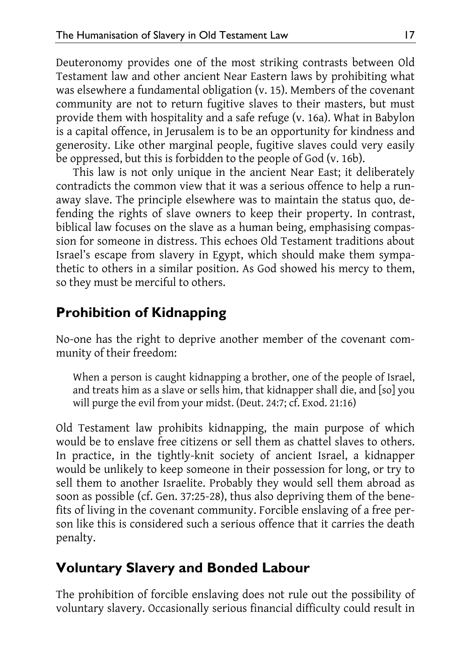Deuteronomy provides one of the most striking contrasts between Old Testament law and other ancient Near Eastern laws by prohibiting what was elsewhere a fundamental obligation (v. 15). Members of the covenant community are not to return fugitive slaves to their masters, but must provide them with hospitality and a safe refuge (v. 16a). What in Babylon is a capital offence, in Jerusalem is to be an opportunity for kindness and generosity. Like other marginal people, fugitive slaves could very easily be oppressed, but this is forbidden to the people of God (v. 16b).

This law is not only unique in the ancient Near East; it deliberately contradicts the common view that it was a serious offence to help a runaway slave. The principle elsewhere was to maintain the status quo, defending the rights of slave owners to keep their property. In contrast, biblical law focuses on the slave as a human being, emphasising compassion for someone in distress. This echoes Old Testament traditions about Israel's escape from slavery in Egypt, which should make them sympathetic to others in a similar position. As God showed his mercy to them, so they must be merciful to others.

## **Prohibition of Kidnapping**

No-one has the right to deprive another member of the covenant community of their freedom:

When a person is caught kidnapping a brother, one of the people of Israel, and treats him as a slave or sells him, that kidnapper shall die, and [so] you will purge the evil from your midst. (Deut. 24:7; cf. Exod. 21:16)

Old Testament law prohibits kidnapping, the main purpose of which would be to enslave free citizens or sell them as chattel slaves to others. In practice, in the tightly-knit society of ancient Israel, a kidnapper would be unlikely to keep someone in their possession for long, or try to sell them to another Israelite. Probably they would sell them abroad as soon as possible (cf. Gen. 37:25-28), thus also depriving them of the benefits of living in the covenant community. Forcible enslaving of a free person like this is considered such a serious offence that it carries the death penalty.

## **Voluntary Slavery and Bonded Labour**

The prohibition of forcible enslaving does not rule out the possibility of voluntary slavery. Occasionally serious financial difficulty could result in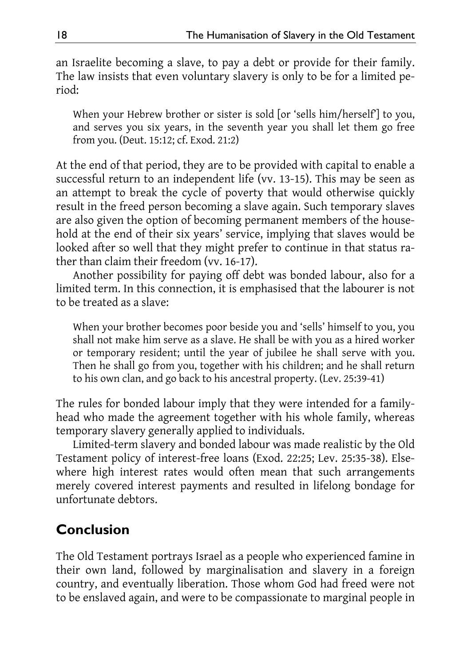an Israelite becoming a slave, to pay a debt or provide for their family. The law insists that even voluntary slavery is only to be for a limited period:

When your Hebrew brother or sister is sold [or 'sells him/herself'] to you, and serves you six years, in the seventh year you shall let them go free from you. (Deut. 15:12; cf. Exod. 21:2)

At the end of that period, they are to be provided with capital to enable a successful return to an independent life (vv. 13-15). This may be seen as an attempt to break the cycle of poverty that would otherwise quickly result in the freed person becoming a slave again. Such temporary slaves are also given the option of becoming permanent members of the household at the end of their six years' service, implying that slaves would be looked after so well that they might prefer to continue in that status rather than claim their freedom (vv. 16-17).

Another possibility for paying off debt was bonded labour, also for a limited term. In this connection, it is emphasised that the labourer is not to be treated as a slave:

When your brother becomes poor beside you and 'sells' himself to you, you shall not make him serve as a slave. He shall be with you as a hired worker or temporary resident; until the year of jubilee he shall serve with you. Then he shall go from you, together with his children; and he shall return to his own clan, and go back to his ancestral property. (Lev. 25:39-41)

The rules for bonded labour imply that they were intended for a familyhead who made the agreement together with his whole family, whereas temporary slavery generally applied to individuals.

Limited-term slavery and bonded labour was made realistic by the Old Testament policy of interest-free loans (Exod. 22:25; Lev. 25:35-38). Elsewhere high interest rates would often mean that such arrangements merely covered interest payments and resulted in lifelong bondage for unfortunate debtors.

## **Conclusion**

The Old Testament portrays Israel as a people who experienced famine in their own land, followed by marginalisation and slavery in a foreign country, and eventually liberation. Those whom God had freed were not to be enslaved again, and were to be compassionate to marginal people in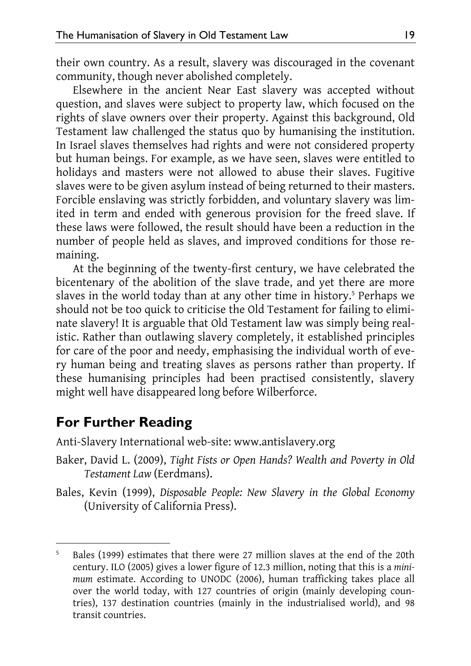their own country. As a result, slavery was discouraged in the covenant community, though never abolished completely.

Elsewhere in the ancient Near East slavery was accepted without question, and slaves were subject to property law, which focused on the rights of slave owners over their property. Against this background, Old Testament law challenged the status quo by humanising the institution. In Israel slaves themselves had rights and were not considered property but human beings. For example, as we have seen, slaves were entitled to holidays and masters were not allowed to abuse their slaves. Fugitive slaves were to be given asylum instead of being returned to their masters. Forcible enslaving was strictly forbidden, and voluntary slavery was limited in term and ended with generous provision for the freed slave. If these laws were followed, the result should have been a reduction in the number of people held as slaves, and improved conditions for those remaining.

At the beginning of the twenty-first century, we have celebrated the bicentenary of the abolition of the slave trade, and yet there are more slaves in the world today than at any other time in history.<sup>5</sup> Perhaps we should not be too quick to criticise the Old Testament for failing to eliminate slavery! It is arguable that Old Testament law was simply being realistic. Rather than outlawing slavery completely, it established principles for care of the poor and needy, emphasising the individual worth of every human being and treating slaves as persons rather than property. If these humanising principles had been practised consistently, slavery might well have disappeared long before Wilberforce.

#### **For Further Reading**

-

Anti-Slavery International web-site: www.antislavery.org

- Baker, David L. (2009), *Tight Fists or Open Hands? Wealth and Poverty in Old Testament Law* (Eerdmans).
- Bales, Kevin (1999), *Disposable People: New Slavery in the Global Economy* (University of California Press).

<sup>5</sup> Bales (1999) estimates that there were 27 million slaves at the end of the 20th century. ILO (2005) gives a lower figure of 12.3 million, noting that this is a *minimum* estimate. According to UNODC (2006), human trafficking takes place all over the world today, with 127 countries of origin (mainly developing countries), 137 destination countries (mainly in the industrialised world), and 98 transit countries.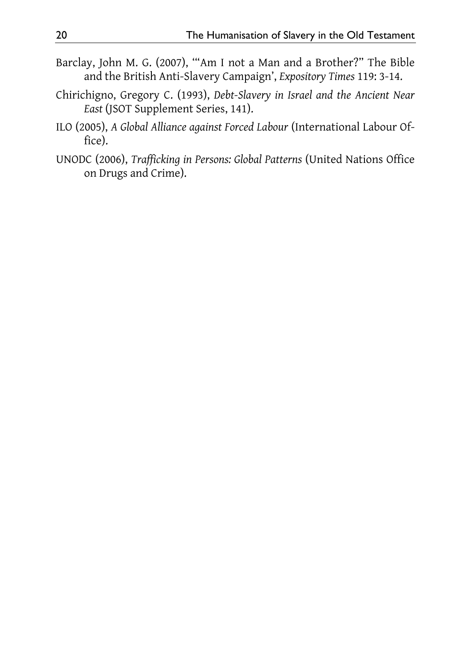- Barclay, John M. G. (2007), '"Am I not a Man and a Brother?" The Bible and the British Anti-Slavery Campaign', *Expository Times* 119: 3-14.
- Chirichigno, Gregory C. (1993), *Debt-Slavery in Israel and the Ancient Near East* (JSOT Supplement Series, 141).
- ILO (2005), *A Global Alliance against Forced Labour* (International Labour Office).
- UNODC (2006), *Trafficking in Persons: Global Patterns* (United Nations Office on Drugs and Crime).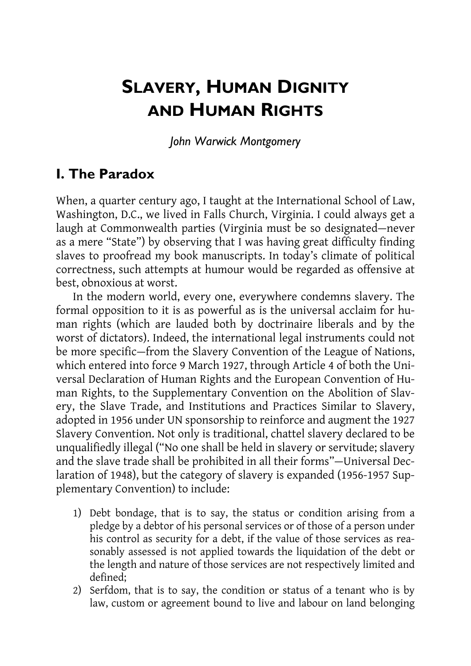## **SLAVERY, HUMAN DIGNITY AND HUMAN RIGHTS**

*John Warwick Montgomery* 

### **I. The Paradox**

When, a quarter century ago, I taught at the International School of Law, Washington, D.C., we lived in Falls Church, Virginia. I could always get a laugh at Commonwealth parties (Virginia must be so designated—never as a mere "State") by observing that I was having great difficulty finding slaves to proofread my book manuscripts. In today's climate of political correctness, such attempts at humour would be regarded as offensive at best, obnoxious at worst.

In the modern world, every one, everywhere condemns slavery. The formal opposition to it is as powerful as is the universal acclaim for human rights (which are lauded both by doctrinaire liberals and by the worst of dictators). Indeed, the international legal instruments could not be more specific—from the Slavery Convention of the League of Nations, which entered into force 9 March 1927, through Article 4 of both the Universal Declaration of Human Rights and the European Convention of Human Rights, to the Supplementary Convention on the Abolition of Slavery, the Slave Trade, and Institutions and Practices Similar to Slavery, adopted in 1956 under UN sponsorship to reinforce and augment the 1927 Slavery Convention. Not only is traditional, chattel slavery declared to be unqualifiedly illegal ("No one shall be held in slavery or servitude; slavery and the slave trade shall be prohibited in all their forms"—Universal Declaration of 1948), but the category of slavery is expanded (1956-1957 Supplementary Convention) to include:

- 1) Debt bondage, that is to say, the status or condition arising from a pledge by a debtor of his personal services or of those of a person under his control as security for a debt, if the value of those services as reasonably assessed is not applied towards the liquidation of the debt or the length and nature of those services are not respectively limited and defined;
- 2) Serfdom, that is to say, the condition or status of a tenant who is by law, custom or agreement bound to live and labour on land belonging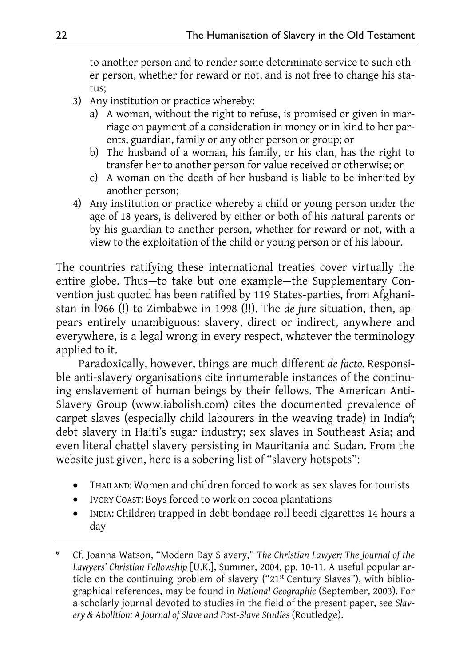to another person and to render some determinate service to such other person, whether for reward or not, and is not free to change his status;

- 3) Any institution or practice whereby:
	- a) A woman, without the right to refuse, is promised or given in marriage on payment of a consideration in money or in kind to her parents, guardian, family or any other person or group; or
	- b) The husband of a woman, his family, or his clan, has the right to transfer her to another person for value received or otherwise; or
	- c) A woman on the death of her husband is liable to be inherited by another person;
- 4) Any institution or practice whereby a child or young person under the age of 18 years, is delivered by either or both of his natural parents or by his guardian to another person, whether for reward or not, with a view to the exploitation of the child or young person or of his labour.

The countries ratifying these international treaties cover virtually the entire globe. Thus—to take but one example—the Supplementary Convention just quoted has been ratified by 119 States-parties, from Afghanistan in l966 (!) to Zimbabwe in 1998 (!!). The *de jure* situation, then, appears entirely unambiguous: slavery, direct or indirect, anywhere and everywhere, is a legal wrong in every respect, whatever the terminology applied to it.

Paradoxically, however, things are much different *de facto.* Responsible anti-slavery organisations cite innumerable instances of the continuing enslavement of human beings by their fellows. The American Anti-Slavery Group (www.iabolish.com) cites the documented prevalence of carpet slaves (especially child labourers in the weaving trade) in India<sup>6</sup>; debt slavery in Haiti's sugar industry; sex slaves in Southeast Asia; and even literal chattel slavery persisting in Mauritania and Sudan. From the website just given, here is a sobering list of "slavery hotspots":

- THAILAND: Women and children forced to work as sex slaves for tourists
- IVORY COAST: Boys forced to work on cocoa plantations
- INDIA: Children trapped in debt bondage roll beedi cigarettes 14 hours a day

<sup>-</sup>6 Cf. Joanna Watson, "Modern Day Slavery," *The Christian Lawyer: The Journal of the Lawyers' Christian Fellowship* [U.K.], Summer, 2004, pp. 10-11. A useful popular article on the continuing problem of slavery ("21st Century Slaves"), with bibliographical references, may be found in *National Geographic* (September, 2003). For a scholarly journal devoted to studies in the field of the present paper, see *Slavery & Abolition: A Journal of Slave and Post-Slave Studies* (Routledge).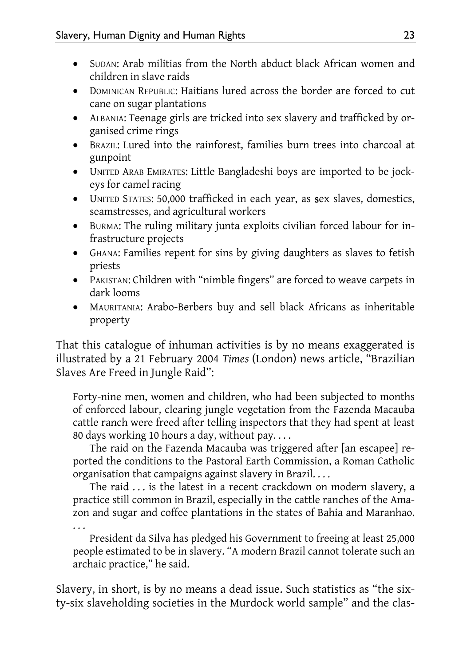- SUDAN: Arab militias from the North abduct black African women and children in slave raids
- DOMINICAN REPUBLIC: Haitians lured across the border are forced to cut cane on sugar plantations
- ALBANIA: Teenage girls are tricked into sex slavery and trafficked by organised crime rings
- BRAZIL: Lured into the rainforest, families burn trees into charcoal at gunpoint
- UNITED ARAB EMIRATES: Little Bangladeshi boys are imported to be jockeys for camel racing
- UNITED STATES: 50,000 trafficked in each year, as sex slaves, domestics, seamstresses, and agricultural workers
- BURMA: The ruling military junta exploits civilian forced labour for infrastructure projects
- GHANA: Families repent for sins by giving daughters as slaves to fetish priests
- PAKISTAN: Children with "nimble fingers" are forced to weave carpets in dark looms
- MAURITANIA: Arabo-Berbers buy and sell black Africans as inheritable property

That this catalogue of inhuman activities is by no means exaggerated is illustrated by a 21 February 2004 *Times* (London) news article, "Brazilian Slaves Are Freed in Jungle Raid":

Forty-nine men, women and children, who had been subjected to months of enforced labour, clearing jungle vegetation from the Fazenda Macauba cattle ranch were freed after telling inspectors that they had spent at least 80 days working 10 hours a day, without pay. . . .

The raid on the Fazenda Macauba was triggered after [an escapee] reported the conditions to the Pastoral Earth Commission, a Roman Catholic organisation that campaigns against slavery in Brazil. . . .

The raid . . . is the latest in a recent crackdown on modern slavery, a practice still common in Brazil, especially in the cattle ranches of the Amazon and sugar and coffee plantations in the states of Bahia and Maranhao. . . .

President da Silva has pledged his Government to freeing at least 25,000 people estimated to be in slavery. "A modern Brazil cannot tolerate such an archaic practice," he said.

Slavery, in short, is by no means a dead issue. Such statistics as "the sixty-six slaveholding societies in the Murdock world sample" and the clas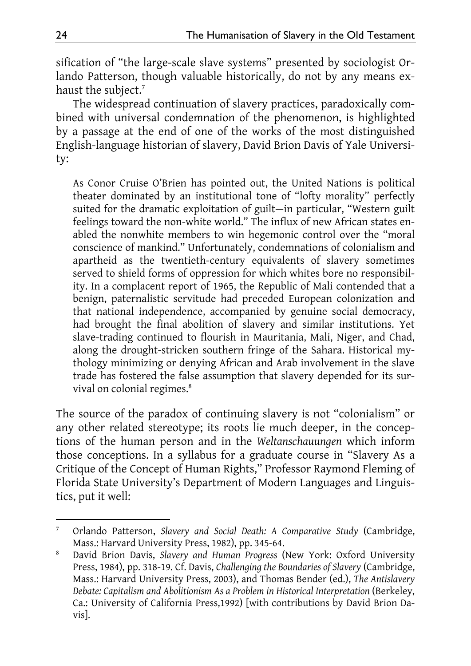sification of "the large-scale slave systems" presented by sociologist Orlando Patterson, though valuable historically, do not by any means exhaust the subject.<sup>7</sup>

The widespread continuation of slavery practices, paradoxically combined with universal condemnation of the phenomenon, is highlighted by a passage at the end of one of the works of the most distinguished English-language historian of slavery, David Brion Davis of Yale University:

As Conor Cruise O'Brien has pointed out, the United Nations is political theater dominated by an institutional tone of "lofty morality" perfectly suited for the dramatic exploitation of guilt—in particular, "Western guilt feelings toward the non-white world." The influx of new African states enabled the nonwhite members to win hegemonic control over the "moral conscience of mankind." Unfortunately, condemnations of colonialism and apartheid as the twentieth-century equivalents of slavery sometimes served to shield forms of oppression for which whites bore no responsibility. In a complacent report of 1965, the Republic of Mali contended that a benign, paternalistic servitude had preceded European colonization and that national independence, accompanied by genuine social democracy, had brought the final abolition of slavery and similar institutions. Yet slave-trading continued to flourish in Mauritania, Mali, Niger, and Chad, along the drought-stricken southern fringe of the Sahara. Historical mythology minimizing or denying African and Arab involvement in the slave trade has fostered the false assumption that slavery depended for its survival on colonial regimes.<sup>8</sup>

The source of the paradox of continuing slavery is not "colonialism" or any other related stereotype; its roots lie much deeper, in the conceptions of the human person and in the *Weltanschauungen* which inform those conceptions. In a syllabus for a graduate course in "Slavery As a Critique of the Concept of Human Rights," Professor Raymond Fleming of Florida State University's Department of Modern Languages and Linguistics, put it well:

<sup>-</sup>7 Orlando Patterson, *Slavery and Social Death: A Comparative Study* (Cambridge, Mass.: Harvard University Press, 1982), pp. 345-64.

<sup>8</sup> David Brion Davis, *Slavery and Human Progress* (New York: Oxford University Press, 1984), pp. 318-19. Cf. Davis, *Challenging the Boundaries of Slavery* (Cambridge, Mass.: Harvard University Press, 2003), and Thomas Bender (ed.), *The Antislavery Debate: Capitalism and Abolitionism As a Problem in Historical Interpretation (Berkeley,* Ca.: University of California Press,1992) [with contributions by David Brion Davis].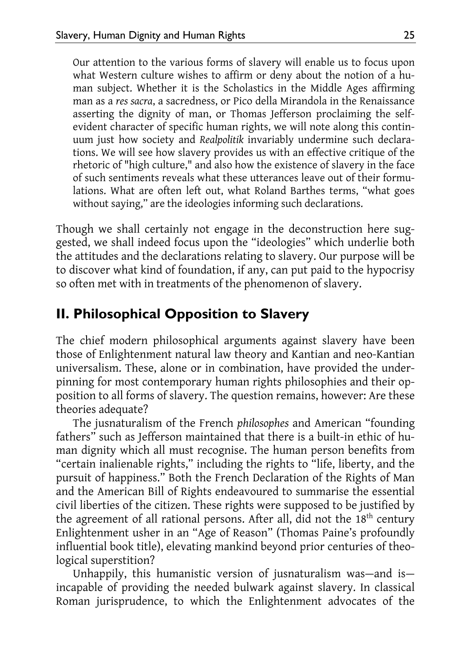Our attention to the various forms of slavery will enable us to focus upon what Western culture wishes to affirm or deny about the notion of a human subject. Whether it is the Scholastics in the Middle Ages affirming man as a *res sacra*, a sacredness, or Pico della Mirandola in the Renaissance asserting the dignity of man, or Thomas Jefferson proclaiming the selfevident character of specific human rights, we will note along this continuum just how society and *Realpolitik* invariably undermine such declarations. We will see how slavery provides us with an effective critique of the rhetoric of "high culture," and also how the existence of slavery in the face of such sentiments reveals what these utterances leave out of their formulations. What are often left out, what Roland Barthes terms, "what goes without saying," are the ideologies informing such declarations.

Though we shall certainly not engage in the deconstruction here suggested, we shall indeed focus upon the "ideologies" which underlie both the attitudes and the declarations relating to slavery. Our purpose will be to discover what kind of foundation, if any, can put paid to the hypocrisy so often met with in treatments of the phenomenon of slavery.

### **II. Philosophical Opposition to Slavery**

The chief modern philosophical arguments against slavery have been those of Enlightenment natural law theory and Kantian and neo-Kantian universalism. These, alone or in combination, have provided the underpinning for most contemporary human rights philosophies and their opposition to all forms of slavery. The question remains, however: Are these theories adequate?

The jusnaturalism of the French *philosophes* and American "founding fathers" such as Jefferson maintained that there is a built-in ethic of human dignity which all must recognise. The human person benefits from "certain inalienable rights," including the rights to "life, liberty, and the pursuit of happiness." Both the French Declaration of the Rights of Man and the American Bill of Rights endeavoured to summarise the essential civil liberties of the citizen. These rights were supposed to be justified by the agreement of all rational persons. After all, did not the 18<sup>th</sup> century Enlightenment usher in an "Age of Reason" (Thomas Paine's profoundly influential book title), elevating mankind beyond prior centuries of theological superstition?

Unhappily, this humanistic version of jusnaturalism was—and is incapable of providing the needed bulwark against slavery. In classical Roman jurisprudence, to which the Enlightenment advocates of the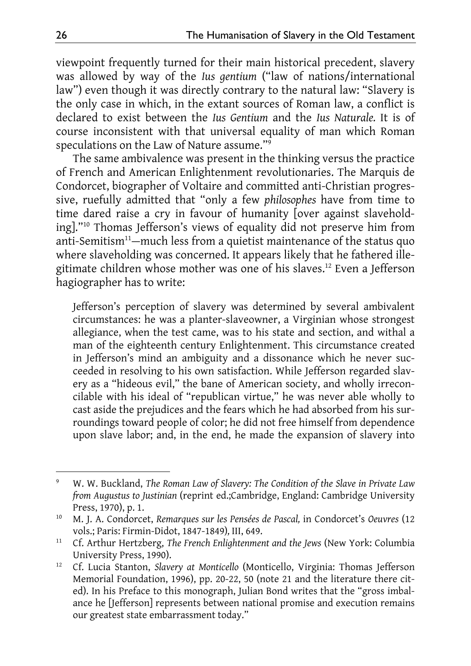viewpoint frequently turned for their main historical precedent, slavery was allowed by way of the *Ius gentium* ("law of nations/international law") even though it was directly contrary to the natural law: "Slavery is the only case in which, in the extant sources of Roman law, a conflict is declared to exist between the *Ius Gentium* and the *Ius Naturale.* It is of course inconsistent with that universal equality of man which Roman speculations on the Law of Nature assume."9

The same ambivalence was present in the thinking versus the practice of French and American Enlightenment revolutionaries. The Marquis de Condorcet, biographer of Voltaire and committed anti-Christian progressive, ruefully admitted that "only a few *philosophes* have from time to time dared raise a cry in favour of humanity [over against slaveholding]."10 Thomas Jefferson's views of equality did not preserve him from anti-Semitism<sup>11</sup>—much less from a quietist maintenance of the status quo where slaveholding was concerned. It appears likely that he fathered illegitimate children whose mother was one of his slaves.<sup>12</sup> Even a Jefferson hagiographer has to write:

Jefferson's perception of slavery was determined by several ambivalent circumstances: he was a planter-slaveowner, a Virginian whose strongest allegiance, when the test came, was to his state and section, and withal a man of the eighteenth century Enlightenment. This circumstance created in Jefferson's mind an ambiguity and a dissonance which he never succeeded in resolving to his own satisfaction. While Jefferson regarded slavery as a "hideous evil," the bane of American society, and wholly irreconcilable with his ideal of "republican virtue," he was never able wholly to cast aside the prejudices and the fears which he had absorbed from his surroundings toward people of color; he did not free himself from dependence upon slave labor; and, in the end, he made the expansion of slavery into

<sup>9</sup> W. W. Buckland, *The Roman Law of Slavery: The Condition of the Slave in Private Law from Augustus to Justinian* (reprint ed.;Cambridge, England: Cambridge University Press, 1970), p. 1.

<sup>10</sup> M. J. A. Condorcet, *Remarques sur les Pensées de Pascal,* in Condorcet's *Oeuvres* (12 vols.; Paris: Firmin-Didot, 1847-1849)*,* III, 649.

<sup>11</sup> Cf. Arthur Hertzberg, *The French Enlightenment and the Jews* (New York: Columbia University Press, 1990).

<sup>12</sup> Cf. Lucia Stanton, *Slavery at Monticello* (Monticello, Virginia: Thomas Jefferson Memorial Foundation, 1996), pp. 20-22, 50 (note 21 and the literature there cited). In his Preface to this monograph, Julian Bond writes that the "gross imbalance he [Jefferson] represents between national promise and execution remains our greatest state embarrassment today."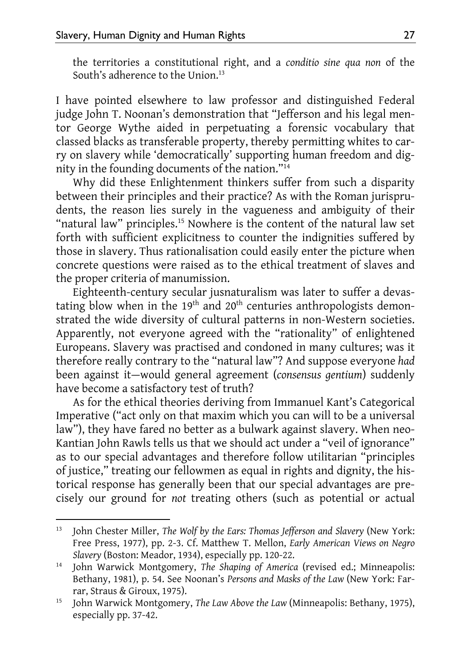the territories a constitutional right, and a *conditio sine qua non* of the South's adherence to the Union.<sup>13</sup>

I have pointed elsewhere to law professor and distinguished Federal judge John T. Noonan's demonstration that "Jefferson and his legal mentor George Wythe aided in perpetuating a forensic vocabulary that classed blacks as transferable property, thereby permitting whites to carry on slavery while 'democratically' supporting human freedom and dignity in the founding documents of the nation."14

Why did these Enlightenment thinkers suffer from such a disparity between their principles and their practice? As with the Roman jurisprudents, the reason lies surely in the vagueness and ambiguity of their "natural law" principles.<sup>15</sup> Nowhere is the content of the natural law set forth with sufficient explicitness to counter the indignities suffered by those in slavery. Thus rationalisation could easily enter the picture when concrete questions were raised as to the ethical treatment of slaves and the proper criteria of manumission.

Eighteenth-century secular jusnaturalism was later to suffer a devastating blow when in the  $19<sup>th</sup>$  and  $20<sup>th</sup>$  centuries anthropologists demonstrated the wide diversity of cultural patterns in non-Western societies. Apparently, not everyone agreed with the "rationality" of enlightened Europeans. Slavery was practised and condoned in many cultures; was it therefore really contrary to the "natural law"? And suppose everyone *had*  been against it—would general agreement (*consensus gentium*) suddenly have become a satisfactory test of truth?

As for the ethical theories deriving from Immanuel Kant's Categorical Imperative ("act only on that maxim which you can will to be a universal law"), they have fared no better as a bulwark against slavery. When neo-Kantian John Rawls tells us that we should act under a "veil of ignorance" as to our special advantages and therefore follow utilitarian "principles of justice," treating our fellowmen as equal in rights and dignity, the historical response has generally been that our special advantages are precisely our ground for *not* treating others (such as potential or actual

<sup>&</sup>lt;sup>13</sup> John Chester Miller, *The Wolf by the Ears: Thomas Jefferson and Slavery* (New York: Free Press, 1977), pp. 2-3. Cf. Matthew T. Mellon, *Early American Views on Negro Slavery* (Boston: Meador, 1934), especially pp. 120-22.

<sup>14</sup> John Warwick Montgomery, *The Shaping of America* (revised ed.; Minneapolis: Bethany, 1981), p. 54. See Noonan's *Persons and Masks of the Law* (New York: Farrar, Straus & Giroux, 1975).

<sup>15</sup> John Warwick Montgomery, *The Law Above the Law* (Minneapolis: Bethany, 1975), especially pp. 37-42.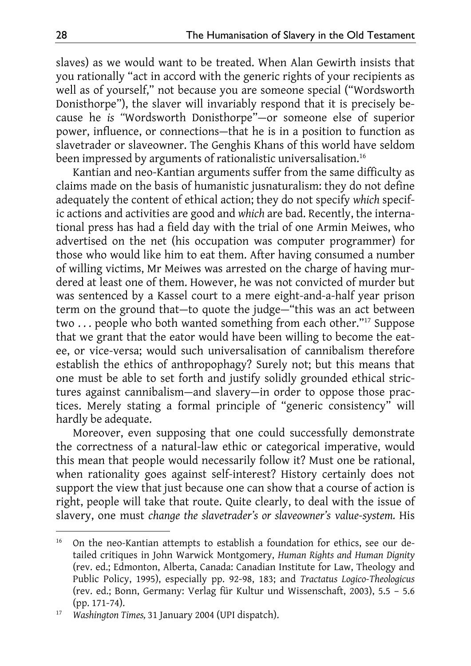slaves) as we would want to be treated. When Alan Gewirth insists that you rationally "act in accord with the generic rights of your recipients as well as of yourself," not because you are someone special ("Wordsworth Donisthorpe"), the slaver will invariably respond that it is precisely because he *is "*Wordsworth Donisthorpe"—or someone else of superior power, influence, or connections—that he is in a position to function as slavetrader or slaveowner. The Genghis Khans of this world have seldom been impressed by arguments of rationalistic universalisation.<sup>16</sup>

Kantian and neo-Kantian arguments suffer from the same difficulty as claims made on the basis of humanistic jusnaturalism: they do not define adequately the content of ethical action; they do not specify *which* specific actions and activities are good and *which* are bad. Recently, the international press has had a field day with the trial of one Armin Meiwes, who advertised on the net (his occupation was computer programmer) for those who would like him to eat them. After having consumed a number of willing victims, Mr Meiwes was arrested on the charge of having murdered at least one of them. However, he was not convicted of murder but was sentenced by a Kassel court to a mere eight-and-a-half year prison term on the ground that—to quote the judge—"this was an act between two . . . people who both wanted something from each other."17 Suppose that we grant that the eator would have been willing to become the eatee, or vice-versa; would such universalisation of cannibalism therefore establish the ethics of anthropophagy? Surely not; but this means that one must be able to set forth and justify solidly grounded ethical strictures against cannibalism—and slavery—in order to oppose those practices. Merely stating a formal principle of "generic consistency" will hardly be adequate.

Moreover, even supposing that one could successfully demonstrate the correctness of a natural-law ethic or categorical imperative, would this mean that people would necessarily follow it? Must one be rational, when rationality goes against self-interest? History certainly does not support the view that just because one can show that a course of action is right, people will take that route. Quite clearly, to deal with the issue of slavery, one must *change the slavetrader's or slaveowner's value-system.* His

<sup>&</sup>lt;sup>16</sup> On the neo-Kantian attempts to establish a foundation for ethics, see our detailed critiques in John Warwick Montgomery, *Human Rights and Human Dignity*  (rev. ed.; Edmonton, Alberta, Canada: Canadian Institute for Law, Theology and Public Policy, 1995), especially pp. 92-98, 183; and *Tractatus Logico-Theologicus*  (rev. ed.; Bonn, Germany: Verlag für Kultur und Wissenschaft, 2003), 5.5 – 5.6 (pp. 171-74).

<sup>17</sup> *Washington Times,* 31 January 2004 (UPI dispatch).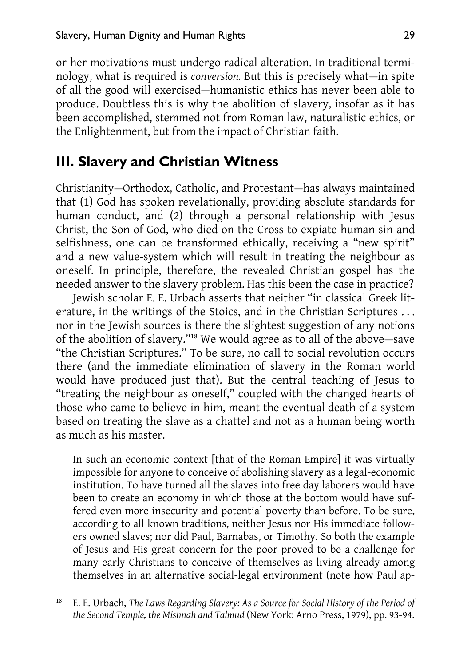or her motivations must undergo radical alteration. In traditional terminology, what is required is *conversion.* But this is precisely what—in spite of all the good will exercised—humanistic ethics has never been able to produce. Doubtless this is why the abolition of slavery, insofar as it has been accomplished, stemmed not from Roman law, naturalistic ethics, or the Enlightenment, but from the impact of Christian faith.

### **III. Slavery and Christian Witness**

Christianity—Orthodox, Catholic, and Protestant—has always maintained that (1) God has spoken revelationally, providing absolute standards for human conduct, and (2) through a personal relationship with Jesus Christ, the Son of God, who died on the Cross to expiate human sin and selfishness, one can be transformed ethically, receiving a "new spirit" and a new value-system which will result in treating the neighbour as oneself. In principle, therefore, the revealed Christian gospel has the needed answer to the slavery problem. Has this been the case in practice?

Jewish scholar E. E. Urbach asserts that neither "in classical Greek literature, in the writings of the Stoics, and in the Christian Scriptures ... nor in the Jewish sources is there the slightest suggestion of any notions of the abolition of slavery."18 We would agree as to all of the above—save "the Christian Scriptures." To be sure, no call to social revolution occurs there (and the immediate elimination of slavery in the Roman world would have produced just that). But the central teaching of Jesus to "treating the neighbour as oneself," coupled with the changed hearts of those who came to believe in him, meant the eventual death of a system based on treating the slave as a chattel and not as a human being worth as much as his master.

In such an economic context [that of the Roman Empire] it was virtually impossible for anyone to conceive of abolishing slavery as a legal-economic institution. To have turned all the slaves into free day laborers would have been to create an economy in which those at the bottom would have suffered even more insecurity and potential poverty than before. To be sure, according to all known traditions, neither Jesus nor His immediate followers owned slaves; nor did Paul, Barnabas, or Timothy. So both the example of Jesus and His great concern for the poor proved to be a challenge for many early Christians to conceive of themselves as living already among themselves in an alternative social-legal environment (note how Paul ap-

<sup>18</sup> E. E. Urbach, *The Laws Regarding Slavery: As a Source for Social History of the Period of the Second Temple, the Mishnah and Talmud* (New York: Arno Press, 1979), pp. 93-94.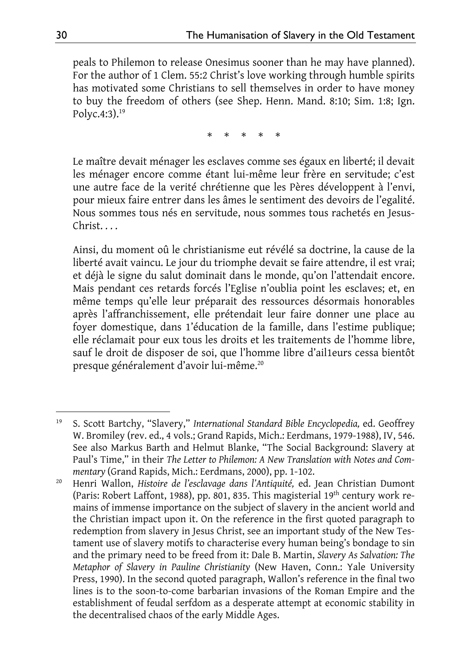peals to Philemon to release Onesimus sooner than he may have planned). For the author of 1 Clem. 55:2 Christ's love working through humble spirits has motivated some Christians to sell themselves in order to have money to buy the freedom of others (see Shep. Henn. Mand. 8:10; Sim. 1:8; Ign. Polyc.4:3).19

\* \* \* \* \*

Le maître devait ménager les esclaves comme ses égaux en liberté; il devait les ménager encore comme étant lui-même leur frère en servitude; c'est une autre face de la verité chrétienne que les Pères développent à l'envi, pour mieux faire entrer dans les âmes le sentiment des devoirs de l'egalité. Nous sommes tous nés en servitude, nous sommes tous rachetés en Jesus-Christ. . . .

Ainsi, du moment oû le christianisme eut révélé sa doctrine, la cause de la liberté avait vaincu. Le jour du triomphe devait se faire attendre, il est vrai; et déjà le signe du salut dominait dans le monde, qu'on l'attendait encore. Mais pendant ces retards forcés l'Eglise n'oublia point les esclaves; et, en même temps qu'elle leur préparait des ressources désormais honorables après l'affranchissement, elle prétendait leur faire donner une place au foyer domestique, dans 1'éducation de la famille, dans l'estime publique; elle réclamait pour eux tous les droits et les traitements de l'homme libre, sauf le droit de disposer de soi, que l'homme libre d'ail1eurs cessa bientôt presque généralement d'avoir lui-même.20

<sup>-</sup>19 S. Scott Bartchy, "Slavery," *International Standard Bible Encyclopedia,* ed. Geoffrey W. Bromiley (rev. ed., 4 vols.; Grand Rapids, Mich.: Eerdmans, 1979-1988), IV, 546. See also Markus Barth and Helmut Blanke, "The Social Background: Slavery at Paul's Time," in their *The Letter to Philemon: A New Translation with Notes and Commentary* (Grand Rapids, Mich.: Eerdmans, 2000), pp. 1-102.

<sup>20</sup> Henri Wallon, *Histoire de l'esclavage dans l'Antiquité,* ed. Jean Christian Dumont (Paris: Robert Laffont, 1988), pp. 801, 835. This magisterial 19th century work remains of immense importance on the subject of slavery in the ancient world and the Christian impact upon it. On the reference in the first quoted paragraph to redemption from slavery in Jesus Christ, see an important study of the New Testament use of slavery motifs to characterise every human being's bondage to sin and the primary need to be freed from it: Dale B. Martin, *Slavery As Salvation: The Metaphor of Slavery in Pauline Christianity* (New Haven, Conn.: Yale University Press, 1990). In the second quoted paragraph, Wallon's reference in the final two lines is to the soon-to-come barbarian invasions of the Roman Empire and the establishment of feudal serfdom as a desperate attempt at economic stability in the decentralised chaos of the early Middle Ages.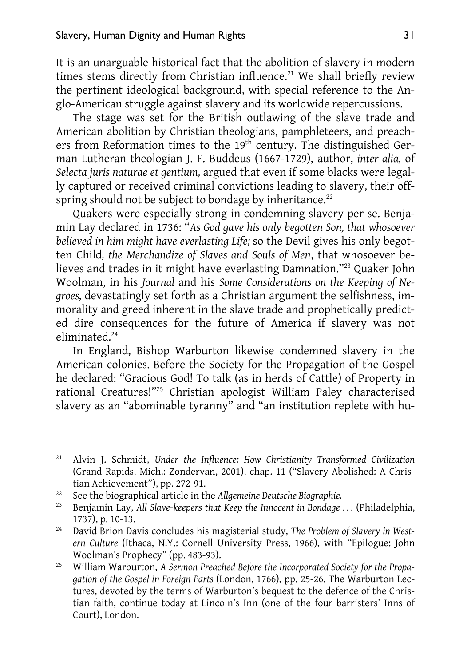It is an unarguable historical fact that the abolition of slavery in modern times stems directly from Christian influence.<sup>21</sup> We shall briefly review the pertinent ideological background, with special reference to the Anglo-American struggle against slavery and its worldwide repercussions.

The stage was set for the British outlawing of the slave trade and American abolition by Christian theologians, pamphleteers, and preachers from Reformation times to the 19<sup>th</sup> century. The distinguished German Lutheran theologian J. F. Buddeus (1667-1729), author, *inter alia,* of *Selecta juris naturae et gentium,* argued that even if some blacks were legally captured or received criminal convictions leading to slavery, their offspring should not be subject to bondage by inheritance.<sup>22</sup>

Quakers were especially strong in condemning slavery per se. Benjamin Lay declared in 1736: "*As God gave his only begotten Son, that whosoever believed in him might have everlasting Life;* so the Devil gives his only begotten Child*, the Merchandize of Slaves and Souls of Men*, that whosoever believes and trades in it might have everlasting Damnation."<sup>23</sup> Quaker John Woolman, in his *Journal* and his *Some Considerations on the Keeping of Negroes,* devastatingly set forth as a Christian argument the selfishness, immorality and greed inherent in the slave trade and prophetically predicted dire consequences for the future of America if slavery was not eliminated.24

In England, Bishop Warburton likewise condemned slavery in the American colonies. Before the Society for the Propagation of the Gospel he declared: "Gracious God! To talk (as in herds of Cattle) of Property in rational Creatures!"25 Christian apologist William Paley characterised slavery as an "abominable tyranny" and "an institution replete with hu-

<sup>21</sup> Alvin J. Schmidt, *Under the Influence: How Christianity Transformed Civilization*  (Grand Rapids, Mich.: Zondervan, 2001), chap. 11 ("Slavery Abolished: A Christian Achievement"), pp. 272-91.

<sup>22</sup> See the biographical article in the *Allgemeine Deutsche Biographie.* 

<sup>&</sup>lt;sup>23</sup> Benjamin Lay, *All Slave-keepers that Keep the Innocent in Bondage . . .* (Philadelphia, 1737), p. 10-13.

<sup>24</sup> David Brion Davis concludes his magisterial study, *The Problem of Slavery in Western Culture* (Ithaca, N.Y.: Cornell University Press, 1966), with "Epilogue: John Woolman's Prophecy" (pp. 483-93).

<sup>25</sup> William Warburton, *A Sermon Preached Before the Incorporated Society for the Propagation of the Gospel in Foreign Parts* (London, 1766), pp. 25-26. The Warburton Lectures, devoted by the terms of Warburton's bequest to the defence of the Christian faith, continue today at Lincoln's Inn (one of the four barristers' Inns of Court), London.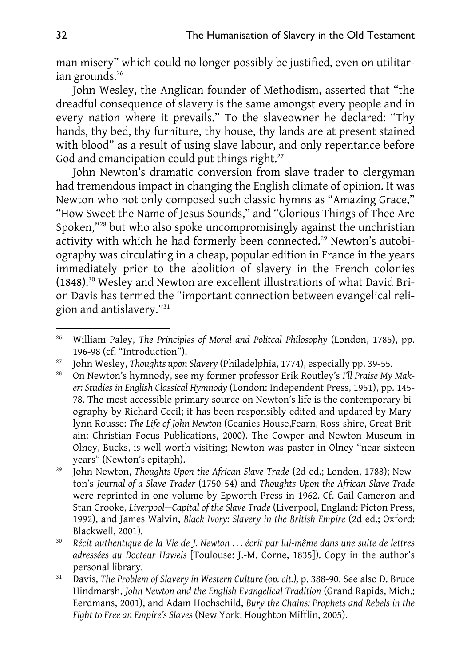man misery" which could no longer possibly be justified, even on utilitarian grounds.<sup>26</sup>

John Wesley, the Anglican founder of Methodism, asserted that "the dreadful consequence of slavery is the same amongst every people and in every nation where it prevails." To the slaveowner he declared: "Thy hands, thy bed, thy furniture, thy house, thy lands are at present stained with blood" as a result of using slave labour, and only repentance before God and emancipation could put things right.<sup>27</sup>

John Newton's dramatic conversion from slave trader to clergyman had tremendous impact in changing the English climate of opinion. It was Newton who not only composed such classic hymns as "Amazing Grace," "How Sweet the Name of Jesus Sounds," and "Glorious Things of Thee Are Spoken,"28 but who also spoke uncompromisingly against the unchristian activity with which he had formerly been connected.<sup>29</sup> Newton's autobiography was circulating in a cheap, popular edition in France in the years immediately prior to the abolition of slavery in the French colonies (1848).30 Wesley and Newton are excellent illustrations of what David Brion Davis has termed the "important connection between evangelical religion and antislavery."31

<sup>-</sup>26 William Paley, *The Principles of Moral and Politcal Philosophy* (London, 1785), pp. 196-98 (cf. "Introduction").

<sup>27</sup> John Wesley, *Thoughts upon Slavery* (Philadelphia, 1774), especially pp. 39-55.

<sup>28</sup> On Newton's hymnody, see my former professor Erik Routley's *I'll Praise My Maker: Studies in English Classical Hymnody* (London: Independent Press, 1951), pp. 145- 78. The most accessible primary source on Newton's life is the contemporary biography by Richard Cecil; it has been responsibly edited and updated by Marylynn Rousse: *The Life of John Newton* (Geanies House,Fearn, Ross-shire, Great Britain: Christian Focus Publications, 2000). The Cowper and Newton Museum in Olney, Bucks, is well worth visiting; Newton was pastor in Olney "near sixteen years" (Newton's epitaph).

<sup>29</sup> John Newton, *Thoughts Upon the African Slave Trade* (2d ed.; London, 1788); Newton's *Journal of a Slave Trader* (1750-54) and *Thoughts Upon the African Slave Trade* were reprinted in one volume by Epworth Press in 1962. Cf. Gail Cameron and Stan Crooke, *Liverpool—Capital of the Slave Trade* (Liverpool, England: Picton Press, 1992), and James Walvin, *Black Ivory: Slavery in the British Empire* (2d ed.; Oxford: Blackwell, 2001).

<sup>30</sup> *Récit authentique de la Vie de J. Newton . . . écrit par lui-même dans une suite de lettres adressées au Docteur Haweis* [Toulouse: J.-M. Corne, 1835]). Copy in the author's personal library.

<sup>&</sup>lt;sup>31</sup> Davis, *The Problem of Slavery in Western Culture (op. cit.)*, p. 388-90. See also D. Bruce Hindmarsh, *John Newton and the English Evangelical Tradition* (Grand Rapids, Mich.; Eerdmans, 2001), and Adam Hochschild, *Bury the Chains: Prophets and Rebels in the Fight to Free an Empire's Slaves* (New York: Houghton Mifflin, 2005).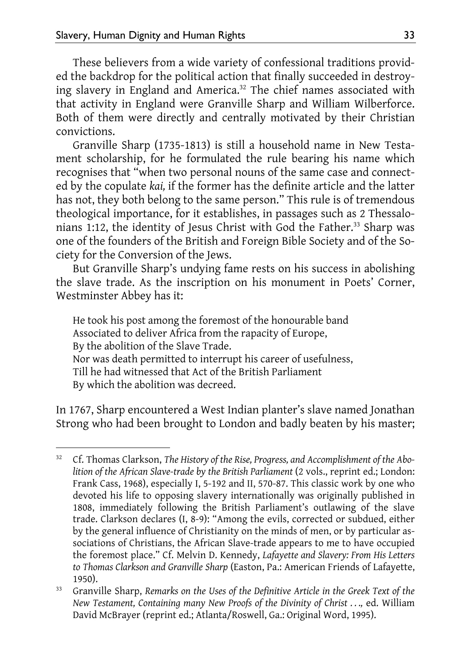-

These believers from a wide variety of confessional traditions provided the backdrop for the political action that finally succeeded in destroying slavery in England and America.<sup>32</sup> The chief names associated with that activity in England were Granville Sharp and William Wilberforce. Both of them were directly and centrally motivated by their Christian convictions.

Granville Sharp (1735-1813) is still a household name in New Testament scholarship, for he formulated the rule bearing his name which recognises that "when two personal nouns of the same case and connected by the copulate *kai,* if the former has the definite article and the latter has not, they both belong to the same person." This rule is of tremendous theological importance, for it establishes, in passages such as 2 Thessalonians 1:12, the identity of Jesus Christ with God the Father.<sup>33</sup> Sharp was one of the founders of the British and Foreign Bible Society and of the Society for the Conversion of the Jews.

But Granville Sharp's undying fame rests on his success in abolishing the slave trade. As the inscription on his monument in Poets' Corner, Westminster Abbey has it:

He took his post among the foremost of the honourable band Associated to deliver Africa from the rapacity of Europe, By the abolition of the Slave Trade. Nor was death permitted to interrupt his career of usefulness, Till he had witnessed that Act of the British Parliament By which the abolition was decreed.

In 1767, Sharp encountered a West Indian planter's slave named Jonathan Strong who had been brought to London and badly beaten by his master;

<sup>32</sup> Cf. Thomas Clarkson, *The History of the Rise, Progress, and Accomplishment of the Abo*lition of the African Slave-trade by the British Parliament (2 vols., reprint ed.; London: Frank Cass, 1968), especially I, 5-192 and II, 570-87. This classic work by one who devoted his life to opposing slavery internationally was originally published in 1808, immediately following the British Parliament's outlawing of the slave trade. Clarkson declares (I, 8-9): "Among the evils, corrected or subdued, either by the general influence of Christianity on the minds of men, or by particular associations of Christians, the African Slave-trade appears to me to have occupied the foremost place." Cf. Melvin D. Kennedy, *Lafayette and Slavery: From His Letters to Thomas Clarkson and Granville Sharp* (Easton, Pa.: American Friends of Lafayette, 1950).

<sup>33</sup> Granville Sharp, *Remarks on the Uses of the Definitive Article in the Greek Text of the New Testament, Containing many New Proofs of the Divinity of Christ ..., ed. William* David McBrayer (reprint ed.; Atlanta/Roswell, Ga.: Original Word, 1995).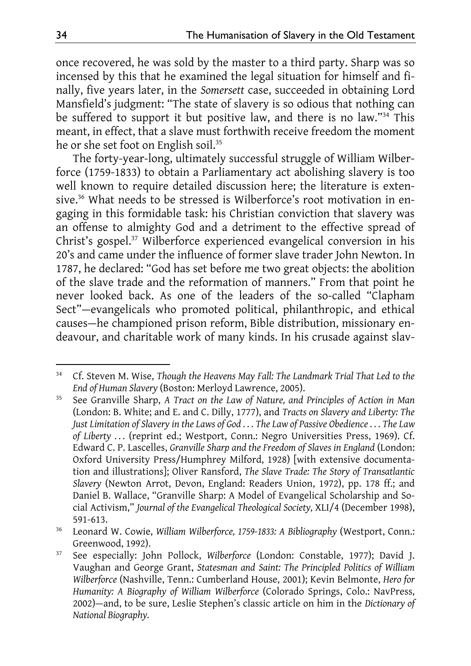once recovered, he was sold by the master to a third party. Sharp was so incensed by this that he examined the legal situation for himself and finally, five years later, in the *Somersett* case, succeeded in obtaining Lord Mansfield's judgment: "The state of slavery is so odious that nothing can be suffered to support it but positive law, and there is no law."34 This meant, in effect, that a slave must forthwith receive freedom the moment he or she set foot on English soil.<sup>35</sup>

The forty-year-long, ultimately successful struggle of William Wilberforce (1759-1833) to obtain a Parliamentary act abolishing slavery is too well known to require detailed discussion here; the literature is extensive.<sup>36</sup> What needs to be stressed is Wilberforce's root motivation in engaging in this formidable task: his Christian conviction that slavery was an offense to almighty God and a detriment to the effective spread of Christ's gospel.37 Wilberforce experienced evangelical conversion in his 20's and came under the influence of former slave trader John Newton. In 1787, he declared: "God has set before me two great objects: the abolition of the slave trade and the reformation of manners." From that point he never looked back. As one of the leaders of the so-called "Clapham Sect"—evangelicals who promoted political, philanthropic, and ethical causes—he championed prison reform, Bible distribution, missionary endeavour, and charitable work of many kinds. In his crusade against slav-

<sup>-</sup>34 Cf. Steven M. Wise, *Though the Heavens May Fall: The Landmark Trial That Led to the End of Human Slavery* (Boston: Merloyd Lawrence, 2005).

<sup>35</sup> See Granville Sharp, *A Tract on the Law of Nature, and Principles of Action in Man*  (London: B. White; and E. and C. Dilly, 1777), and *Tracts on Slavery and Liberty: The Just Limitation of Slavery in the Laws of God . . . The Law of Passive Obedience . . . The Law of Liberty . . .* (reprint ed.; Westport, Conn.: Negro Universities Press, 1969). Cf. Edward C. P. Lascelles, *Granville Sharp and the Freedom of Slaves in England* (London: Oxford University Press/Humphrey Milford, 1928) [with extensive documentation and illustrations]; Oliver Ransford, *The Slave Trade: The Story of Transatlantic Slavery* (Newton Arrot, Devon, England: Readers Union, 1972), pp. 178 ff.; and Daniel B. Wallace, "Granville Sharp: A Model of Evangelical Scholarship and Social Activism," *Journal of the Evangelical Theological Society,* XLI/4 (December 1998), 591-613.

<sup>36</sup> Leonard W. Cowie, *William Wilberforce, 1759-1833: A Bibliography* (Westport, Conn.: Greenwood, 1992).

<sup>37</sup> See especially: John Pollock, *Wilberforce* (London: Constable, 1977); David J. Vaughan and George Grant, *Statesman and Saint: The Principled Politics of William Wilberforce* (Nashville, Tenn.: Cumberland House, 2001); Kevin Belmonte, *Hero for Humanity: A Biography of William Wilberforce* (Colorado Springs, Colo.: NavPress, 2002)—and, to be sure, Leslie Stephen's classic article on him in the *Dictionary of National Biography.*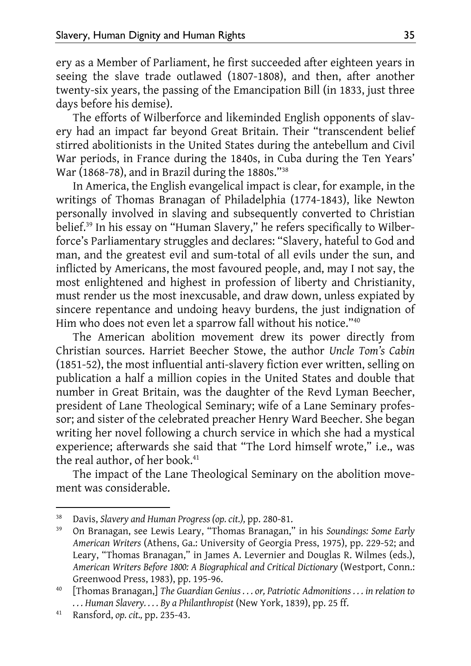ery as a Member of Parliament, he first succeeded after eighteen years in seeing the slave trade outlawed (1807-1808), and then, after another twenty-six years, the passing of the Emancipation Bill (in 1833, just three days before his demise).

The efforts of Wilberforce and likeminded English opponents of slavery had an impact far beyond Great Britain. Their "transcendent belief stirred abolitionists in the United States during the antebellum and Civil War periods, in France during the 1840s, in Cuba during the Ten Years' War (1868-78), and in Brazil during the 1880s."38

In America, the English evangelical impact is clear, for example, in the writings of Thomas Branagan of Philadelphia (1774-1843), like Newton personally involved in slaving and subsequently converted to Christian belief.39 In his essay on "Human Slavery," he refers specifically to Wilberforce's Parliamentary struggles and declares: "Slavery, hateful to God and man, and the greatest evil and sum-total of all evils under the sun, and inflicted by Americans, the most favoured people, and, may I not say, the most enlightened and highest in profession of liberty and Christianity, must render us the most inexcusable, and draw down, unless expiated by sincere repentance and undoing heavy burdens, the just indignation of Him who does not even let a sparrow fall without his notice."<sup>40</sup>

The American abolition movement drew its power directly from Christian sources. Harriet Beecher Stowe, the author *Uncle Tom's Cabin*  (1851-52), the most influential anti-slavery fiction ever written, selling on publication a half a million copies in the United States and double that number in Great Britain, was the daughter of the Revd Lyman Beecher, president of Lane Theological Seminary; wife of a Lane Seminary professor; and sister of the celebrated preacher Henry Ward Beecher. She began writing her novel following a church service in which she had a mystical experience; afterwards she said that "The Lord himself wrote," i.e., was the real author, of her book.<sup>41</sup>

The impact of the Lane Theological Seminary on the abolition movement was considerable.

<sup>38</sup> Davis, *Slavery and Human Progress (op. cit.),* pp. 280-81.

<sup>39</sup> On Branagan, see Lewis Leary, "Thomas Branagan," in his *Soundings: Some Early American Writers* (Athens, Ga.: University of Georgia Press, 1975), pp. 229-52; and Leary, "Thomas Branagan," in James A. Levernier and Douglas R. Wilmes (eds.), *American Writers Before 1800: A Biographical and Critical Dictionary* (Westport, Conn.: Greenwood Press, 1983), pp. 195-96.

<sup>40 [</sup>Thomas Branagan,] *The Guardian Genius . . . or, Patriotic Admonitions . . . in relation to . . . Human Slavery. . . . By a Philanthropist* (New York, 1839), pp. 25 ff.

<sup>41</sup> Ransford, *op. cit.,* pp. 235-43.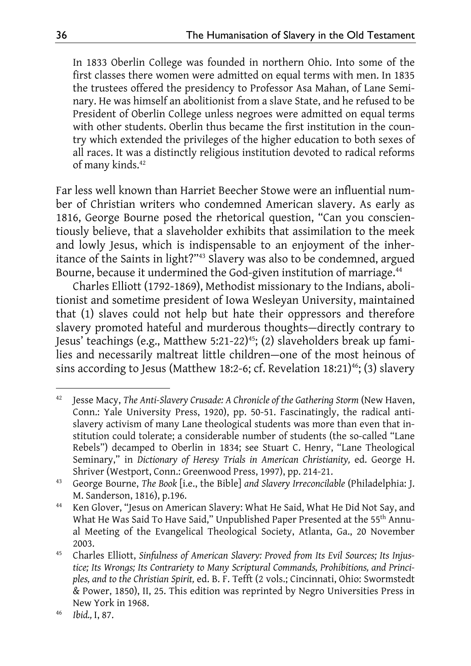In 1833 Oberlin College was founded in northern Ohio. Into some of the first classes there women were admitted on equal terms with men. In 1835 the trustees offered the presidency to Professor Asa Mahan, of Lane Seminary. He was himself an abolitionist from a slave State, and he refused to be President of Oberlin College unless negroes were admitted on equal terms with other students. Oberlin thus became the first institution in the country which extended the privileges of the higher education to both sexes of all races. It was a distinctly religious institution devoted to radical reforms of many kinds.<sup>42</sup>

Far less well known than Harriet Beecher Stowe were an influential number of Christian writers who condemned American slavery. As early as 1816, George Bourne posed the rhetorical question, "Can you conscientiously believe, that a slaveholder exhibits that assimilation to the meek and lowly Jesus, which is indispensable to an enjoyment of the inheritance of the Saints in light?"43 Slavery was also to be condemned, argued Bourne, because it undermined the God-given institution of marriage.<sup>44</sup>

Charles Elliott (1792-1869), Methodist missionary to the Indians, abolitionist and sometime president of Iowa Wesleyan University, maintained that (1) slaves could not help but hate their oppressors and therefore slavery promoted hateful and murderous thoughts—directly contrary to Jesus' teachings (e.g., Matthew 5:21-22)<sup>45</sup>; (2) slaveholders break up families and necessarily maltreat little children—one of the most heinous of sins according to Jesus (Matthew 18:2-6; cf. Revelation 18:21)<sup>46</sup>; (3) slavery

<sup>&</sup>lt;sup>42</sup> Jesse Macy, The Anti-Slavery Crusade: A Chronicle of the Gathering Storm (New Haven, Conn.: Yale University Press, 1920), pp. 50-51. Fascinatingly, the radical antislavery activism of many Lane theological students was more than even that institution could tolerate; a considerable number of students (the so-called "Lane Rebels") decamped to Oberlin in 1834; see Stuart C. Henry, "Lane Theological Seminary," in *Dictionary of Heresy Trials in American Christianity,* ed. George H. Shriver (Westport, Conn.: Greenwood Press, 1997), pp. 214-21.

<sup>43</sup> George Bourne, *The Book* [i.e., the Bible] *and Slavery Irreconcilable* (Philadelphia: J. M. Sanderson, 1816), p.196.

<sup>&</sup>lt;sup>44</sup> Ken Glover, "Jesus on American Slavery: What He Said, What He Did Not Say, and What He Was Said To Have Said," Unpublished Paper Presented at the 55<sup>th</sup> Annual Meeting of the Evangelical Theological Society, Atlanta, Ga., 20 November 2003.

<sup>45</sup> Charles Elliott, *Sinfulness of American Slavery: Proved from Its Evil Sources; Its Injustice; Its Wrongs; Its Contrariety to Many Scriptural Commands, Prohibitions, and Principles, and to the Christian Spirit,* ed. B. F. Tefft (2 vols.; Cincinnati, Ohio: Swormstedt & Power, 1850), II, 25. This edition was reprinted by Negro Universities Press in New York in 1968.

<sup>46</sup> *Ibid.,* I, 87.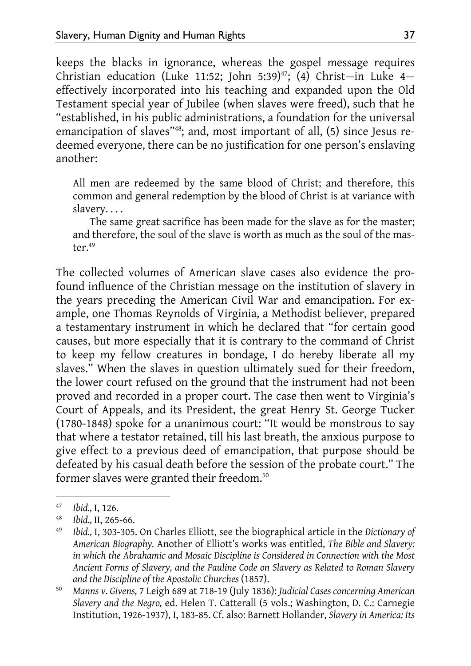keeps the blacks in ignorance, whereas the gospel message requires Christian education (Luke 11:52; John 5:39)<sup>47</sup>; (4) Christ-in Luke 4effectively incorporated into his teaching and expanded upon the Old Testament special year of Jubilee (when slaves were freed), such that he "established, in his public administrations, a foundation for the universal emancipation of slaves"<sup>48</sup>; and, most important of all, (5) since Jesus redeemed everyone, there can be no justification for one person's enslaving another:

All men are redeemed by the same blood of Christ; and therefore, this common and general redemption by the blood of Christ is at variance with slavery. . . .

The same great sacrifice has been made for the slave as for the master; and therefore, the soul of the slave is worth as much as the soul of the master.49

The collected volumes of American slave cases also evidence the profound influence of the Christian message on the institution of slavery in the years preceding the American Civil War and emancipation. For example, one Thomas Reynolds of Virginia, a Methodist believer, prepared a testamentary instrument in which he declared that "for certain good causes, but more especially that it is contrary to the command of Christ to keep my fellow creatures in bondage, I do hereby liberate all my slaves." When the slaves in question ultimately sued for their freedom, the lower court refused on the ground that the instrument had not been proved and recorded in a proper court. The case then went to Virginia's Court of Appeals, and its President, the great Henry St. George Tucker (1780-1848) spoke for a unanimous court: "It would be monstrous to say that where a testator retained, till his last breath, the anxious purpose to give effect to a previous deed of emancipation, that purpose should be defeated by his casual death before the session of the probate court." The former slaves were granted their freedom.<sup>50</sup>

<sup>47</sup> *Ibid.,* I, 126.

<sup>48</sup> *Ibid.,* II, 265-66.

<sup>49</sup> *Ibid.,* I, 303-305. On Charles Elliott, see the biographical article in the *Dictionary of American Biography.* Another of Elliott's works was entitled, *The Bible and Slavery: in which the Abrahamic and Mosaic Discipline is Considered in Connection with the Most Ancient Forms of Slavery, and the Pauline Code on Slavery as Related to Roman Slavery and the Discipline of the Apostolic Churches* (1857).

<sup>50</sup> *Manns v. Givens,* 7 Leigh 689 at 718-19 (July 1836): *Judicial Cases concerning American Slavery and the Negro,* ed. Helen T. Catterall (5 vols.; Washington, D. C.: Carnegie Institution, 1926-1937), I, 183-85. Cf. also: Barnett Hollander, *Slavery in America: Its*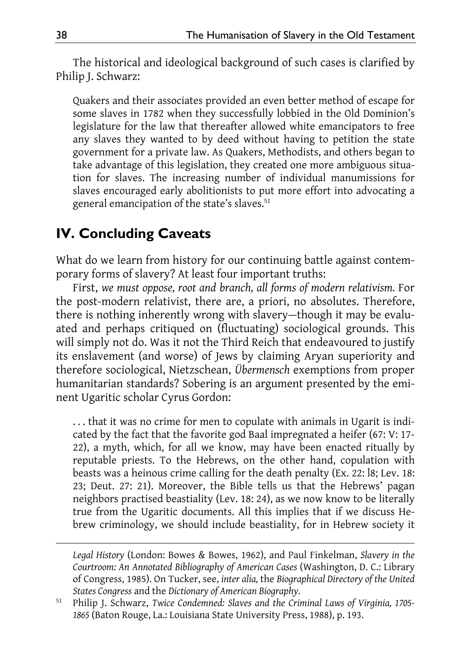The historical and ideological background of such cases is clarified by Philip J. Schwarz:

Quakers and their associates provided an even better method of escape for some slaves in 1782 when they successfully lobbied in the Old Dominion's legislature for the law that thereafter allowed white emancipators to free any slaves they wanted to by deed without having to petition the state government for a private law. As Quakers, Methodists, and others began to take advantage of this legislation, they created one more ambiguous situation for slaves. The increasing number of individual manumissions for slaves encouraged early abolitionists to put more effort into advocating a general emancipation of the state's slaves.<sup>51</sup>

## **IV. Concluding Caveats**

What do we learn from history for our continuing battle against contemporary forms of slavery? At least four important truths:

First, *we must oppose, root and branch, all forms of modern relativism.* For the post-modern relativist, there are, a priori, no absolutes. Therefore, there is nothing inherently wrong with slavery—though it may be evaluated and perhaps critiqued on (fluctuating) sociological grounds. This will simply not do. Was it not the Third Reich that endeavoured to justify its enslavement (and worse) of Jews by claiming Aryan superiority and therefore sociological, Nietzschean, *Übermensch* exemptions from proper humanitarian standards? Sobering is an argument presented by the eminent Ugaritic scholar Cyrus Gordon:

. . . that it was no crime for men to copulate with animals in Ugarit is indicated by the fact that the favorite god Baal impregnated a heifer (67: V: 17- 22), a myth, which, for all we know, may have been enacted ritually by reputable priests. To the Hebrews, on the other hand, copulation with beasts was a heinous crime calling for the death penalty (Ex. 22: l8; Lev. 18: 23; Deut. 27: 21). Moreover, the Bible tells us that the Hebrews' pagan neighbors practised beastiality (Lev. 18: 24), as we now know to be literally true from the Ugaritic documents. All this implies that if we discuss Hebrew criminology, we should include beastiality, for in Hebrew society it

*Legal History* (London: Bowes & Bowes, 1962), and Paul Finkelman, *Slavery in the Courtroom: An Annotated Bibliography of American Cases* (Washington, D. C.: Library of Congress, 1985). On Tucker, see, *inter alia,* the *Biographical Directory of the United States Congress* and the *Dictionary of American Biography.* 

<sup>51</sup> Philip J. Schwarz, *Twice Condemned: Slaves and the Criminal Laws of Virginia, 1705- 1865* (Baton Rouge, La.: Louisiana State University Press, 1988), p. 193.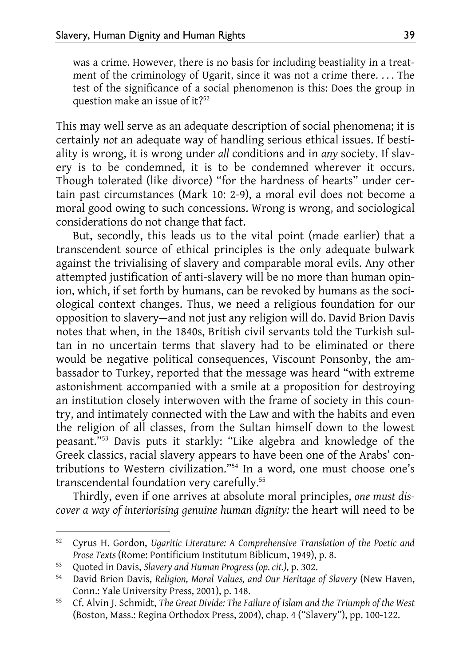was a crime. However, there is no basis for including beastiality in a treatment of the criminology of Ugarit, since it was not a crime there. . . . The test of the significance of a social phenomenon is this: Does the group in question make an issue of it?<sup>52</sup>

This may well serve as an adequate description of social phenomena; it is certainly *not* an adequate way of handling serious ethical issues. If bestiality is wrong, it is wrong under *all* conditions and in *any* society. If slavery is to be condemned, it is to be condemned wherever it occurs. Though tolerated (like divorce) "for the hardness of hearts" under certain past circumstances (Mark 10: 2-9), a moral evil does not become a moral good owing to such concessions. Wrong is wrong, and sociological considerations do not change that fact.

But, secondly, this leads us to the vital point (made earlier) that a transcendent source of ethical principles is the only adequate bulwark against the trivialising of slavery and comparable moral evils. Any other attempted justification of anti-slavery will be no more than human opinion, which, if set forth by humans, can be revoked by humans as the sociological context changes. Thus, we need a religious foundation for our opposition to slavery—and not just any religion will do. David Brion Davis notes that when, in the 1840s, British civil servants told the Turkish sultan in no uncertain terms that slavery had to be eliminated or there would be negative political consequences, Viscount Ponsonby, the ambassador to Turkey, reported that the message was heard "with extreme astonishment accompanied with a smile at a proposition for destroying an institution closely interwoven with the frame of society in this country, and intimately connected with the Law and with the habits and even the religion of all classes, from the Sultan himself down to the lowest peasant."53 Davis puts it starkly: "Like algebra and knowledge of the Greek classics, racial slavery appears to have been one of the Arabs' contributions to Western civilization."54 In a word, one must choose one's transcendental foundation very carefully.<sup>55</sup>

Thirdly, even if one arrives at absolute moral principles, *one must discover a way of interiorising genuine human dignity:* the heart will need to be

<sup>52</sup> Cyrus H. Gordon, *Ugaritic Literature: A Comprehensive Translation of the Poetic and Prose Texts* (Rome: Pontificium Institutum Biblicum, 1949), p. 8.

<sup>53</sup> Quoted in Davis, *Slavery and Human Progress (op. cit.),* p. 302.

<sup>54</sup> David Brion Davis, *Religion, Moral Values, and Our Heritage of Slavery* (New Haven, Conn.: Yale University Press, 2001), p. 148.

<sup>55</sup> Cf. Alvin J. Schmidt, *The Great Divide: The Failure of Islam and the Triumph of the West*  (Boston, Mass.: Regina Orthodox Press, 2004), chap. 4 ("Slavery"), pp. 100-122.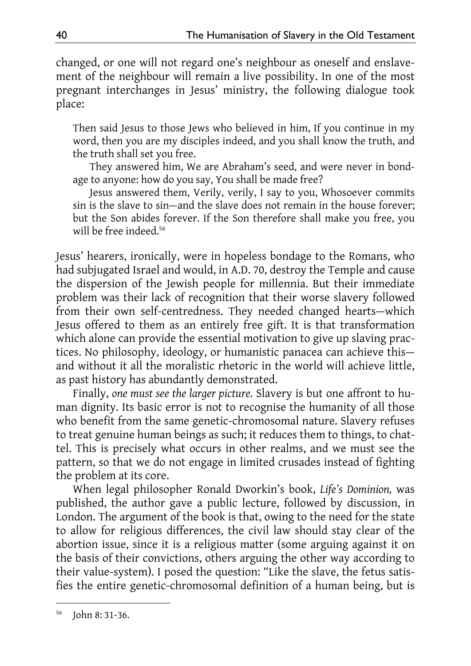changed, or one will not regard one's neighbour as oneself and enslavement of the neighbour will remain a live possibility. In one of the most pregnant interchanges in Jesus' ministry, the following dialogue took place:

Then said Jesus to those Jews who believed in him, If you continue in my word, then you are my disciples indeed, and you shall know the truth, and the truth shall set you free.

They answered him, We are Abraham's seed, and were never in bondage to anyone: how do you say, You shall be made free?

Jesus answered them, Verily, verily, I say to you, Whosoever commits sin is the slave to sin—and the slave does not remain in the house forever; but the Son abides forever. If the Son therefore shall make you free, you will be free indeed.<sup>56</sup>

Jesus' hearers, ironically, were in hopeless bondage to the Romans, who had subjugated Israel and would, in A.D. 70, destroy the Temple and cause the dispersion of the Jewish people for millennia. But their immediate problem was their lack of recognition that their worse slavery followed from their own self-centredness. They needed changed hearts—which Jesus offered to them as an entirely free gift. It is that transformation which alone can provide the essential motivation to give up slaving practices. No philosophy, ideology, or humanistic panacea can achieve this and without it all the moralistic rhetoric in the world will achieve little, as past history has abundantly demonstrated.

Finally, *one must see the larger picture.* Slavery is but one affront to human dignity. Its basic error is not to recognise the humanity of all those who benefit from the same genetic-chromosomal nature. Slavery refuses to treat genuine human beings as such; it reduces them to things, to chattel. This is precisely what occurs in other realms, and we must see the pattern, so that we do not engage in limited crusades instead of fighting the problem at its core.

When legal philosopher Ronald Dworkin's book, *Life's Dominion,* was published, the author gave a public lecture, followed by discussion, in London. The argument of the book is that, owing to the need for the state to allow for religious differences, the civil law should stay clear of the abortion issue, since it is a religious matter (some arguing against it on the basis of their convictions, others arguing the other way according to their value-system). I posed the question: "Like the slave, the fetus satisfies the entire genetic-chromosomal definition of a human being, but is

<sup>56</sup> John 8: 31-36.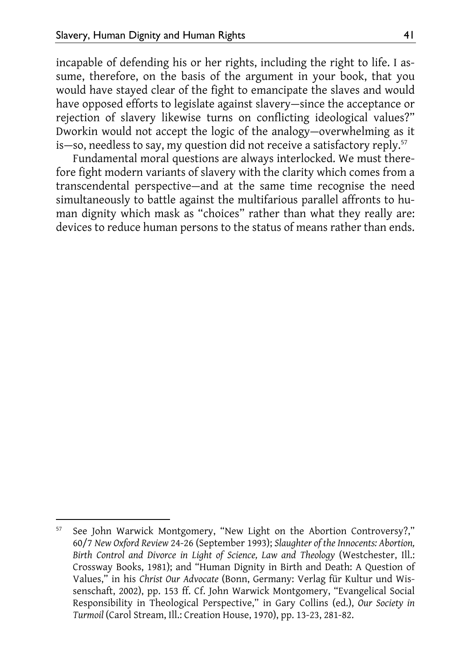incapable of defending his or her rights, including the right to life. I assume, therefore, on the basis of the argument in your book, that you would have stayed clear of the fight to emancipate the slaves and would have opposed efforts to legislate against slavery—since the acceptance or rejection of slavery likewise turns on conflicting ideological values?" Dworkin would not accept the logic of the analogy—overwhelming as it is—so, needless to say, my question did not receive a satisfactory reply.57

Fundamental moral questions are always interlocked. We must therefore fight modern variants of slavery with the clarity which comes from a transcendental perspective—and at the same time recognise the need simultaneously to battle against the multifarious parallel affronts to human dignity which mask as "choices" rather than what they really are: devices to reduce human persons to the status of means rather than ends.

<sup>&</sup>lt;sup>57</sup> See John Warwick Montgomery, "New Light on the Abortion Controversy?," 60/7 *New Oxford Review* 24-26 (September 1993); *Slaughter of the Innocents: Abortion, Birth Control and Divorce in Light of Science, Law and Theology* (Westchester, Ill.: Crossway Books, 1981); and "Human Dignity in Birth and Death: A Question of Values," in his *Christ Our Advocate* (Bonn, Germany: Verlag für Kultur und Wissenschaft, 2002), pp. 153 ff. Cf. John Warwick Montgomery, "Evangelical Social Responsibility in Theological Perspective," in Gary Collins (ed.), *Our Society in Turmoil* (Carol Stream, Ill.: Creation House, 1970), pp. 13-23, 281-82.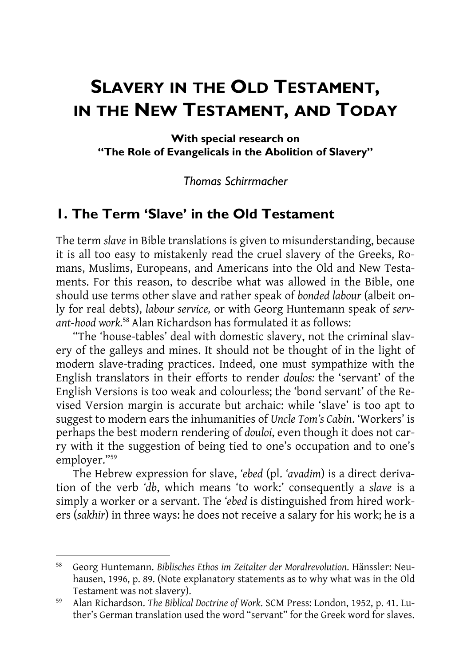# **SLAVERY IN THE OLD TESTAMENT, IN THE NEW TESTAMENT, AND TODAY**

**With special research on "The Role of Evangelicals in the Abolition of Slavery"** 

#### *Thomas Schirrmacher*

#### **1. The Term 'Slave' in the Old Testament**

The term *slave* in Bible translations is given to misunderstanding, because it is all too easy to mistakenly read the cruel slavery of the Greeks, Romans, Muslims, Europeans, and Americans into the Old and New Testaments. For this reason, to describe what was allowed in the Bible, one should use terms other slave and rather speak of *bonded labour* (albeit only for real debts), *labour service,* or with Georg Huntemann speak of *servant-hood work.*<sup>58</sup> Alan Richardson has formulated it as follows:

"The 'house-tables' deal with domestic slavery, not the criminal slavery of the galleys and mines. It should not be thought of in the light of modern slave-trading practices. Indeed, one must sympathize with the English translators in their efforts to render *doulos:* the 'servant' of the English Versions is too weak and colourless; the 'bond servant' of the Revised Version margin is accurate but archaic: while 'slave' is too apt to suggest to modern ears the inhumanities of *Uncle Tom's Cabin*. 'Workers' is perhaps the best modern rendering of *douloi*, even though it does not carry with it the suggestion of being tied to one's occupation and to one's employer."59

The Hebrew expression for slave, *'ebed* (pl. *'avadim*) is a direct derivation of the verb *'db*, which means 'to work:' consequently a *slave* is a simply a worker or a servant. The *'ebed* is distinguished from hired workers (*sakhir*) in three ways: he does not receive a salary for his work; he is a

<sup>58</sup> Georg Huntemann. *Biblisches Ethos im Zeitalter der Moralrevolution*. Hänssler: Neuhausen, 1996, p. 89. (Note explanatory statements as to why what was in the Old Testament was not slavery).

<sup>59</sup> Alan Richardson. *The Biblical Doctrine of Work*. SCM Press: London, 1952, p. 41. Luther's German translation used the word "servant" for the Greek word for slaves.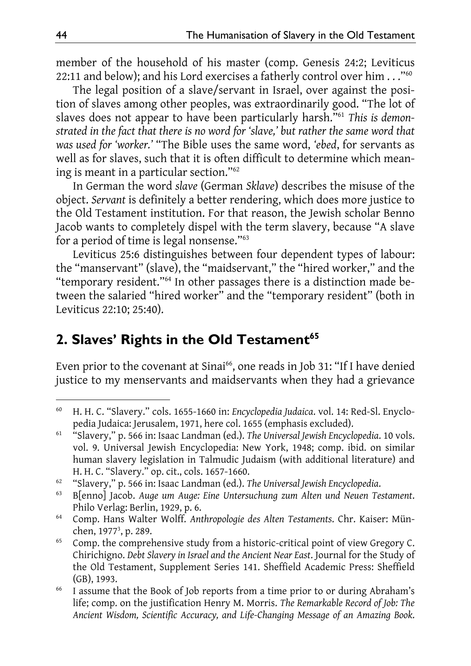member of the household of his master (comp. Genesis 24:2; Leviticus 22:11 and below); and his Lord exercises a fatherly control over him . . . "<sup>60</sup>

The legal position of a slave/servant in Israel, over against the position of slaves among other peoples, was extraordinarily good. "The lot of slaves does not appear to have been particularly harsh."61 *This is demonstrated in the fact that there is no word for 'slave,' but rather the same word that was used for 'worker.'* "The Bible uses the same word, *'ebed*, for servants as well as for slaves, such that it is often difficult to determine which meaning is meant in a particular section."62

In German the word *slave* (German *Sklave*) describes the misuse of the object. *Servant* is definitely a better rendering, which does more justice to the Old Testament institution. For that reason, the Jewish scholar Benno Jacob wants to completely dispel with the term slavery, because "A slave for a period of time is legal nonsense."63

Leviticus 25:6 distinguishes between four dependent types of labour: the "manservant" (slave), the "maidservant," the "hired worker," and the "temporary resident."64 In other passages there is a distinction made between the salaried "hired worker" and the "temporary resident" (both in Leviticus 22:10; 25:40).

### 2. Slaves' Rights in the Old Testament<sup>65</sup>

Even prior to the covenant at Sinai<sup>66</sup>, one reads in Job 31: "If I have denied justice to my menservants and maidservants when they had a grievance

<sup>60</sup> H. H. C. "Slavery." cols. 1655-1660 in: *Encyclopedia Judaica*. vol. 14: Red-Sl. Enyclopedia Judaica: Jerusalem, 1971, here col. 1655 (emphasis excluded).

<sup>61 &</sup>quot;Slavery," p. 566 in: Isaac Landman (ed.). *The Universal Jewish Encyclopedia*. 10 vols. vol. 9. Universal Jewish Encyclopedia: New York, 1948; comp. ibid. on similar human slavery legislation in Talmudic Judaism (with additional literature) and H. H. C. "Slavery." op. cit., cols. 1657-1660.<br>"Slavery," p. 566 in: Isaac Landman (ed.). The Universal Jewish Encyclopedia.

<sup>62 &</sup>quot;Slavery," p. 566 in: Isaac Landman (ed.). *The Universal Jewish Encyclopedia*. 63 B[enno] Jacob. *Auge um Auge: Eine Untersuchung zum Alten und Neuen Testament*. Philo Verlag: Berlin, 1929, p. 6.

<sup>64</sup> Comp. Hans Walter Wolff. *Anthropologie des Alten Testaments*. Chr. Kaiser: München, 1977<sup>3</sup>, p. 289.

<sup>&</sup>lt;sup>65</sup> Comp. the comprehensive study from a historic-critical point of view Gregory C. Chirichigno. *Debt Slavery in Israel and the Ancient Near East*. Journal for the Study of the Old Testament, Supplement Series 141. Sheffield Academic Press: Sheffield (GB), 1993.

<sup>&</sup>lt;sup>66</sup> I assume that the Book of Job reports from a time prior to or during Abraham's life; comp. on the justification Henry M. Morris. *The Remarkable Record of Job: The Ancient Wisdom, Scientific Accuracy, and Life-Changing Message of an Amazing Book*.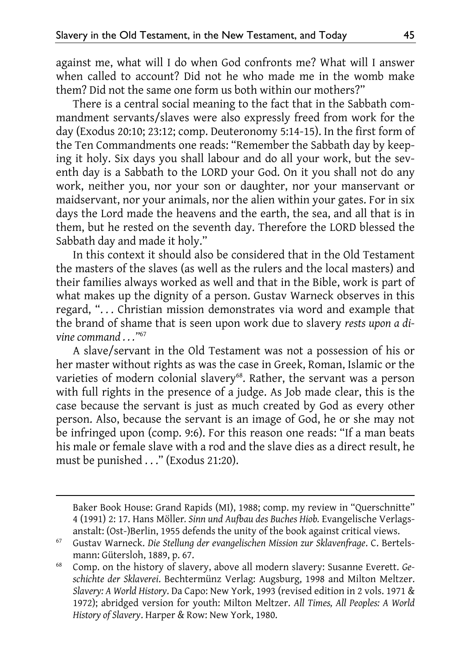against me, what will I do when God confronts me? What will I answer when called to account? Did not he who made me in the womb make them? Did not the same one form us both within our mothers?"

There is a central social meaning to the fact that in the Sabbath commandment servants/slaves were also expressly freed from work for the day (Exodus 20:10; 23:12; comp. Deuteronomy 5:14-15). In the first form of the Ten Commandments one reads: "Remember the Sabbath day by keeping it holy. Six days you shall labour and do all your work, but the seventh day is a Sabbath to the LORD your God. On it you shall not do any work, neither you, nor your son or daughter, nor your manservant or maidservant, nor your animals, nor the alien within your gates. For in six days the Lord made the heavens and the earth, the sea, and all that is in them, but he rested on the seventh day. Therefore the LORD blessed the Sabbath day and made it holy."

In this context it should also be considered that in the Old Testament the masters of the slaves (as well as the rulers and the local masters) and their families always worked as well and that in the Bible, work is part of what makes up the dignity of a person. Gustav Warneck observes in this regard, ". . . Christian mission demonstrates via word and example that the brand of shame that is seen upon work due to slavery *rests upon a divine command . . ."*<sup>67</sup>

A slave/servant in the Old Testament was not a possession of his or her master without rights as was the case in Greek, Roman, Islamic or the varieties of modern colonial slavery<sup>68</sup>. Rather, the servant was a person with full rights in the presence of a judge. As Job made clear, this is the case because the servant is just as much created by God as every other person. Also, because the servant is an image of God, he or she may not be infringed upon (comp. 9:6). For this reason one reads: "If a man beats his male or female slave with a rod and the slave dies as a direct result, he must be punished . . ." (Exodus 21:20).

Baker Book House: Grand Rapids (MI), 1988; comp. my review in "Querschnitte" 4 (1991) 2: 17. Hans Möller*. Sinn und Aufbau des Buches Hiob.* Evangelische Verlagsanstalt: (Ost-)Berlin, 1955 defends the unity of the book against critical views.

<sup>67</sup> Gustav Warneck. *Die Stellung der evangelischen Mission zur Sklavenfrage*. C. Bertelsmann: Gütersloh, 1889, p. 67.

<sup>68</sup> Comp. on the history of slavery, above all modern slavery: Susanne Everett. *Geschichte der Sklaverei*. Bechtermünz Verlag: Augsburg, 1998 and Milton Meltzer. *Slavery: A World History*. Da Capo: New York, 1993 (revised edition in 2 vols. 1971 & 1972); abridged version for youth: Milton Meltzer. *All Times, All Peoples: A World History of Slavery*. Harper & Row: New York, 1980.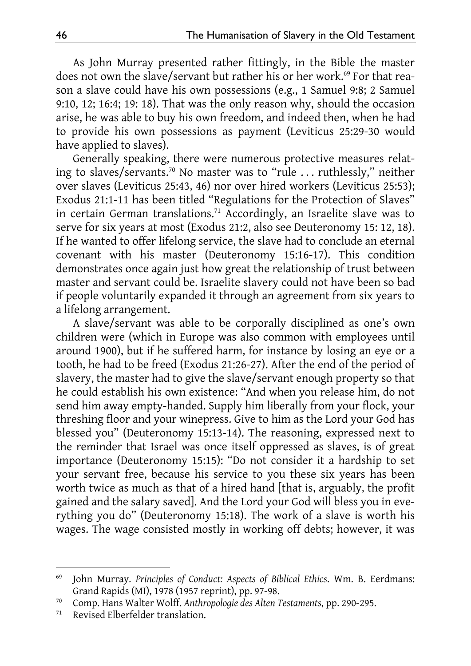As John Murray presented rather fittingly, in the Bible the master does not own the slave/servant but rather his or her work.<sup>69</sup> For that reason a slave could have his own possessions (e.g., 1 Samuel 9:8; 2 Samuel 9:10, 12; 16:4; 19: 18). That was the only reason why, should the occasion arise, he was able to buy his own freedom, and indeed then, when he had to provide his own possessions as payment (Leviticus 25:29-30 would have applied to slaves).

Generally speaking, there were numerous protective measures relating to slaves/servants.70 No master was to "rule . . . ruthlessly," neither over slaves (Leviticus 25:43, 46) nor over hired workers (Leviticus 25:53); Exodus 21:1-11 has been titled "Regulations for the Protection of Slaves" in certain German translations.<sup>71</sup> Accordingly, an Israelite slave was to serve for six years at most (Exodus 21:2, also see Deuteronomy 15: 12, 18). If he wanted to offer lifelong service, the slave had to conclude an eternal covenant with his master (Deuteronomy 15:16-17). This condition demonstrates once again just how great the relationship of trust between master and servant could be. Israelite slavery could not have been so bad if people voluntarily expanded it through an agreement from six years to a lifelong arrangement.

A slave/servant was able to be corporally disciplined as one's own children were (which in Europe was also common with employees until around 1900), but if he suffered harm, for instance by losing an eye or a tooth, he had to be freed (Exodus 21:26-27). After the end of the period of slavery, the master had to give the slave/servant enough property so that he could establish his own existence: "And when you release him, do not send him away empty-handed. Supply him liberally from your flock, your threshing floor and your winepress. Give to him as the Lord your God has blessed you" (Deuteronomy 15:13-14). The reasoning, expressed next to the reminder that Israel was once itself oppressed as slaves, is of great importance (Deuteronomy 15:15): "Do not consider it a hardship to set your servant free, because his service to you these six years has been worth twice as much as that of a hired hand [that is, arguably, the profit gained and the salary saved]. And the Lord your God will bless you in everything you do" (Deuteronomy 15:18). The work of a slave is worth his wages. The wage consisted mostly in working off debts; however, it was

<sup>69</sup> John Murray. *Principles of Conduct: Aspects of Biblical Ethics*. Wm. B. Eerdmans: Grand Rapids (MI), 1978 (1957 reprint), pp. 97-98.

<sup>70</sup> Comp. Hans Walter Wolff. *Anthropologie des Alten Testaments*, pp. 290-295.

Revised Elberfelder translation.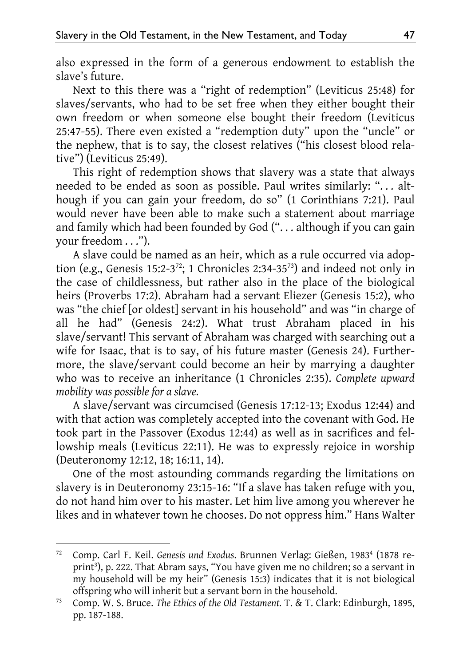also expressed in the form of a generous endowment to establish the slave's future.

Next to this there was a "right of redemption" (Leviticus 25:48) for slaves/servants, who had to be set free when they either bought their own freedom or when someone else bought their freedom (Leviticus 25:47-55). There even existed a "redemption duty" upon the "uncle" or the nephew, that is to say, the closest relatives ("his closest blood relative") (Leviticus 25:49).

This right of redemption shows that slavery was a state that always needed to be ended as soon as possible. Paul writes similarly: ". . . although if you can gain your freedom, do so" (1 Corinthians 7:21). Paul would never have been able to make such a statement about marriage and family which had been founded by God ("... although if you can gain your freedom . . .").

A slave could be named as an heir, which as a rule occurred via adoption (e.g., Genesis 15:2-3<sup>72</sup>; 1 Chronicles 2:34-35<sup>73</sup>) and indeed not only in the case of childlessness, but rather also in the place of the biological heirs (Proverbs 17:2). Abraham had a servant Eliezer (Genesis 15:2), who was "the chief [or oldest] servant in his household" and was "in charge of all he had" (Genesis 24:2). What trust Abraham placed in his slave/servant! This servant of Abraham was charged with searching out a wife for Isaac, that is to say, of his future master (Genesis 24). Furthermore, the slave/servant could become an heir by marrying a daughter who was to receive an inheritance (1 Chronicles 2:35). *Complete upward mobility was possible for a slave.*

A slave/servant was circumcised (Genesis 17:12-13; Exodus 12:44) and with that action was completely accepted into the covenant with God. He took part in the Passover (Exodus 12:44) as well as in sacrifices and fellowship meals (Leviticus 22:11). He was to expressly rejoice in worship (Deuteronomy 12:12, 18; 16:11, 14).

One of the most astounding commands regarding the limitations on slavery is in Deuteronomy 23:15-16: "If a slave has taken refuge with you, do not hand him over to his master. Let him live among you wherever he likes and in whatever town he chooses. Do not oppress him." Hans Walter

<sup>&</sup>lt;sup>72</sup> Comp. Carl F. Keil. *Genesis und Exodus*. Brunnen Verlag: Gießen, 1983<sup>4</sup> (1878 reprint<sup>3</sup>), p. 222. That Abram says, "You have given me no children; so a servant in my household will be my heir" (Genesis 15:3) indicates that it is not biological offspring who will inherit but a servant born in the household.

<sup>73</sup> Comp. W. S. Bruce. *The Ethics of the Old Testament.* T. & T. Clark: Edinburgh, 1895, pp. 187-188.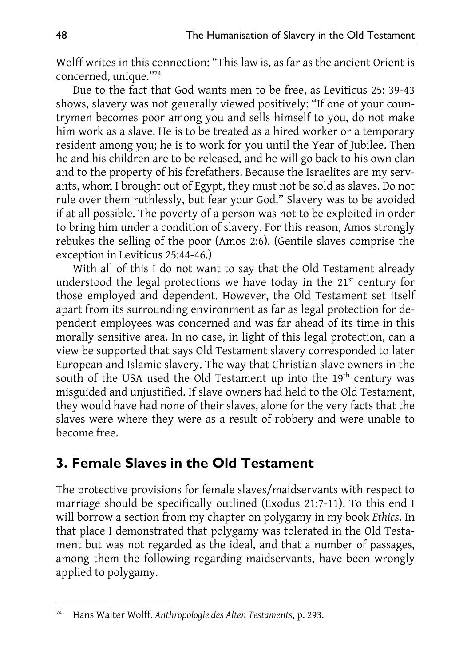Wolff writes in this connection: "This law is, as far as the ancient Orient is concerned, unique."74

Due to the fact that God wants men to be free, as Leviticus 25: 39-43 shows, slavery was not generally viewed positively: "If one of your countrymen becomes poor among you and sells himself to you, do not make him work as a slave. He is to be treated as a hired worker or a temporary resident among you; he is to work for you until the Year of Jubilee. Then he and his children are to be released, and he will go back to his own clan and to the property of his forefathers. Because the Israelites are my servants, whom I brought out of Egypt, they must not be sold as slaves. Do not rule over them ruthlessly, but fear your God." Slavery was to be avoided if at all possible. The poverty of a person was not to be exploited in order to bring him under a condition of slavery. For this reason, Amos strongly rebukes the selling of the poor (Amos 2:6). (Gentile slaves comprise the exception in Leviticus 25:44-46.)

With all of this I do not want to say that the Old Testament already understood the legal protections we have today in the  $21<sup>st</sup>$  century for those employed and dependent. However, the Old Testament set itself apart from its surrounding environment as far as legal protection for dependent employees was concerned and was far ahead of its time in this morally sensitive area. In no case, in light of this legal protection, can a view be supported that says Old Testament slavery corresponded to later European and Islamic slavery. The way that Christian slave owners in the south of the USA used the Old Testament up into the 19<sup>th</sup> century was misguided and unjustified. If slave owners had held to the Old Testament, they would have had none of their slaves, alone for the very facts that the slaves were where they were as a result of robbery and were unable to become free.

## **3. Female Slaves in the Old Testament**

The protective provisions for female slaves/maidservants with respect to marriage should be specifically outlined (Exodus 21:7-11). To this end I will borrow a section from my chapter on polygamy in my book *Ethics*. In that place I demonstrated that polygamy was tolerated in the Old Testament but was not regarded as the ideal, and that a number of passages, among them the following regarding maidservants, have been wrongly applied to polygamy.

<sup>-</sup>74 Hans Walter Wolff. *Anthropologie des Alten Testaments*, p. 293.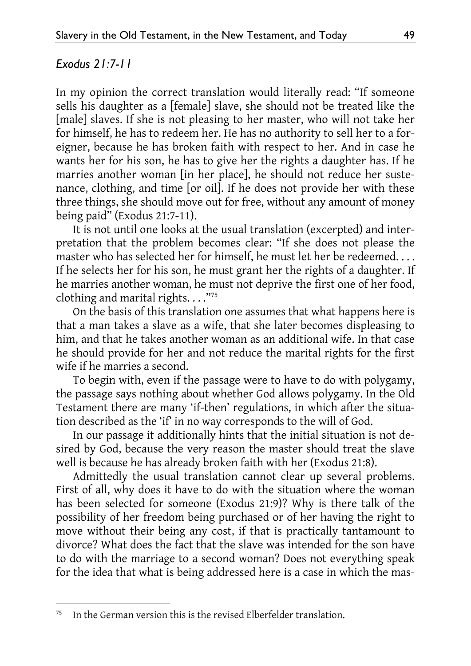#### *Exodus 21:7-11*

-

In my opinion the correct translation would literally read: "If someone sells his daughter as a [female] slave, she should not be treated like the [male] slaves. If she is not pleasing to her master, who will not take her for himself, he has to redeem her. He has no authority to sell her to a foreigner, because he has broken faith with respect to her. And in case he wants her for his son, he has to give her the rights a daughter has. If he marries another woman [in her place], he should not reduce her sustenance, clothing, and time [or oil]. If he does not provide her with these three things, she should move out for free, without any amount of money being paid" (Exodus 21:7-11).

It is not until one looks at the usual translation (excerpted) and interpretation that the problem becomes clear: "If she does not please the master who has selected her for himself, he must let her be redeemed. . . . If he selects her for his son, he must grant her the rights of a daughter. If he marries another woman, he must not deprive the first one of her food, clothing and marital rights. . . ."75

On the basis of this translation one assumes that what happens here is that a man takes a slave as a wife, that she later becomes displeasing to him, and that he takes another woman as an additional wife. In that case he should provide for her and not reduce the marital rights for the first wife if he marries a second.

To begin with, even if the passage were to have to do with polygamy, the passage says nothing about whether God allows polygamy. In the Old Testament there are many 'if-then' regulations, in which after the situation described as the 'if' in no way corresponds to the will of God.

In our passage it additionally hints that the initial situation is not desired by God, because the very reason the master should treat the slave well is because he has already broken faith with her (Exodus 21:8).

Admittedly the usual translation cannot clear up several problems. First of all, why does it have to do with the situation where the woman has been selected for someone (Exodus 21:9)? Why is there talk of the possibility of her freedom being purchased or of her having the right to move without their being any cost, if that is practically tantamount to divorce? What does the fact that the slave was intended for the son have to do with the marriage to a second woman? Does not everything speak for the idea that what is being addressed here is a case in which the mas-

 $75$  In the German version this is the revised Elberfelder translation.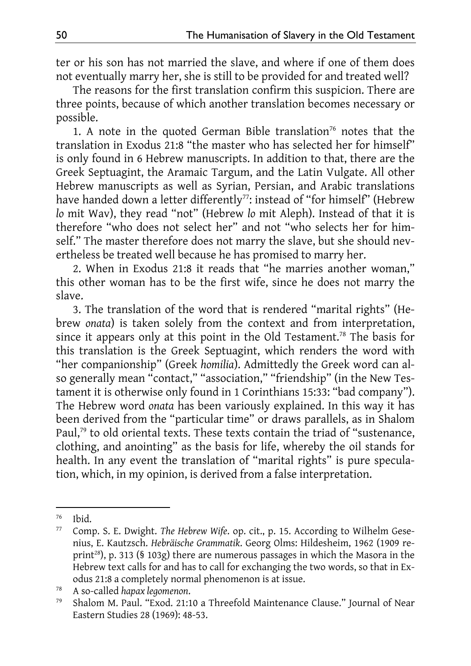ter or his son has not married the slave, and where if one of them does not eventually marry her, she is still to be provided for and treated well?

The reasons for the first translation confirm this suspicion. There are three points, because of which another translation becomes necessary or possible.

1. A note in the quoted German Bible translation<sup>76</sup> notes that the translation in Exodus 21:8 "the master who has selected her for himself" is only found in 6 Hebrew manuscripts. In addition to that, there are the Greek Septuagint, the Aramaic Targum, and the Latin Vulgate. All other Hebrew manuscripts as well as Syrian, Persian, and Arabic translations have handed down a letter differently<sup>77</sup>: instead of "for himself" (Hebrew *lo* mit Wav), they read "not" (Hebrew *lo* mit Aleph). Instead of that it is therefore "who does not select her" and not "who selects her for himself." The master therefore does not marry the slave, but she should nevertheless be treated well because he has promised to marry her.

2. When in Exodus 21:8 it reads that "he marries another woman," this other woman has to be the first wife, since he does not marry the slave.

3. The translation of the word that is rendered "marital rights" (Hebrew *onata*) is taken solely from the context and from interpretation, since it appears only at this point in the Old Testament.<sup>78</sup> The basis for this translation is the Greek Septuagint, which renders the word with "her companionship" (Greek *homilia*). Admittedly the Greek word can also generally mean "contact," "association," "friendship" (in the New Testament it is otherwise only found in 1 Corinthians 15:33: "bad company"). The Hebrew word *onata* has been variously explained. In this way it has been derived from the "particular time" or draws parallels, as in Shalom Paul,<sup>79</sup> to old oriental texts. These texts contain the triad of "sustenance, clothing, and anointing" as the basis for life, whereby the oil stands for health. In any event the translation of "marital rights" is pure speculation, which, in my opinion, is derived from a false interpretation.

 $^{76}$  Ibid.

<sup>77</sup> Comp. S. E. Dwight. *The Hebrew Wife*. op. cit., p. 15. According to Wilhelm Gesenius, E. Kautzsch. *Hebräische Grammatik*. Georg Olms: Hildesheim, 1962 (1909 reprint<sup>28</sup>), p. 313 (§ 103g) there are numerous passages in which the Masora in the Hebrew text calls for and has to call for exchanging the two words, so that in Exodus 21:8 a completely normal phenomenon is at issue.

<sup>78</sup> A so-called *hapax legomenon*. 79 Shalom M. Paul. "Exod. 21:10 a Threefold Maintenance Clause." Journal of Near Eastern Studies 28 (1969): 48-53.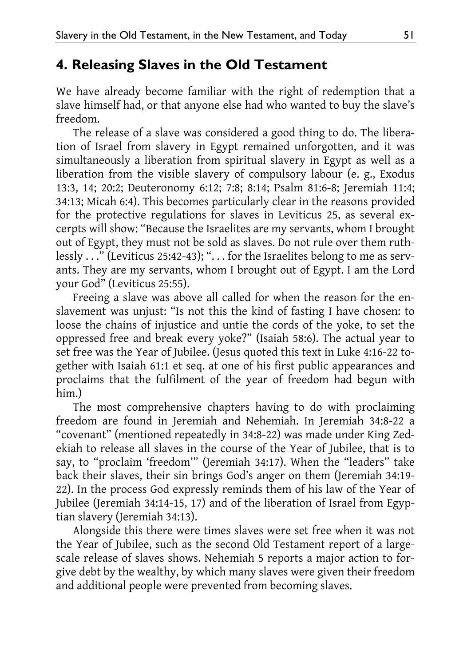### **4. Releasing Slaves in the Old Testament**

We have already become familiar with the right of redemption that a slave himself had, or that anyone else had who wanted to buy the slave's freedom.

The release of a slave was considered a good thing to do. The liberation of Israel from slavery in Egypt remained unforgotten, and it was simultaneously a liberation from spiritual slavery in Egypt as well as a liberation from the visible slavery of compulsory labour (e. g., Exodus 13:3, 14; 20:2; Deuteronomy 6:12; 7:8; 8:14; Psalm 81:6-8; Jeremiah 11:4; 34:13; Micah 6:4). This becomes particularly clear in the reasons provided for the protective regulations for slaves in Leviticus 25, as several excerpts will show: "Because the Israelites are my servants, whom I brought out of Egypt, they must not be sold as slaves. Do not rule over them ruthlessly . . ." (Leviticus 25:42-43); ". . . for the Israelites belong to me as servants. They are my servants, whom I brought out of Egypt. I am the Lord your God" (Leviticus 25:55).

Freeing a slave was above all called for when the reason for the enslavement was unjust: "Is not this the kind of fasting I have chosen: to loose the chains of injustice and untie the cords of the yoke, to set the oppressed free and break every yoke?" (Isaiah 58:6). The actual year to set free was the Year of Jubilee. (Jesus quoted this text in Luke 4:16-22 together with Isaiah 61:1 et seq. at one of his first public appearances and proclaims that the fulfilment of the year of freedom had begun with him.)

The most comprehensive chapters having to do with proclaiming freedom are found in Jeremiah and Nehemiah. In Jeremiah 34:8-22 a "covenant" (mentioned repeatedly in 34:8-22) was made under King Zedekiah to release all slaves in the course of the Year of Jubilee, that is to say, to "proclaim 'freedom'" (Jeremiah 34:17). When the "leaders" take back their slaves, their sin brings God's anger on them (Jeremiah 34:19- 22). In the process God expressly reminds them of his law of the Year of Jubilee (Jeremiah 34:14-15, 17) and of the liberation of Israel from Egyptian slavery (Jeremiah 34:13).

Alongside this there were times slaves were set free when it was not the Year of Jubilee, such as the second Old Testament report of a largescale release of slaves shows. Nehemiah 5 reports a major action to forgive debt by the wealthy, by which many slaves were given their freedom and additional people were prevented from becoming slaves.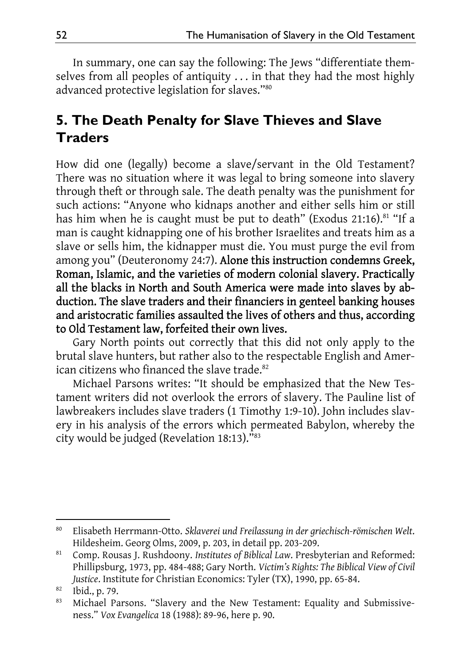In summary, one can say the following: The Jews "differentiate themselves from all peoples of antiquity . . . in that they had the most highly advanced protective legislation for slaves."80

## **5. The Death Penalty for Slave Thieves and Slave Traders**

How did one (legally) become a slave/servant in the Old Testament? There was no situation where it was legal to bring someone into slavery through theft or through sale. The death penalty was the punishment for such actions: "Anyone who kidnaps another and either sells him or still has him when he is caught must be put to death" (Exodus 21:16).<sup>81</sup> "If a man is caught kidnapping one of his brother Israelites and treats him as a slave or sells him, the kidnapper must die. You must purge the evil from among you" (Deuteronomy 24:7). Alone this instruction condemns Greek, Roman, Islamic, and the varieties of modern colonial slavery. Practically all the blacks in North and South America were made into slaves by abduction. The slave traders and their financiers in genteel banking houses and aristocratic families assaulted the lives of others and thus, according to Old Testament law, forfeited their own lives.

Gary North points out correctly that this did not only apply to the brutal slave hunters, but rather also to the respectable English and American citizens who financed the slave trade.<sup>82</sup>

Michael Parsons writes: "It should be emphasized that the New Testament writers did not overlook the errors of slavery. The Pauline list of lawbreakers includes slave traders (1 Timothy 1:9-10). John includes slavery in his analysis of the errors which permeated Babylon, whereby the city would be judged (Revelation 18:13)."83

<sup>-</sup>80 Elisabeth Herrmann-Otto. *Sklaverei und Freilassung in der griechisch-römischen Welt*. Hildesheim. Georg Olms, 2009, p. 203, in detail pp. 203-209.

<sup>81</sup> Comp. Rousas J. Rushdoony. *Institutes of Biblical Law*. Presbyterian and Reformed: Phillipsburg, 1973, pp. 484-488; Gary North. *Victim's Rights: The Biblical View of Civil Justice*. Institute for Christian Economics: Tyler (TX), 1990, pp. 65-84.

<sup>82</sup> Ibid., p. 79.

<sup>83</sup> Michael Parsons. "Slavery and the New Testament: Equality and Submissiveness." *Vox Evangelica* 18 (1988): 89-96, here p. 90.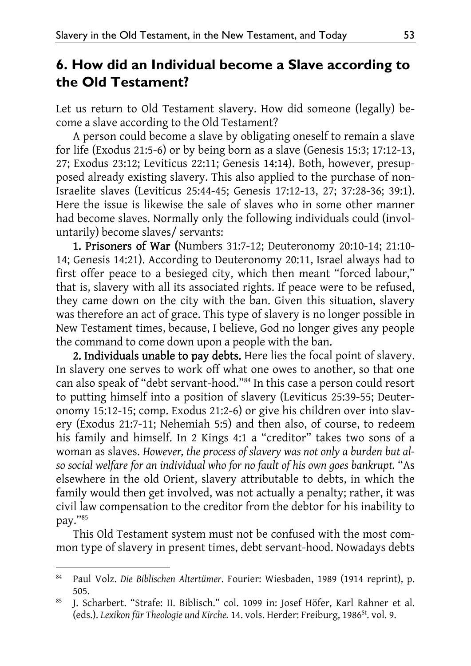## **6. How did an Individual become a Slave according to the Old Testament?**

Let us return to Old Testament slavery. How did someone (legally) become a slave according to the Old Testament?

A person could become a slave by obligating oneself to remain a slave for life (Exodus 21:5-6) or by being born as a slave (Genesis 15:3; 17:12-13, 27; Exodus 23:12; Leviticus 22:11; Genesis 14:14). Both, however, presupposed already existing slavery. This also applied to the purchase of non-Israelite slaves (Leviticus 25:44-45; Genesis 17:12-13, 27; 37:28-36; 39:1). Here the issue is likewise the sale of slaves who in some other manner had become slaves. Normally only the following individuals could (involuntarily) become slaves/ servants:

1. Prisoners of War (Numbers 31:7-12; Deuteronomy 20:10-14; 21:10- 14; Genesis 14:21). According to Deuteronomy 20:11, Israel always had to first offer peace to a besieged city, which then meant "forced labour," that is, slavery with all its associated rights. If peace were to be refused, they came down on the city with the ban. Given this situation, slavery was therefore an act of grace. This type of slavery is no longer possible in New Testament times, because, I believe, God no longer gives any people the command to come down upon a people with the ban.

2. Individuals unable to pay debts. Here lies the focal point of slavery. In slavery one serves to work off what one owes to another, so that one can also speak of "debt servant-hood."84 In this case a person could resort to putting himself into a position of slavery (Leviticus 25:39-55; Deuteronomy 15:12-15; comp. Exodus 21:2-6) or give his children over into slavery (Exodus 21:7-11; Nehemiah 5:5) and then also, of course, to redeem his family and himself. In 2 Kings 4:1 a "creditor" takes two sons of a woman as slaves. *However, the process of slavery was not only a burden but also social welfare for an individual who for no fault of his own goes bankrupt.* "As elsewhere in the old Orient, slavery attributable to debts, in which the family would then get involved, was not actually a penalty; rather, it was civil law compensation to the creditor from the debtor for his inability to pay."85

This Old Testament system must not be confused with the most common type of slavery in present times, debt servant-hood. Nowadays debts

<sup>84</sup> Paul Volz. *Die Biblischen Altertümer*. Fourier: Wiesbaden, 1989 (1914 reprint), p. 505.

<sup>85</sup> J. Scharbert. "Strafe: II. Biblisch." col. 1099 in: Josef Höfer, Karl Rahner et al. (eds.). Lexikon für Theologie und Kirche. 14. vols. Herder: Freiburg, 1986<sup>st</sup>. vol. 9.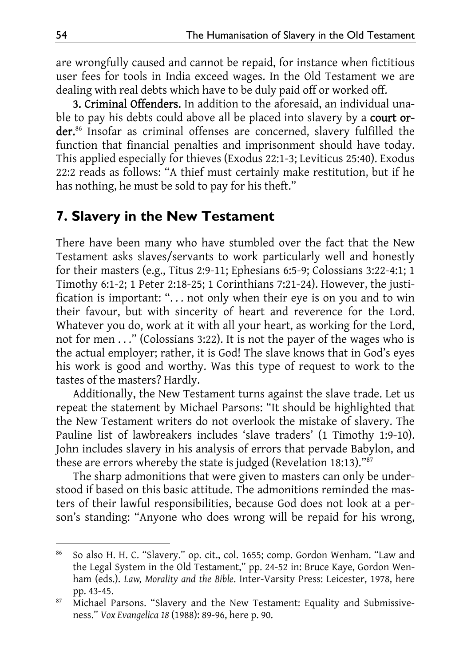are wrongfully caused and cannot be repaid, for instance when fictitious user fees for tools in India exceed wages. In the Old Testament we are dealing with real debts which have to be duly paid off or worked off.

3. Criminal Offenders. In addition to the aforesaid, an individual unable to pay his debts could above all be placed into slavery by a court order.<sup>86</sup> Insofar as criminal offenses are concerned, slavery fulfilled the function that financial penalties and imprisonment should have today. This applied especially for thieves (Exodus 22:1-3; Leviticus 25:40). Exodus 22:2 reads as follows: "A thief must certainly make restitution, but if he has nothing, he must be sold to pay for his theft."

#### **7. Slavery in the New Testament**

There have been many who have stumbled over the fact that the New Testament asks slaves/servants to work particularly well and honestly for their masters (e.g., Titus 2:9-11; Ephesians 6:5-9; Colossians 3:22-4:1; 1 Timothy 6:1-2; 1 Peter 2:18-25; 1 Corinthians 7:21-24). However, the justification is important: ". . . not only when their eye is on you and to win their favour, but with sincerity of heart and reverence for the Lord. Whatever you do, work at it with all your heart, as working for the Lord, not for men . . ." (Colossians 3:22). It is not the payer of the wages who is the actual employer; rather, it is God! The slave knows that in God's eyes his work is good and worthy. Was this type of request to work to the tastes of the masters? Hardly.

Additionally, the New Testament turns against the slave trade. Let us repeat the statement by Michael Parsons: "It should be highlighted that the New Testament writers do not overlook the mistake of slavery. The Pauline list of lawbreakers includes 'slave traders' (1 Timothy 1:9-10). John includes slavery in his analysis of errors that pervade Babylon, and these are errors whereby the state is judged (Revelation 18:13)."87

The sharp admonitions that were given to masters can only be understood if based on this basic attitude. The admonitions reminded the masters of their lawful responsibilities, because God does not look at a person's standing: "Anyone who does wrong will be repaid for his wrong,

<sup>86</sup> So also H. H. C. "Slavery." op. cit., col. 1655; comp. Gordon Wenham. "Law and the Legal System in the Old Testament," pp. 24-52 in: Bruce Kaye, Gordon Wenham (eds.). *Law, Morality and the Bible*. Inter-Varsity Press: Leicester, 1978, here pp. 43-45.

<sup>87</sup> Michael Parsons. "Slavery and the New Testament: Equality and Submissiveness." *Vox Evangelica 18* (1988): 89-96, here p. 90.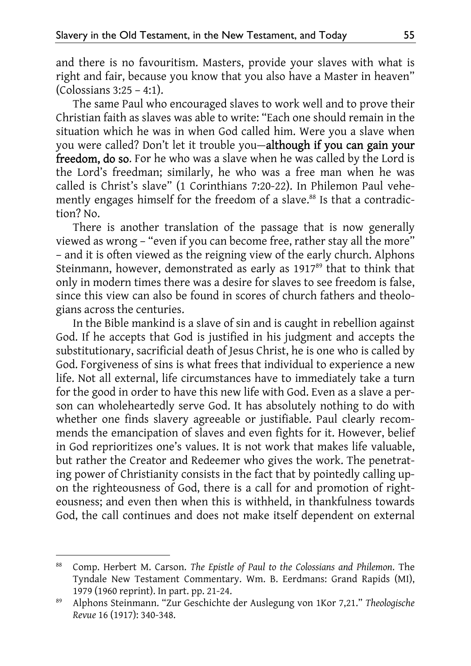and there is no favouritism. Masters, provide your slaves with what is right and fair, because you know that you also have a Master in heaven" (Colossians 3:25 – 4:1).

The same Paul who encouraged slaves to work well and to prove their Christian faith as slaves was able to write: "Each one should remain in the situation which he was in when God called him. Were you a slave when you were called? Don't let it trouble you—although if you can gain your freedom, do so. For he who was a slave when he was called by the Lord is the Lord's freedman; similarly, he who was a free man when he was called is Christ's slave" (1 Corinthians 7:20-22). In Philemon Paul vehemently engages himself for the freedom of a slave.<sup>88</sup> Is that a contradiction? No.

There is another translation of the passage that is now generally viewed as wrong – "even if you can become free, rather stay all the more" – and it is often viewed as the reigning view of the early church. Alphons Steinmann, however, demonstrated as early as 1917<sup>89</sup> that to think that only in modern times there was a desire for slaves to see freedom is false, since this view can also be found in scores of church fathers and theologians across the centuries.

In the Bible mankind is a slave of sin and is caught in rebellion against God. If he accepts that God is justified in his judgment and accepts the substitutionary, sacrificial death of Jesus Christ, he is one who is called by God. Forgiveness of sins is what frees that individual to experience a new life. Not all external, life circumstances have to immediately take a turn for the good in order to have this new life with God. Even as a slave a person can wholeheartedly serve God. It has absolutely nothing to do with whether one finds slavery agreeable or justifiable. Paul clearly recommends the emancipation of slaves and even fights for it. However, belief in God reprioritizes one's values. It is not work that makes life valuable, but rather the Creator and Redeemer who gives the work. The penetrating power of Christianity consists in the fact that by pointedly calling upon the righteousness of God, there is a call for and promotion of righteousness; and even then when this is withheld, in thankfulness towards God, the call continues and does not make itself dependent on external

<sup>88</sup> Comp. Herbert M. Carson. *The Epistle of Paul to the Colossians and Philemon*. The Tyndale New Testament Commentary. Wm. B. Eerdmans: Grand Rapids (MI), 1979 (1960 reprint). In part. pp. 21-24.

<sup>89</sup> Alphons Steinmann. "Zur Geschichte der Auslegung von 1Kor 7,21." *Theologische Revue* 16 (1917): 340-348.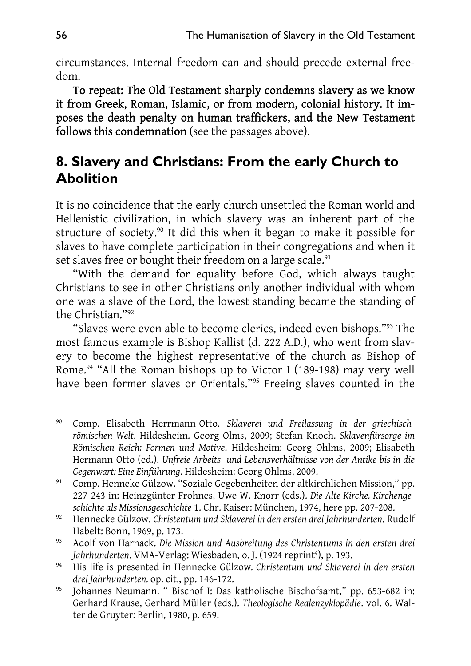circumstances. Internal freedom can and should precede external freedom.

To repeat: The Old Testament sharply condemns slavery as we know it from Greek, Roman, Islamic, or from modern, colonial history. It imposes the death penalty on human traffickers, and the New Testament follows this condemnation (see the passages above).

## **8. Slavery and Christians: From the early Church to Abolition**

It is no coincidence that the early church unsettled the Roman world and Hellenistic civilization, in which slavery was an inherent part of the structure of society.<sup>90</sup> It did this when it began to make it possible for slaves to have complete participation in their congregations and when it set slaves free or bought their freedom on a large scale.<sup>91</sup>

"With the demand for equality before God, which always taught Christians to see in other Christians only another individual with whom one was a slave of the Lord, the lowest standing became the standing of the Christian."92

"Slaves were even able to become clerics, indeed even bishops."93 The most famous example is Bishop Kallist (d. 222 A.D.), who went from slavery to become the highest representative of the church as Bishop of Rome.94 "All the Roman bishops up to Victor I (189-198) may very well have been former slaves or Orientals."95 Freeing slaves counted in the

<sup>-</sup>90 Comp. Elisabeth Herrmann-Otto. *Sklaverei und Freilassung in der griechischrömischen Welt*. Hildesheim. Georg Olms, 2009; Stefan Knoch. *Sklavenfürsorge im Römischen Reich: Formen und Motive*. Hildesheim: Georg Ohlms, 2009; Elisabeth Hermann-Otto (ed.). *Unfreie Arbeits- und Lebensverhältnisse von der Antike bis in die Gegenwart: Eine Einführung*. Hildesheim: Georg Ohlms, 2009.

<sup>91</sup> Comp. Henneke Gülzow. "Soziale Gegebenheiten der altkirchlichen Mission," pp. 227-243 in: Heinzgünter Frohnes, Uwe W. Knorr (eds.). *Die Alte Kirche. Kirchengeschichte als Missionsgeschichte* 1. Chr. Kaiser: München, 1974, here pp. 207-208.

<sup>92</sup> Hennecke Gülzow. *Christentum und Sklaverei in den ersten drei Jahrhunderten*. Rudolf Habelt: Bonn, 1969, p. 173.

<sup>93</sup> Adolf von Harnack. *Die Mission und Ausbreitung des Christentums in den ersten drei*  Jahrhunderten. VMA-Verlag: Wiesbaden, o. J. (1924 reprint<sup>4</sup>), p. 193.

<sup>94</sup> His life is presented in Hennecke Gülzow*. Christentum und Sklaverei in den ersten drei Jahrhunderten.* op. cit., pp. 146-172.

<sup>95</sup> Johannes Neumann. " Bischof I: Das katholische Bischofsamt," pp. 653-682 in: Gerhard Krause, Gerhard Müller (eds.). *Theologische Realenzyklopädie*. vol. 6. Walter de Gruyter: Berlin, 1980, p. 659.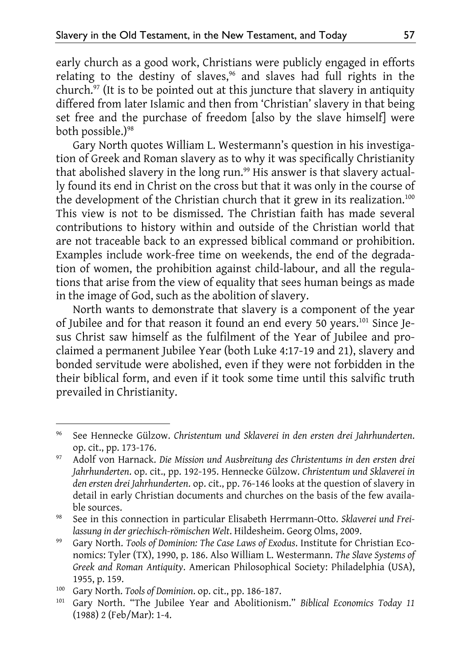early church as a good work, Christians were publicly engaged in efforts relating to the destiny of slaves,<sup>96</sup> and slaves had full rights in the church.<sup>97</sup> (It is to be pointed out at this juncture that slavery in antiquity differed from later Islamic and then from 'Christian' slavery in that being set free and the purchase of freedom [also by the slave himself] were both possible.)<sup>98</sup>

Gary North quotes William L. Westermann's question in his investigation of Greek and Roman slavery as to why it was specifically Christianity that abolished slavery in the long run.<sup>99</sup> His answer is that slavery actually found its end in Christ on the cross but that it was only in the course of the development of the Christian church that it grew in its realization.<sup>100</sup> This view is not to be dismissed. The Christian faith has made several contributions to history within and outside of the Christian world that are not traceable back to an expressed biblical command or prohibition. Examples include work-free time on weekends, the end of the degradation of women, the prohibition against child-labour, and all the regulations that arise from the view of equality that sees human beings as made in the image of God, such as the abolition of slavery.

North wants to demonstrate that slavery is a component of the year of Jubilee and for that reason it found an end every 50 years.101 Since Jesus Christ saw himself as the fulfilment of the Year of Jubilee and proclaimed a permanent Jubilee Year (both Luke 4:17-19 and 21), slavery and bonded servitude were abolished, even if they were not forbidden in the their biblical form, and even if it took some time until this salvific truth prevailed in Christianity.

<sup>96</sup> See Hennecke Gülzow. *Christentum und Sklaverei in den ersten drei Jahrhunderten*. op. cit., pp. 173-176.

<sup>97</sup> Adolf von Harnack. *Die Mission und Ausbreitung des Christentums in den ersten drei Jahrhunderten*. op. cit., pp. 192-195. Hennecke Gülzow. *Christentum und Sklaverei in den ersten drei Jahrhunderten*. op. cit., pp. 76-146 looks at the question of slavery in detail in early Christian documents and churches on the basis of the few available sources.

<sup>98</sup> See in this connection in particular Elisabeth Herrmann-Otto. *Sklaverei und Freilassung in der griechisch-römischen Welt*. Hildesheim. Georg Olms, 2009.

<sup>99</sup> Gary North. *Tools of Dominion: The Case Laws of Exodus*. Institute for Christian Economics: Tyler (TX), 1990, p. 186. Also William L. Westermann. *The Slave Systems of Greek and Roman Antiquity*. American Philosophical Society: Philadelphia (USA), 1955, p. 159.

<sup>100</sup> Gary North. *Tools of Dominion*. op. cit., pp. 186-187.

<sup>101</sup> Gary North. "The Jubilee Year and Abolitionism." *Biblical Economics Today 11* (1988) 2 (Feb/Mar): 1-4.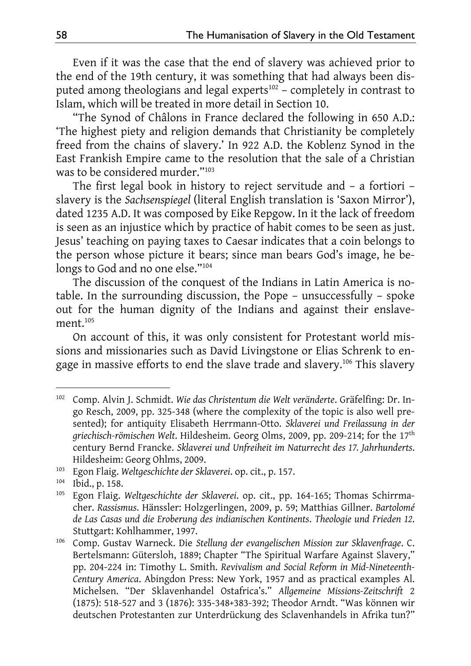Even if it was the case that the end of slavery was achieved prior to the end of the 19th century, it was something that had always been disputed among theologians and legal experts<sup>102</sup> – completely in contrast to Islam, which will be treated in more detail in Section 10.

"The Synod of Châlons in France declared the following in 650 A.D.: 'The highest piety and religion demands that Christianity be completely freed from the chains of slavery.' In 922 A.D. the Koblenz Synod in the East Frankish Empire came to the resolution that the sale of a Christian was to be considered murder."103

The first legal book in history to reject servitude and – a fortiori – slavery is the *Sachsenspiegel* (literal English translation is 'Saxon Mirror'), dated 1235 A.D. It was composed by Eike Repgow. In it the lack of freedom is seen as an injustice which by practice of habit comes to be seen as just. Jesus' teaching on paying taxes to Caesar indicates that a coin belongs to the person whose picture it bears; since man bears God's image, he belongs to God and no one else."<sup>104</sup>

The discussion of the conquest of the Indians in Latin America is notable. In the surrounding discussion, the Pope – unsuccessfully – spoke out for the human dignity of the Indians and against their enslavement.<sup>105</sup>

On account of this, it was only consistent for Protestant world missions and missionaries such as David Livingstone or Elias Schrenk to engage in massive efforts to end the slave trade and slavery.<sup>106</sup> This slavery

<sup>102</sup> Comp. Alvin J. Schmidt. *Wie das Christentum die Welt veränderte*. Gräfelfing: Dr. Ingo Resch, 2009, pp. 325-348 (where the complexity of the topic is also well presented); for antiquity Elisabeth Herrmann-Otto. *Sklaverei und Freilassung in der griechisch-römischen Welt*. Hildesheim. Georg Olms, 2009, pp. 209-214; for the 17th century Bernd Francke. *Sklaverei und Unfreiheit im Naturrecht des 17. Jahrhunderts*. Hildesheim: Georg Ohlms, 2009.

<sup>103</sup> Egon Flaig. *Weltgeschichte der Sklaverei*. op. cit., p. 157.

<sup>104</sup> Ibid., p. 158.

<sup>105</sup> Egon Flaig. *Weltgeschichte der Sklaverei*. op. cit., pp. 164-165; Thomas Schirrmacher. *Rassismus*. Hänssler: Holzgerlingen, 2009, p. 59; Matthias Gillner. *Bartolomé de Las Casas und die Eroberung des indianischen Kontinents*. *Theologie und Frieden 12*. Stuttgart: Kohlhammer, 1997.

<sup>106</sup> Comp. Gustav Warneck. Die *Stellung der evangelischen Mission zur Sklavenfrage*. C. Bertelsmann: Gütersloh, 1889; Chapter "The Spiritual Warfare Against Slavery," pp. 204-224 in: Timothy L. Smith. *Revivalism and Social Reform in Mid-Nineteenth-Century America*. Abingdon Press: New York, 1957 and as practical examples Al. Michelsen. "Der Sklavenhandel Ostafrica's." *Allgemeine Missions-Zeitschrift* 2 (1875): 518-527 and 3 (1876): 335-348+383-392; Theodor Arndt. "Was können wir deutschen Protestanten zur Unterdrückung des Sclavenhandels in Afrika tun?"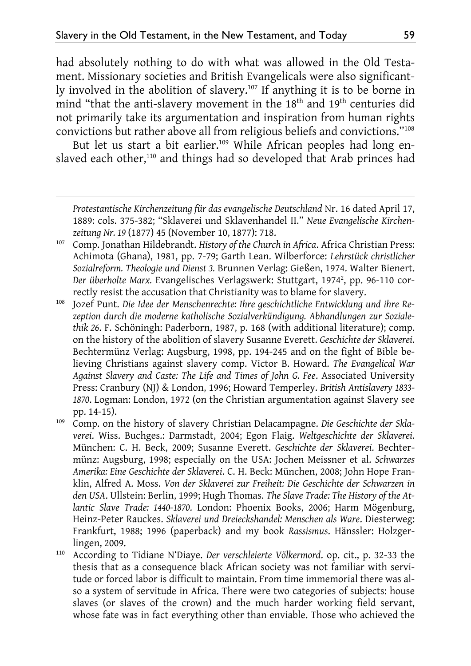-

had absolutely nothing to do with what was allowed in the Old Testament. Missionary societies and British Evangelicals were also significantly involved in the abolition of slavery.<sup>107</sup> If anything it is to be borne in mind "that the anti-slavery movement in the 18<sup>th</sup> and 19<sup>th</sup> centuries did not primarily take its argumentation and inspiration from human rights convictions but rather above all from religious beliefs and convictions."108

But let us start a bit earlier.<sup>109</sup> While African peoples had long enslaved each other,<sup>110</sup> and things had so developed that Arab princes had

107 Comp. Jonathan Hildebrandt. *History of the Church in Africa*. Africa Christian Press: Achimota (Ghana), 1981, pp. 7-79; Garth Lean. Wilberforce: *Lehrstück christlicher Sozialreform. Theologie und Dienst 3.* Brunnen Verlag: Gießen, 1974. Walter Bienert. Der überholte Marx. Evangelisches Verlagswerk: Stuttgart, 1974<sup>2</sup>, pp. 96-110 correctly resist the accusation that Christianity was to blame for slavery.

108 Jozef Punt. *Die Idee der Menschenrechte: Ihre geschichtliche Entwicklung und ihre Rezeption durch die moderne katholische Sozialverkündigung. Abhandlungen zur Sozialethik 26*. F. Schöningh: Paderborn, 1987, p. 168 (with additional literature); comp. on the history of the abolition of slavery Susanne Everett. *Geschichte der Sklaverei*. Bechtermünz Verlag: Augsburg, 1998, pp. 194-245 and on the fight of Bible believing Christians against slavery comp. Victor B. Howard. *The Evangelical War Against Slavery and Caste: The Life and Times of John G. Fee*. Associated University Press: Cranbury (NJ) & London, 1996; Howard Temperley. *British Antislavery 1833- 1870*. Logman: London, 1972 (on the Christian argumentation against Slavery see pp. 14-15).

109 Comp. on the history of slavery Christian Delacampagne. *Die Geschichte der Sklaverei*. Wiss. Buchges.: Darmstadt, 2004; Egon Flaig. *Weltgeschichte der Sklaverei*. München: C. H. Beck, 2009; Susanne Everett. *Geschichte der Sklaverei*. Bechtermünz: Augsburg, 1998; especially on the USA: Jochen Meissner et al. *Schwarzes Amerika: Eine Geschichte der Sklaverei*. C. H. Beck: München, 2008; John Hope Franklin, Alfred A. Moss. *Von der Sklaverei zur Freiheit: Die Geschichte der Schwarzen in den USA*. Ullstein: Berlin, 1999; Hugh Thomas. *The Slave Trade: The History of the Atlantic Slave Trade: 1440-1870*. London: Phoenix Books, 2006; Harm Mögenburg, Heinz-Peter Rauckes. *Sklaverei und Dreieckshandel: Menschen als Ware*. Diesterweg: Frankfurt, 1988; 1996 (paperback) and my book *Rassismus*. Hänssler: Holzgerlingen, 2009.

110 According to Tidiane N'Diaye. *Der verschleierte Völkermord*. op. cit., p. 32-33 the thesis that as a consequence black African society was not familiar with servitude or forced labor is difficult to maintain. From time immemorial there was also a system of servitude in Africa. There were two categories of subjects: house slaves (or slaves of the crown) and the much harder working field servant, whose fate was in fact everything other than enviable. Those who achieved the

*Protestantische Kirchenzeitung für das evangelische Deutschland* Nr. 16 dated April 17, 1889: cols. 375-382; "Sklaverei und Sklavenhandel II." *Neue Evangelische Kirchenzeitung Nr. 19* (1877) 45 (November 10, 1877): 718.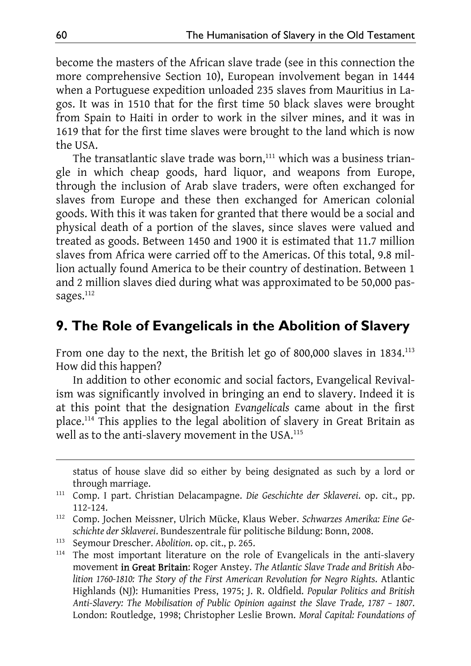become the masters of the African slave trade (see in this connection the more comprehensive Section 10), European involvement began in 1444 when a Portuguese expedition unloaded 235 slaves from Mauritius in Lagos. It was in 1510 that for the first time 50 black slaves were brought from Spain to Haiti in order to work in the silver mines, and it was in 1619 that for the first time slaves were brought to the land which is now the USA.

The transatlantic slave trade was born,<sup>111</sup> which was a business triangle in which cheap goods, hard liquor, and weapons from Europe, through the inclusion of Arab slave traders, were often exchanged for slaves from Europe and these then exchanged for American colonial goods. With this it was taken for granted that there would be a social and physical death of a portion of the slaves, since slaves were valued and treated as goods. Between 1450 and 1900 it is estimated that 11.7 million slaves from Africa were carried off to the Americas. Of this total, 9.8 million actually found America to be their country of destination. Between 1 and 2 million slaves died during what was approximated to be 50,000 passages.<sup>112</sup>

### **9. The Role of Evangelicals in the Abolition of Slavery**

From one day to the next, the British let go of 800,000 slaves in 1834.<sup>113</sup> How did this happen?

In addition to other economic and social factors, Evangelical Revivalism was significantly involved in bringing an end to slavery. Indeed it is at this point that the designation *Evangelicals* came about in the first place.114 This applies to the legal abolition of slavery in Great Britain as well as to the anti-slavery movement in the USA.<sup>115</sup>

status of house slave did so either by being designated as such by a lord or through marriage.

<sup>111</sup> Comp. I part. Christian Delacampagne. *Die Geschichte der Sklaverei*. op. cit., pp. 112-124.

<sup>112</sup> Comp. Jochen Meissner, Ulrich Mücke, Klaus Weber. *Schwarzes Amerika: Eine Geschichte der Sklaverei*. Bundeszentrale für politische Bildung: Bonn, 2008.

<sup>113</sup> Seymour Drescher. *Abolition*. op. cit., p. 265.

<sup>&</sup>lt;sup>114</sup> The most important literature on the role of Evangelicals in the anti-slavery movement in Great Britain: Roger Anstey. *The Atlantic Slave Trade and British Abolition 1760-1810: The Story of the First American Revolution for Negro Rights*. Atlantic Highlands (NJ): Humanities Press, 1975; J. R. Oldfield. *Popular Politics and British Anti-Slavery: The Mobilisation of Public Opinion against the Slave Trade, 1787 – 1807*. London: Routledge, 1998; Christopher Leslie Brown. *Moral Capital: Foundations of*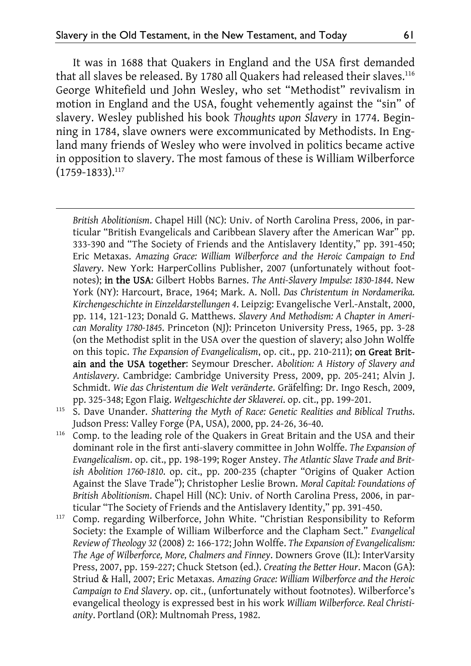-

It was in 1688 that Quakers in England and the USA first demanded that all slaves be released. By 1780 all Quakers had released their slaves.<sup>116</sup> George Whitefield und John Wesley, who set "Methodist" revivalism in motion in England and the USA, fought vehemently against the "sin" of slavery. Wesley published his book *Thoughts upon Slavery* in 1774. Beginning in 1784, slave owners were excommunicated by Methodists. In England many friends of Wesley who were involved in politics became active in opposition to slavery. The most famous of these is William Wilberforce  $(1759 - 1833).$ <sup>117</sup>

*British Abolitionism*. Chapel Hill (NC): Univ. of North Carolina Press, 2006, in particular "British Evangelicals and Caribbean Slavery after the American War" pp. 333-390 and "The Society of Friends and the Antislavery Identity," pp. 391-450; Eric Metaxas. *Amazing Grace: William Wilberforce and the Heroic Campaign to End Slavery*. New York: HarperCollins Publisher, 2007 (unfortunately without footnotes); in the USA: Gilbert Hobbs Barnes. *The Anti-Slavery Impulse: 1830-1844*. New York (NY): Harcourt, Brace, 1964; Mark. A. Noll. *Das Christentum in Nordamerika. Kirchengeschichte in Einzeldarstellungen 4*. Leipzig: Evangelische Verl.-Anstalt, 2000, pp. 114, 121-123; Donald G. Matthews. *Slavery And Methodism: A Chapter in American Morality 1780-1845*. Princeton (NJ): Princeton University Press, 1965, pp. 3-28 (on the Methodist split in the USA over the question of slavery; also John Wolffe on this topic. *The Expansion of Evangelicalism*, op. cit., pp. 210-211); on Great Britain and the USA together: Seymour Drescher. *Abolition: A History of Slavery and Antislavery*. Cambridge: Cambridge University Press, 2009, pp. 205-241; Alvin J. Schmidt. *Wie das Christentum die Welt veränderte*. Gräfelfing: Dr. Ingo Resch, 2009, pp. 325-348; Egon Flaig. *Weltgeschichte der Sklaverei*. op. cit., pp. 199-201.

- 115 S. Dave Unander. *Shattering the Myth of Race: Genetic Realities and Biblical Truths*. Judson Press: Valley Forge (PA, USA), 2000, pp. 24-26, 36-40.
- <sup>116</sup> Comp. to the leading role of the Quakers in Great Britain and the USA and their dominant role in the first anti-slavery committee in John Wolffe. *The Expansion of Evangelicalism*. op. cit., pp. 198-199; Roger Anstey. *The Atlantic Slave Trade and British Abolition 1760-1810*. op. cit., pp. 200-235 (chapter "Origins of Quaker Action Against the Slave Trade"); Christopher Leslie Brown. *Moral Capital: Foundations of British Abolitionism*. Chapel Hill (NC): Univ. of North Carolina Press, 2006, in particular "The Society of Friends and the Antislavery Identity," pp. 391-450.
- <sup>117</sup> Comp. regarding Wilberforce, John White. "Christian Responsibility to Reform Society: the Example of William Wilberforce and the Clapham Sect." *Evangelical Review of Theology 32* (2008) 2: 166-172; John Wolffe. *The Expansion of Evangelicalism: The Age of Wilberforce, More, Chalmers and Finney*. Downers Grove (IL): InterVarsity Press, 2007, pp. 159-227; Chuck Stetson (ed.). *Creating the Better Hour*. Macon (GA): Striud & Hall, 2007; Eric Metaxas. *Amazing Grace: William Wilberforce and the Heroic Campaign to End Slavery*. op. cit., (unfortunately without footnotes). Wilberforce's evangelical theology is expressed best in his work *William Wilberforce. Real Christianity*. Portland (OR): Multnomah Press, 1982.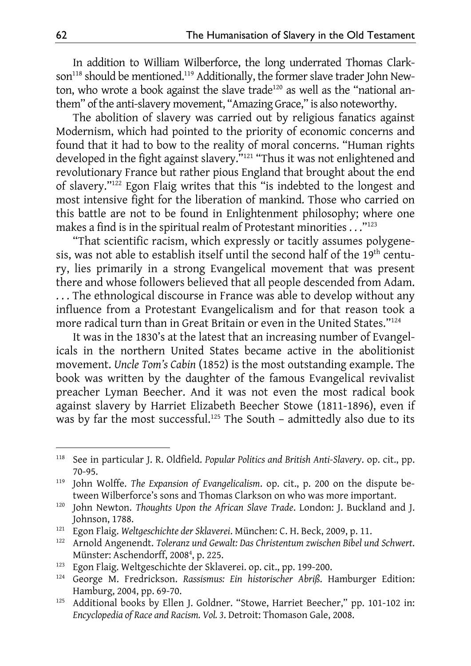In addition to William Wilberforce, the long underrated Thomas Clarkson<sup>118</sup> should be mentioned.<sup>119</sup> Additionally, the former slave trader John Newton, who wrote a book against the slave trade<sup>120</sup> as well as the "national anthem" of the anti-slavery movement, "Amazing Grace," is also noteworthy.

The abolition of slavery was carried out by religious fanatics against Modernism, which had pointed to the priority of economic concerns and found that it had to bow to the reality of moral concerns. "Human rights developed in the fight against slavery."<sup>121</sup> "Thus it was not enlightened and revolutionary France but rather pious England that brought about the end of slavery."122 Egon Flaig writes that this "is indebted to the longest and most intensive fight for the liberation of mankind. Those who carried on this battle are not to be found in Enlightenment philosophy; where one makes a find is in the spiritual realm of Protestant minorities . . . "<sup>123</sup>

"That scientific racism, which expressly or tacitly assumes polygenesis, was not able to establish itself until the second half of the 19th century, lies primarily in a strong Evangelical movement that was present there and whose followers believed that all people descended from Adam. ... The ethnological discourse in France was able to develop without any influence from a Protestant Evangelicalism and for that reason took a more radical turn than in Great Britain or even in the United States."124

It was in the 1830's at the latest that an increasing number of Evangelicals in the northern United States became active in the abolitionist movement. *Uncle Tom's Cabin* (1852) is the most outstanding example. The book was written by the daughter of the famous Evangelical revivalist preacher Lyman Beecher. And it was not even the most radical book against slavery by Harriet Elizabeth Beecher Stowe (1811-1896), even if was by far the most successful.<sup>125</sup> The South – admittedly also due to its

<sup>118</sup> See in particular J. R. Oldfield. *Popular Politics and British Anti-Slavery*. op. cit., pp. 70-95.

<sup>119</sup> John Wolffe. *The Expansion of Evangelicalism*. op. cit., p. 200 on the dispute between Wilberforce's sons and Thomas Clarkson on who was more important.

<sup>120</sup> John Newton. *Thoughts Upon the African Slave Trade*. London: J. Buckland and J. Johnson, 1788.

<sup>121</sup> Egon Flaig. *Weltgeschichte der Sklaverei*. München: C. H. Beck, 2009, p. 11.

<sup>122</sup> Arnold Angenendt. *Toleranz und Gewalt: Das Christentum zwischen Bibel und Schwert*. Münster: Aschendorff, 2008<sup>4</sup>, p. 225.

<sup>123</sup> Egon Flaig. Weltgeschichte der Sklaverei. op. cit., pp. 199-200.

<sup>124</sup> George M. Fredrickson. *Rassismus: Ein historischer Abriß*. Hamburger Edition: Hamburg, 2004, pp. 69-70.

<sup>&</sup>lt;sup>125</sup> Additional books by Ellen J. Goldner. "Stowe, Harriet Beecher," pp. 101-102 in: *Encyclopedia of Race and Racism. Vol. 3*. Detroit: Thomason Gale, 2008.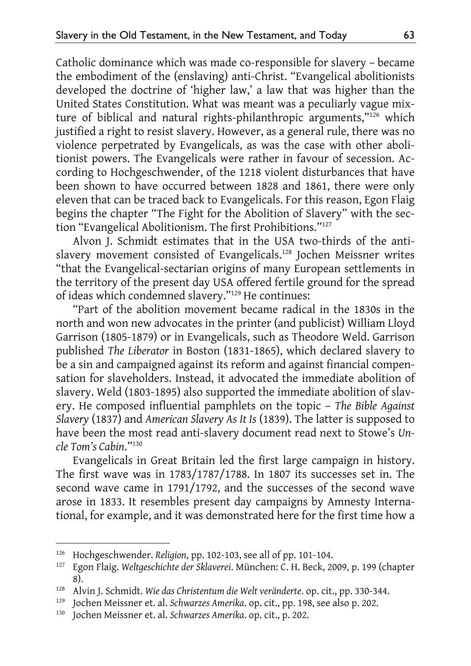Catholic dominance which was made co-responsible for slavery – became the embodiment of the (enslaving) anti-Christ. "Evangelical abolitionists developed the doctrine of 'higher law,' a law that was higher than the United States Constitution. What was meant was a peculiarly vague mixture of biblical and natural rights-philanthropic arguments,"126 which justified a right to resist slavery. However, as a general rule, there was no violence perpetrated by Evangelicals, as was the case with other abolitionist powers. The Evangelicals were rather in favour of secession. According to Hochgeschwender, of the 1218 violent disturbances that have been shown to have occurred between 1828 and 1861, there were only eleven that can be traced back to Evangelicals. For this reason, Egon Flaig begins the chapter "The Fight for the Abolition of Slavery" with the section "Evangelical Abolitionism. The first Prohibitions."127

Alvon J. Schmidt estimates that in the USA two-thirds of the antislavery movement consisted of Evangelicals.128 Jochen Meissner writes "that the Evangelical-sectarian origins of many European settlements in the territory of the present day USA offered fertile ground for the spread of ideas which condemned slavery."129 He continues:

"Part of the abolition movement became radical in the 1830s in the north and won new advocates in the printer (and publicist) William Lloyd Garrison (1805-1879) or in Evangelicals, such as Theodore Weld. Garrison published *The Liberator* in Boston (1831-1865), which declared slavery to be a sin and campaigned against its reform and against financial compensation for slaveholders. Instead, it advocated the immediate abolition of slavery. Weld (1803-1895) also supported the immediate abolition of slavery. He composed influential pamphlets on the topic – *The Bible Against Slavery* (1837) and *American Slavery As It Is* (1839). The latter is supposed to have been the most read anti-slavery document read next to Stowe's *Uncle Tom's Cabin*."130

Evangelicals in Great Britain led the first large campaign in history. The first wave was in 1783/1787/1788. In 1807 its successes set in. The second wave came in 1791/1792, and the successes of the second wave arose in 1833. It resembles present day campaigns by Amnesty International, for example, and it was demonstrated here for the first time how a

<sup>126</sup> Hochgeschwender. *Religion*, pp. 102-103, see all of pp. 101-104.

<sup>127</sup> Egon Flaig. *Weltgeschichte der Sklaverei*. München: C. H. Beck, 2009, p. 199 (chapter 8).

<sup>128</sup> Alvin J. Schmidt. *Wie das Christentum die Welt veränderte*. op. cit., pp. 330-344.

<sup>129</sup> Jochen Meissner et. al. *Schwarzes Amerika*. op. cit., pp. 198, see also p. 202.

<sup>130</sup> Jochen Meissner et. al. *Schwarzes Amerika*. op. cit., p. 202.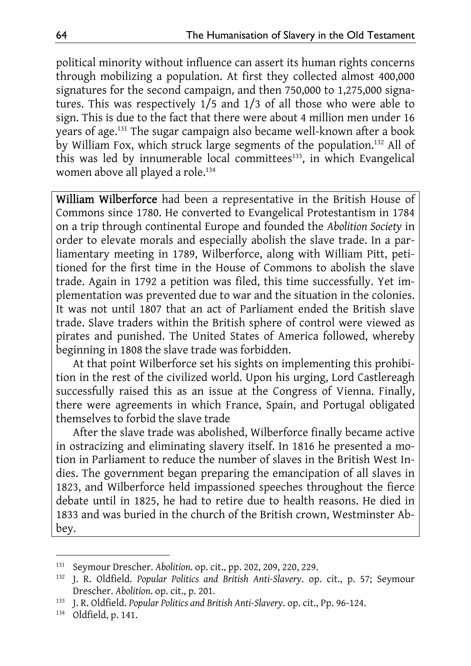political minority without influence can assert its human rights concerns through mobilizing a population. At first they collected almost 400,000 signatures for the second campaign, and then 750,000 to 1,275,000 signatures. This was respectively 1/5 and 1/3 of all those who were able to sign. This is due to the fact that there were about 4 million men under 16 years of age.<sup>131</sup> The sugar campaign also became well-known after a book by William Fox, which struck large segments of the population.132 All of this was led by innumerable local committees<sup>133</sup>, in which Evangelical women above all played a role.<sup>134</sup>

William Wilberforce had been a representative in the British House of Commons since 1780. He converted to Evangelical Protestantism in 1784 on a trip through continental Europe and founded the *Abolition Society* in order to elevate morals and especially abolish the slave trade. In a parliamentary meeting in 1789, Wilberforce, along with William Pitt, petitioned for the first time in the House of Commons to abolish the slave trade. Again in 1792 a petition was filed, this time successfully. Yet implementation was prevented due to war and the situation in the colonies. It was not until 1807 that an act of Parliament ended the British slave trade. Slave traders within the British sphere of control were viewed as pirates and punished. The United States of America followed, whereby beginning in 1808 the slave trade was forbidden.

At that point Wilberforce set his sights on implementing this prohibition in the rest of the civilized world. Upon his urging, Lord Castlereagh successfully raised this as an issue at the Congress of Vienna. Finally, there were agreements in which France, Spain, and Portugal obligated themselves to forbid the slave trade

After the slave trade was abolished, Wilberforce finally became active in ostracizing and eliminating slavery itself. In 1816 he presented a motion in Parliament to reduce the number of slaves in the British West Indies. The government began preparing the emancipation of all slaves in 1823, and Wilberforce held impassioned speeches throughout the fierce debate until in 1825, he had to retire due to health reasons. He died in 1833 and was buried in the church of the British crown, Westminster Abbey.

<sup>131</sup> Seymour Drescher. *Abolition*. op. cit., pp. 202, 209, 220, 229.

<sup>132</sup> J. R. Oldfield. *Popular Politics and British Anti-Slavery*. op. cit., p. 57; Seymour Drescher. *Abolition*. op. cit., p. 201.

<sup>133</sup> J. R. Oldfield. *Popular Politics and British Anti-Slavery*. op. cit., Pp. 96-124.

<sup>134</sup> Oldfield, p. 141.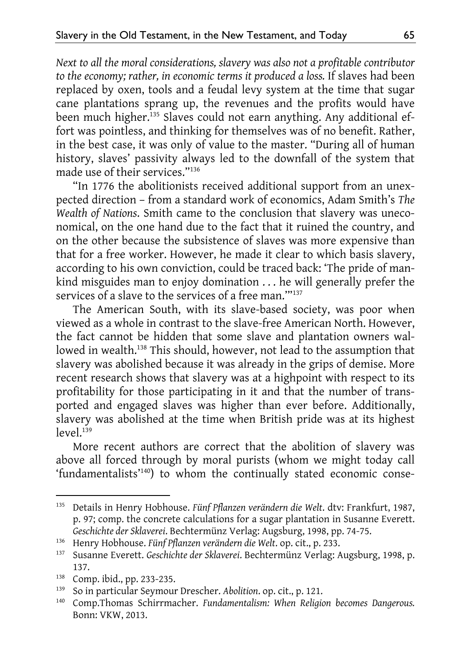*Next to all the moral considerations, slavery was also not a profitable contributor to the economy; rather, in economic terms it produced a loss.* If slaves had been replaced by oxen, tools and a feudal levy system at the time that sugar cane plantations sprang up, the revenues and the profits would have been much higher.135 Slaves could not earn anything. Any additional effort was pointless, and thinking for themselves was of no benefit. Rather, in the best case, it was only of value to the master. "During all of human history, slaves' passivity always led to the downfall of the system that made use of their services."136

"In 1776 the abolitionists received additional support from an unexpected direction – from a standard work of economics, Adam Smith's *The Wealth of Nations*. Smith came to the conclusion that slavery was uneconomical, on the one hand due to the fact that it ruined the country, and on the other because the subsistence of slaves was more expensive than that for a free worker. However, he made it clear to which basis slavery, according to his own conviction, could be traced back: 'The pride of mankind misguides man to enjoy domination . . . he will generally prefer the services of a slave to the services of a free man.'"137

The American South, with its slave-based society, was poor when viewed as a whole in contrast to the slave-free American North. However, the fact cannot be hidden that some slave and plantation owners wallowed in wealth.<sup>138</sup> This should, however, not lead to the assumption that slavery was abolished because it was already in the grips of demise. More recent research shows that slavery was at a highpoint with respect to its profitability for those participating in it and that the number of transported and engaged slaves was higher than ever before. Additionally, slavery was abolished at the time when British pride was at its highest  $level<sup>139</sup>$ 

More recent authors are correct that the abolition of slavery was above all forced through by moral purists (whom we might today call 'fundamentalists'<sup>140</sup>) to whom the continually stated economic conse-

<sup>135</sup> Details in Henry Hobhouse. *Fünf Pflanzen verändern die Welt*. dtv: Frankfurt, 1987, p. 97; comp. the concrete calculations for a sugar plantation in Susanne Everett. *Geschichte der Sklaverei*. Bechtermünz Verlag: Augsburg, 1998, pp. 74-75.

<sup>136</sup> Henry Hobhouse. *Fünf Pflanzen verändern die Welt*. op. cit., p. 233.

<sup>137</sup> Susanne Everett. *Geschichte der Sklaverei*. Bechtermünz Verlag: Augsburg, 1998, p. 137.

<sup>138</sup> Comp. ibid., pp. 233-235.

<sup>139</sup> So in particular Seymour Drescher. *Abolition*. op. cit., p. 121.

<sup>140</sup> Comp.Thomas Schirrmacher. *Fundamentalism: When Religion becomes Dangerous.*  Bonn: VKW, 2013.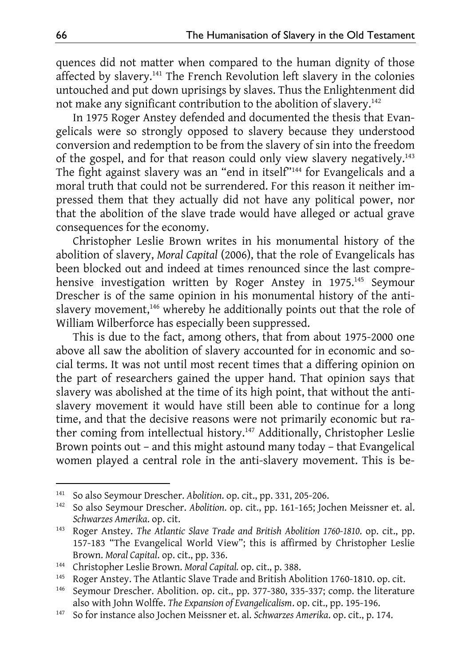quences did not matter when compared to the human dignity of those affected by slavery.141 The French Revolution left slavery in the colonies untouched and put down uprisings by slaves. Thus the Enlightenment did not make any significant contribution to the abolition of slavery.142

In 1975 Roger Anstey defended and documented the thesis that Evangelicals were so strongly opposed to slavery because they understood conversion and redemption to be from the slavery of sin into the freedom of the gospel, and for that reason could only view slavery negatively.<sup>143</sup> The fight against slavery was an "end in itself"144 for Evangelicals and a moral truth that could not be surrendered. For this reason it neither impressed them that they actually did not have any political power, nor that the abolition of the slave trade would have alleged or actual grave consequences for the economy.

Christopher Leslie Brown writes in his monumental history of the abolition of slavery, *Moral Capital* (2006), that the role of Evangelicals has been blocked out and indeed at times renounced since the last comprehensive investigation written by Roger Anstey in 1975.<sup>145</sup> Seymour Drescher is of the same opinion in his monumental history of the antislavery movement,<sup>146</sup> whereby he additionally points out that the role of William Wilberforce has especially been suppressed.

This is due to the fact, among others, that from about 1975-2000 one above all saw the abolition of slavery accounted for in economic and social terms. It was not until most recent times that a differing opinion on the part of researchers gained the upper hand. That opinion says that slavery was abolished at the time of its high point, that without the antislavery movement it would have still been able to continue for a long time, and that the decisive reasons were not primarily economic but rather coming from intellectual history.<sup>147</sup> Additionally, Christopher Leslie Brown points out – and this might astound many today – that Evangelical women played a central role in the anti-slavery movement. This is be-

<sup>141</sup> So also Seymour Drescher. *Abolition*. op. cit., pp. 331, 205-206.

<sup>142</sup> So also Seymour Drescher. *Abolition*. op. cit., pp. 161-165; Jochen Meissner et. al. *Schwarzes Amerika*. op. cit.

<sup>143</sup> Roger Anstey. *The Atlantic Slave Trade and British Abolition 1760-1810*. op. cit., pp. 157-183 "The Evangelical World View"; this is affirmed by Christopher Leslie Brown. *Moral Capital*. op. cit., pp. 336.

<sup>144</sup> Christopher Leslie Brown. *Moral Capital.* op. cit., p. 388.

<sup>145</sup> Roger Anstey. The Atlantic Slave Trade and British Abolition 1760-1810. op. cit.

<sup>&</sup>lt;sup>146</sup> Seymour Drescher. Abolition. op. cit., pp. 377-380, 335-337; comp. the literature also with John Wolffe. *The Expansion of Evangelicalism*. op. cit., pp. 195-196.

<sup>147</sup> So for instance also Jochen Meissner et. al. *Schwarzes Amerika*. op. cit., p. 174.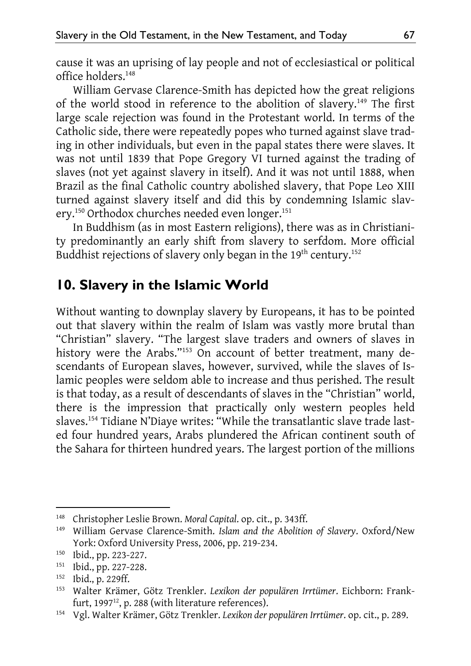cause it was an uprising of lay people and not of ecclesiastical or political office holders.148

William Gervase Clarence-Smith has depicted how the great religions of the world stood in reference to the abolition of slavery.<sup>149</sup> The first large scale rejection was found in the Protestant world. In terms of the Catholic side, there were repeatedly popes who turned against slave trading in other individuals, but even in the papal states there were slaves. It was not until 1839 that Pope Gregory VI turned against the trading of slaves (not yet against slavery in itself). And it was not until 1888, when Brazil as the final Catholic country abolished slavery, that Pope Leo XIII turned against slavery itself and did this by condemning Islamic slavery.<sup>150</sup> Orthodox churches needed even longer.<sup>151</sup>

In Buddhism (as in most Eastern religions), there was as in Christianity predominantly an early shift from slavery to serfdom. More official Buddhist rejections of slavery only began in the 19<sup>th</sup> century.<sup>152</sup>

## **10. Slavery in the Islamic World**

Without wanting to downplay slavery by Europeans, it has to be pointed out that slavery within the realm of Islam was vastly more brutal than "Christian" slavery. "The largest slave traders and owners of slaves in history were the Arabs."153 On account of better treatment, many descendants of European slaves, however, survived, while the slaves of Islamic peoples were seldom able to increase and thus perished. The result is that today, as a result of descendants of slaves in the "Christian" world, there is the impression that practically only western peoples held slaves.154 Tidiane N'Diaye writes: "While the transatlantic slave trade lasted four hundred years, Arabs plundered the African continent south of the Sahara for thirteen hundred years. The largest portion of the millions

<sup>148</sup> Christopher Leslie Brown. *Moral Capital*. op. cit., p. 343ff.

<sup>149</sup> William Gervase Clarence-Smith. *Islam and the Abolition of Slavery*. Oxford/New York: Oxford University Press, 2006, pp. 219-234.

<sup>150</sup> Ibid., pp. 223-227.

<sup>151</sup> Ibid., pp. 227-228.

<sup>152</sup> Ibid., p. 229ff.

<sup>153</sup> Walter Krämer, Götz Trenkler. *Lexikon der populären Irrtümer*. Eichborn: Frankfurt, 1997<sup>12</sup>, p. 288 (with literature references).

<sup>154</sup> Vgl. Walter Krämer, Götz Trenkler. *Lexikon der populären Irrtümer*. op. cit., p. 289.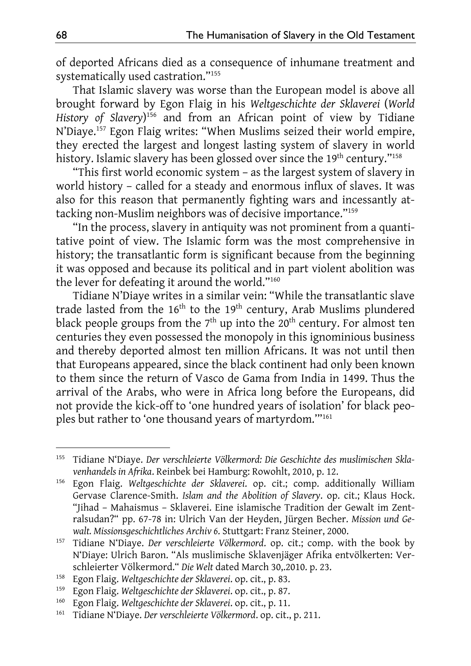of deported Africans died as a consequence of inhumane treatment and systematically used castration."155

That Islamic slavery was worse than the European model is above all brought forward by Egon Flaig in his *Weltgeschichte der Sklaverei* (*World History of Slavery*) 156 and from an African point of view by Tidiane N'Diaye.157 Egon Flaig writes: "When Muslims seized their world empire, they erected the largest and longest lasting system of slavery in world history. Islamic slavery has been glossed over since the 19<sup>th</sup> century."<sup>158</sup>

"This first world economic system – as the largest system of slavery in world history – called for a steady and enormous influx of slaves. It was also for this reason that permanently fighting wars and incessantly attacking non-Muslim neighbors was of decisive importance."159

"In the process, slavery in antiquity was not prominent from a quantitative point of view. The Islamic form was the most comprehensive in history; the transatlantic form is significant because from the beginning it was opposed and because its political and in part violent abolition was the lever for defeating it around the world."160

Tidiane N'Diaye writes in a similar vein: "While the transatlantic slave trade lasted from the  $16<sup>th</sup>$  to the  $19<sup>th</sup>$  century, Arab Muslims plundered black people groups from the  $7<sup>th</sup>$  up into the  $20<sup>th</sup>$  century. For almost ten centuries they even possessed the monopoly in this ignominious business and thereby deported almost ten million Africans. It was not until then that Europeans appeared, since the black continent had only been known to them since the return of Vasco de Gama from India in 1499. Thus the arrival of the Arabs, who were in Africa long before the Europeans, did not provide the kick-off to 'one hundred years of isolation' for black peoples but rather to 'one thousand years of martyrdom.'"161

<sup>155</sup> Tidiane N'Diaye. *Der verschleierte Völkermord: Die Geschichte des muslimischen Sklavenhandels in Afrika*. Reinbek bei Hamburg: Rowohlt, 2010, p. 12.

<sup>156</sup> Egon Flaig. *Weltgeschichte der Sklaverei*. op. cit.; comp. additionally William Gervase Clarence-Smith. *Islam and the Abolition of Slavery*. op. cit.; Klaus Hock. "Jihad – Mahaismus – Sklaverei. Eine islamische Tradition der Gewalt im Zentralsudan?" pp. 67-78 in: Ulrich Van der Heyden, Jürgen Becher. *Mission und Gewalt. Missionsgeschichtliches Archiv 6*. Stuttgart: Franz Steiner, 2000.

<sup>157</sup> Tidiane N'Diaye. *Der verschleierte Völkermord*. op. cit.; comp. with the book by N'Diaye: Ulrich Baron. "Als muslimische Sklavenjäger Afrika entvölkerten: Verschleierter Völkermord." *Die Welt* dated March 30,.2010. p. 23.

<sup>158</sup> Egon Flaig. *Weltgeschichte der Sklaverei*. op. cit., p. 83.

<sup>159</sup> Egon Flaig. *Weltgeschichte der Sklaverei*. op. cit., p. 87.

<sup>160</sup> Egon Flaig. *Weltgeschichte der Sklaverei*. op. cit., p. 11.

<sup>161</sup> Tidiane N'Diaye. *Der verschleierte Völkermord*. op. cit., p. 211.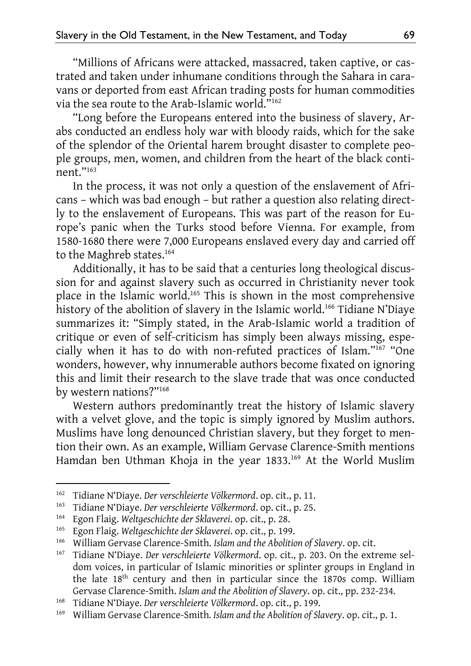"Millions of Africans were attacked, massacred, taken captive, or castrated and taken under inhumane conditions through the Sahara in caravans or deported from east African trading posts for human commodities via the sea route to the Arab-Islamic world."162

"Long before the Europeans entered into the business of slavery, Arabs conducted an endless holy war with bloody raids, which for the sake of the splendor of the Oriental harem brought disaster to complete people groups, men, women, and children from the heart of the black continent."163

In the process, it was not only a question of the enslavement of Africans – which was bad enough – but rather a question also relating directly to the enslavement of Europeans. This was part of the reason for Europe's panic when the Turks stood before Vienna. For example, from 1580-1680 there were 7,000 Europeans enslaved every day and carried off to the Maghreb states.<sup>164</sup>

Additionally, it has to be said that a centuries long theological discussion for and against slavery such as occurred in Christianity never took place in the Islamic world.165 This is shown in the most comprehensive history of the abolition of slavery in the Islamic world.<sup>166</sup> Tidiane N'Diaye summarizes it: "Simply stated, in the Arab-Islamic world a tradition of critique or even of self-criticism has simply been always missing, especially when it has to do with non-refuted practices of Islam."167 "One wonders, however, why innumerable authors become fixated on ignoring this and limit their research to the slave trade that was once conducted by western nations?"168

Western authors predominantly treat the history of Islamic slavery with a velvet glove, and the topic is simply ignored by Muslim authors. Muslims have long denounced Christian slavery, but they forget to mention their own. As an example, William Gervase Clarence-Smith mentions Hamdan ben Uthman Khoja in the year 1833.<sup>169</sup> At the World Muslim

<sup>162</sup> Tidiane N'Diaye. *Der verschleierte Völkermord*. op. cit., p. 11.

<sup>163</sup> Tidiane N'Diaye. *Der verschleierte Völkermord*. op. cit., p. 25.

<sup>164</sup> Egon Flaig. *Weltgeschichte der Sklaverei*. op. cit., p. 28.

<sup>165</sup> Egon Flaig. *Weltgeschichte der Sklaverei*. op. cit., p. 199.

<sup>166</sup> William Gervase Clarence-Smith. *Islam and the Abolition of Slavery*. op. cit.

<sup>&</sup>lt;sup>167</sup> Tidiane N'Diaye. *Der verschleierte Völkermord*. op. cit., p. 203. On the extreme seldom voices, in particular of Islamic minorities or splinter groups in England in the late 18th century and then in particular since the 1870s comp. William Gervase Clarence-Smith. *Islam and the Abolition of Slavery*. op. cit., pp. 232-234.

<sup>168</sup> Tidiane N'Diaye. *Der verschleierte Völkermord*. op. cit., p. 199.

<sup>169</sup> William Gervase Clarence-Smith*. Islam and the Abolition of Slavery*. op. cit., p. 1.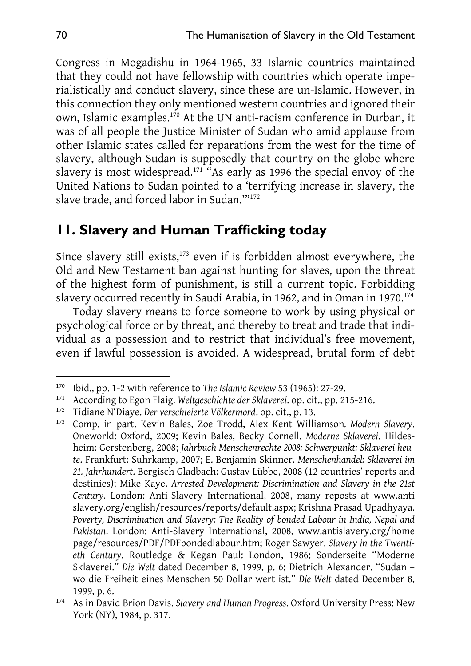Congress in Mogadishu in 1964-1965, 33 Islamic countries maintained that they could not have fellowship with countries which operate imperialistically and conduct slavery, since these are un-Islamic. However, in this connection they only mentioned western countries and ignored their own, Islamic examples.170 At the UN anti-racism conference in Durban, it was of all people the Justice Minister of Sudan who amid applause from other Islamic states called for reparations from the west for the time of slavery, although Sudan is supposedly that country on the globe where slavery is most widespread.<sup>171</sup> "As early as 1996 the special envoy of the United Nations to Sudan pointed to a 'terrifying increase in slavery, the slave trade, and forced labor in Sudan.'"172

## **11. Slavery and Human Trafficking today**

Since slavery still exists,<sup>173</sup> even if is forbidden almost everywhere, the Old and New Testament ban against hunting for slaves, upon the threat of the highest form of punishment, is still a current topic. Forbidding slavery occurred recently in Saudi Arabia, in 1962, and in Oman in 1970.<sup>174</sup>

Today slavery means to force someone to work by using physical or psychological force or by threat, and thereby to treat and trade that individual as a possession and to restrict that individual's free movement, even if lawful possession is avoided. A widespread, brutal form of debt

<sup>170</sup> Ibid., pp. 1-2 with reference to *The Islamic Review* 53 (1965): 27-29.

<sup>171</sup> According to Egon Flaig. *Weltgeschichte der Sklaverei*. op. cit., pp. 215-216.

<sup>172</sup> Tidiane N'Diaye. *Der verschleierte Völkermord*. op. cit., p. 13.

<sup>173</sup> Comp. in part. Kevin Bales, Zoe Trodd, Alex Kent Williamson*. Modern Slavery*. Oneworld: Oxford, 2009; Kevin Bales, Becky Cornell. *Moderne Sklaverei*. Hildesheim: Gerstenberg, 2008; *Jahrbuch Menschenrechte 2008: Schwerpunkt: Sklaverei heute*. Frankfurt: Suhrkamp, 2007; E. Benjamin Skinner. *Menschenhandel: Sklaverei im 21. Jahrhundert*. Bergisch Gladbach: Gustav Lübbe, 2008 (12 countries' reports and destinies); Mike Kaye. *Arrested Development: Discrimination and Slavery in the 21st Century*. London: Anti-Slavery International, 2008, many reposts at www.anti slavery.org/english/resources/reports/default.aspx; Krishna Prasad Upadhyaya. *Poverty, Discrimination and Slavery: The Reality of bonded Labour in India, Nepal and Pakistan*. London: Anti-Slavery International, 2008, www.antislavery.org/home page/resources/PDF/PDFbondedlabour.htm; Roger Sawyer. *Slavery in the Twentieth Century*. Routledge & Kegan Paul: London, 1986; Sonderseite "Moderne Sklaverei." *Die Welt* dated December 8, 1999, p. 6; Dietrich Alexander. "Sudan – wo die Freiheit eines Menschen 50 Dollar wert ist." *Die Welt* dated December 8, 1999, p. 6.

<sup>174</sup> As in David Brion Davis. *Slavery and Human Progress*. Oxford University Press: New York (NY), 1984, p. 317.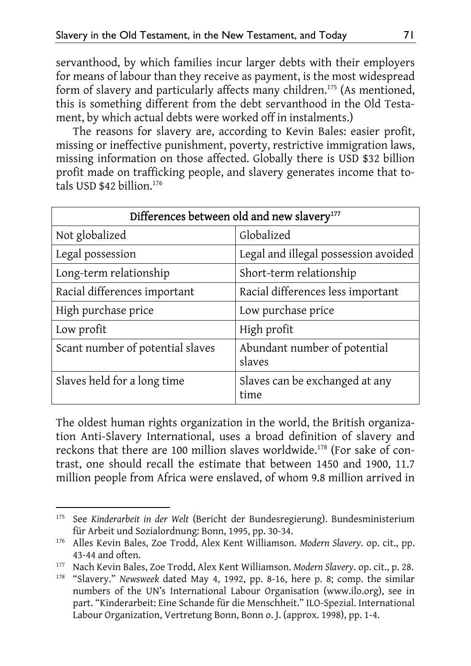servanthood, by which families incur larger debts with their employers for means of labour than they receive as payment, is the most widespread form of slavery and particularly affects many children.<sup>175</sup> (As mentioned, this is something different from the debt servanthood in the Old Testament, by which actual debts were worked off in instalments.)

The reasons for slavery are, according to Kevin Bales: easier profit, missing or ineffective punishment, poverty, restrictive immigration laws, missing information on those affected. Globally there is USD \$32 billion profit made on trafficking people, and slavery generates income that totals USD  $$42$  billion.<sup>176</sup>

| Differences between old and new slavery <sup>177</sup> |                                        |
|--------------------------------------------------------|----------------------------------------|
| Not globalized                                         | Globalized                             |
| Legal possession                                       | Legal and illegal possession avoided   |
| Long-term relationship                                 | Short-term relationship                |
| Racial differences important                           | Racial differences less important      |
| High purchase price                                    | Low purchase price                     |
| Low profit                                             | High profit                            |
| Scant number of potential slaves                       | Abundant number of potential<br>slaves |
| Slaves held for a long time                            | Slaves can be exchanged at any<br>time |

The oldest human rights organization in the world, the British organization Anti-Slavery International, uses a broad definition of slavery and reckons that there are 100 million slaves worldwide.178 (For sake of contrast, one should recall the estimate that between 1450 and 1900, 11.7 million people from Africa were enslaved, of whom 9.8 million arrived in

<sup>-</sup>175 See *Kinderarbeit in der Welt* (Bericht der Bundesregierung). Bundesministerium für Arbeit und Sozialordnung: Bonn, 1995, pp. 30-34.

<sup>176</sup> Alles Kevin Bales, Zoe Trodd, Alex Kent Williamson. *Modern Slavery*. op. cit., pp. 43-44 and often.

<sup>177</sup> Nach Kevin Bales, Zoe Trodd, Alex Kent Williamson. *Modern Slavery*. op. cit., p. 28.

<sup>178 &</sup>quot;Slavery." *Newsweek* dated May 4, 1992, pp. 8-16, here p. 8; comp. the similar numbers of the UN's International Labour Organisation (www.ilo.org), see in part. "Kinderarbeit: Eine Schande für die Menschheit." ILO-Spezial. International Labour Organization, Vertretung Bonn, Bonn o. J. (approx. 1998), pp. 1-4.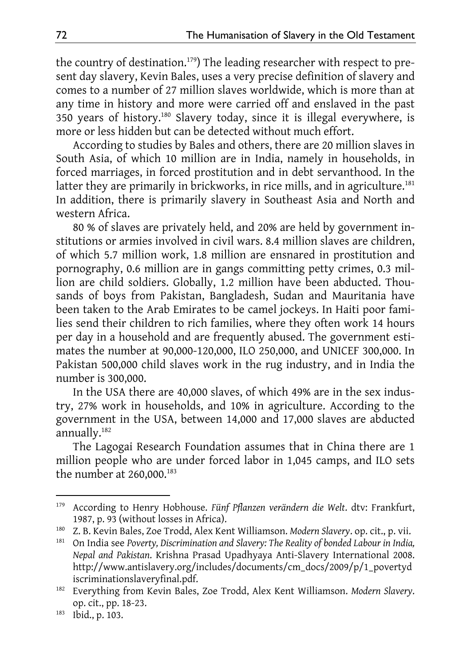the country of destination.<sup>179</sup>) The leading researcher with respect to present day slavery, Kevin Bales, uses a very precise definition of slavery and comes to a number of 27 million slaves worldwide, which is more than at any time in history and more were carried off and enslaved in the past 350 years of history.180 Slavery today, since it is illegal everywhere, is more or less hidden but can be detected without much effort.

According to studies by Bales and others, there are 20 million slaves in South Asia, of which 10 million are in India, namely in households, in forced marriages, in forced prostitution and in debt servanthood. In the latter they are primarily in brickworks, in rice mills, and in agriculture.<sup>181</sup> In addition, there is primarily slavery in Southeast Asia and North and western Africa.

80 % of slaves are privately held, and 20% are held by government institutions or armies involved in civil wars. 8.4 million slaves are children, of which 5.7 million work, 1.8 million are ensnared in prostitution and pornography, 0.6 million are in gangs committing petty crimes, 0.3 million are child soldiers. Globally, 1.2 million have been abducted. Thousands of boys from Pakistan, Bangladesh, Sudan and Mauritania have been taken to the Arab Emirates to be camel jockeys. In Haiti poor families send their children to rich families, where they often work 14 hours per day in a household and are frequently abused. The government estimates the number at 90,000-120,000, ILO 250,000, and UNICEF 300,000. In Pakistan 500,000 child slaves work in the rug industry, and in India the number is 300,000.

In the USA there are 40,000 slaves, of which 49% are in the sex industry, 27% work in households, and 10% in agriculture. According to the government in the USA, between 14,000 and 17,000 slaves are abducted annually.182

The Lagogai Research Foundation assumes that in China there are 1 million people who are under forced labor in 1,045 camps, and ILO sets the number at  $260,000$ .<sup>183</sup>

<sup>179</sup> According to Henry Hobhouse. *Fünf Pflanzen verändern die Welt*. dtv: Frankfurt, 1987, p. 93 (without losses in Africa).

<sup>180</sup> Z. B. Kevin Bales, Zoe Trodd, Alex Kent Williamson. *Modern Slavery*. op. cit., p. vii.

<sup>181</sup> On India see *Poverty, Discrimination and Slavery: The Reality of bonded Labour in India, Nepal and Pakistan*. Krishna Prasad Upadhyaya Anti-Slavery International 2008. http://www.antislavery.org/includes/documents/cm\_docs/2009/p/1\_povertyd iscriminationslaveryfinal.pdf.

<sup>182</sup> Everything from Kevin Bales, Zoe Trodd, Alex Kent Williamson. *Modern Slavery*. op. cit., pp. 18-23.

<sup>183</sup> Ibid., p. 103.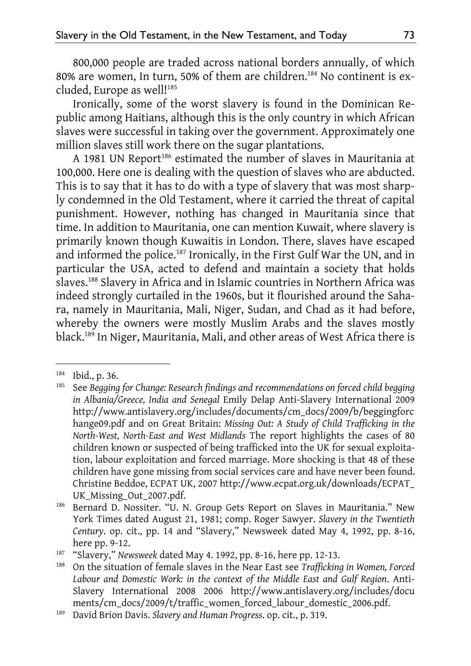800,000 people are traded across national borders annually, of which 80% are women, In turn, 50% of them are children.184 No continent is excluded, Europe as well!<sup>185</sup>

Ironically, some of the worst slavery is found in the Dominican Republic among Haitians, although this is the only country in which African slaves were successful in taking over the government. Approximately one million slaves still work there on the sugar plantations.

A 1981 UN Report<sup>186</sup> estimated the number of slaves in Mauritania at 100,000. Here one is dealing with the question of slaves who are abducted. This is to say that it has to do with a type of slavery that was most sharply condemned in the Old Testament, where it carried the threat of capital punishment. However, nothing has changed in Mauritania since that time. In addition to Mauritania, one can mention Kuwait, where slavery is primarily known though Kuwaitis in London. There, slaves have escaped and informed the police.<sup>187</sup> Ironically, in the First Gulf War the UN, and in particular the USA, acted to defend and maintain a society that holds slaves.188 Slavery in Africa and in Islamic countries in Northern Africa was indeed strongly curtailed in the 1960s, but it flourished around the Sahara, namely in Mauritania, Mali, Niger, Sudan, and Chad as it had before, whereby the owners were mostly Muslim Arabs and the slaves mostly black.189 In Niger, Mauritania, Mali, and other areas of West Africa there is

 $184$  Ibid., p. 36.<br> $185$  See Begging

<sup>185</sup> See *Begging for Change: Research findings and recommendations on forced child begging in Albania/Greece, India and Senegal* Emily Delap Anti-Slavery International 2009 http://www.antislavery.org/includes/documents/cm\_docs/2009/b/beggingforc hange09.pdf and on Great Britain: *Missing Out: A Study of Child Trafficking in the North-West, North-East and West Midlands* The report highlights the cases of 80 children known or suspected of being trafficked into the UK for sexual exploitation, labour exploitation and forced marriage. More shocking is that 48 of these children have gone missing from social services care and have never been found. Christine Beddoe, ECPAT UK, 2007 http://www.ecpat.org.uk/downloads/ECPAT\_ UK\_Missing\_Out\_2007.pdf.

<sup>&</sup>lt;sup>186</sup> Bernard D. Nossiter. "U. N. Group Gets Report on Slaves in Mauritania." New York Times dated August 21, 1981; comp. Roger Sawyer. *Slavery in the Twentieth Century*. op. cit., pp. 14 and "Slavery," Newsweek dated May 4, 1992, pp. 8-16, here pp. 9-12.

<sup>187 &</sup>quot;Slavery," *Newsweek* dated May 4. 1992, pp. 8-16, here pp. 12-13.

<sup>188</sup> On the situation of female slaves in the Near East see *Trafficking in Women, Forced Labour and Domestic Work: in the context of the Middle East and Gulf Region*. Anti-Slavery International 2008 2006 http://www.antislavery.org/includes/docu ments/cm\_docs/2009/t/traffic\_women\_forced\_labour\_domestic\_2006.pdf.

<sup>189</sup> David Brion Davis. *Slavery and Human Progress*. op. cit., p. 319.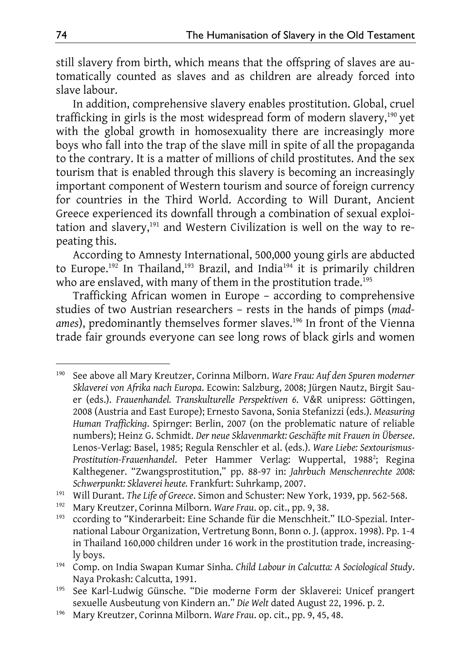still slavery from birth, which means that the offspring of slaves are automatically counted as slaves and as children are already forced into slave labour.

In addition, comprehensive slavery enables prostitution. Global, cruel trafficking in girls is the most widespread form of modern slavery,<sup>190</sup> yet with the global growth in homosexuality there are increasingly more boys who fall into the trap of the slave mill in spite of all the propaganda to the contrary. It is a matter of millions of child prostitutes. And the sex tourism that is enabled through this slavery is becoming an increasingly important component of Western tourism and source of foreign currency for countries in the Third World. According to Will Durant, Ancient Greece experienced its downfall through a combination of sexual exploitation and slavery,<sup>191</sup> and Western Civilization is well on the way to repeating this.

According to Amnesty International, 500,000 young girls are abducted to Europe.<sup>192</sup> In Thailand,<sup>193</sup> Brazil, and India<sup>194</sup> it is primarily children who are enslaved, with many of them in the prostitution trade.<sup>195</sup>

Trafficking African women in Europe – according to comprehensive studies of two Austrian researchers – rests in the hands of pimps (*mad*ames), predominantly themselves former slaves.<sup>196</sup> In front of the Vienna trade fair grounds everyone can see long rows of black girls and women

<sup>190</sup> See above all Mary Kreutzer, Corinna Milborn. *Ware Frau: Auf den Spuren moderner Sklaverei von Afrika nach Europa*. Ecowin: Salzburg, 2008; Jürgen Nautz, Birgit Sauer (eds.). *Frauenhandel. Transkulturelle Perspektiven 6*. V&R unipress: Göttingen, 2008 (Austria and East Europe); Ernesto Savona, Sonia Stefanizzi (eds.). *Measuring Human Trafficking*. Spirnger: Berlin, 2007 (on the problematic nature of reliable numbers); Heinz G. Schmidt. *Der neue Sklavenmarkt: Geschäfte mit Frauen in Übersee*. Lenos-Verlag: Basel, 1985; Regula Renschler et al. (eds.). *Ware Liebe: Sextourismus-*Prostitution-Frauenhandel. Peter Hammer Verlag: Wuppertal, 1988<sup>2</sup>; Regina Kalthegener. "Zwangsprostitution," pp. 88-97 in: *Jahrbuch Menschenrechte 2008: Schwerpunkt: Sklaverei heute.* Frankfurt: Suhrkamp, 2007.

<sup>191</sup> Will Durant. *The Life of Greece*. Simon and Schuster: New York, 1939, pp. 562-568.

<sup>192</sup> Mary Kreutzer, Corinna Milborn. *Ware Frau*. op. cit., pp. 9, 38.

<sup>193</sup> ccording to "Kinderarbeit: Eine Schande für die Menschheit." ILO-Spezial. International Labour Organization, Vertretung Bonn, Bonn o. J. (approx. 1998). Pp. 1-4 in Thailand 160,000 children under 16 work in the prostitution trade, increasingly boys.

<sup>194</sup> Comp. on India Swapan Kumar Sinha. *Child Labour in Calcutta: A Sociological Study*. Naya Prokash: Calcutta, 1991.

<sup>195</sup> See Karl-Ludwig Günsche. "Die moderne Form der Sklaverei: Unicef prangert sexuelle Ausbeutung von Kindern an." *Die Welt* dated August 22, 1996. p. 2.

<sup>196</sup> Mary Kreutzer, Corinna Milborn. *Ware Frau*. op. cit., pp. 9, 45, 48.